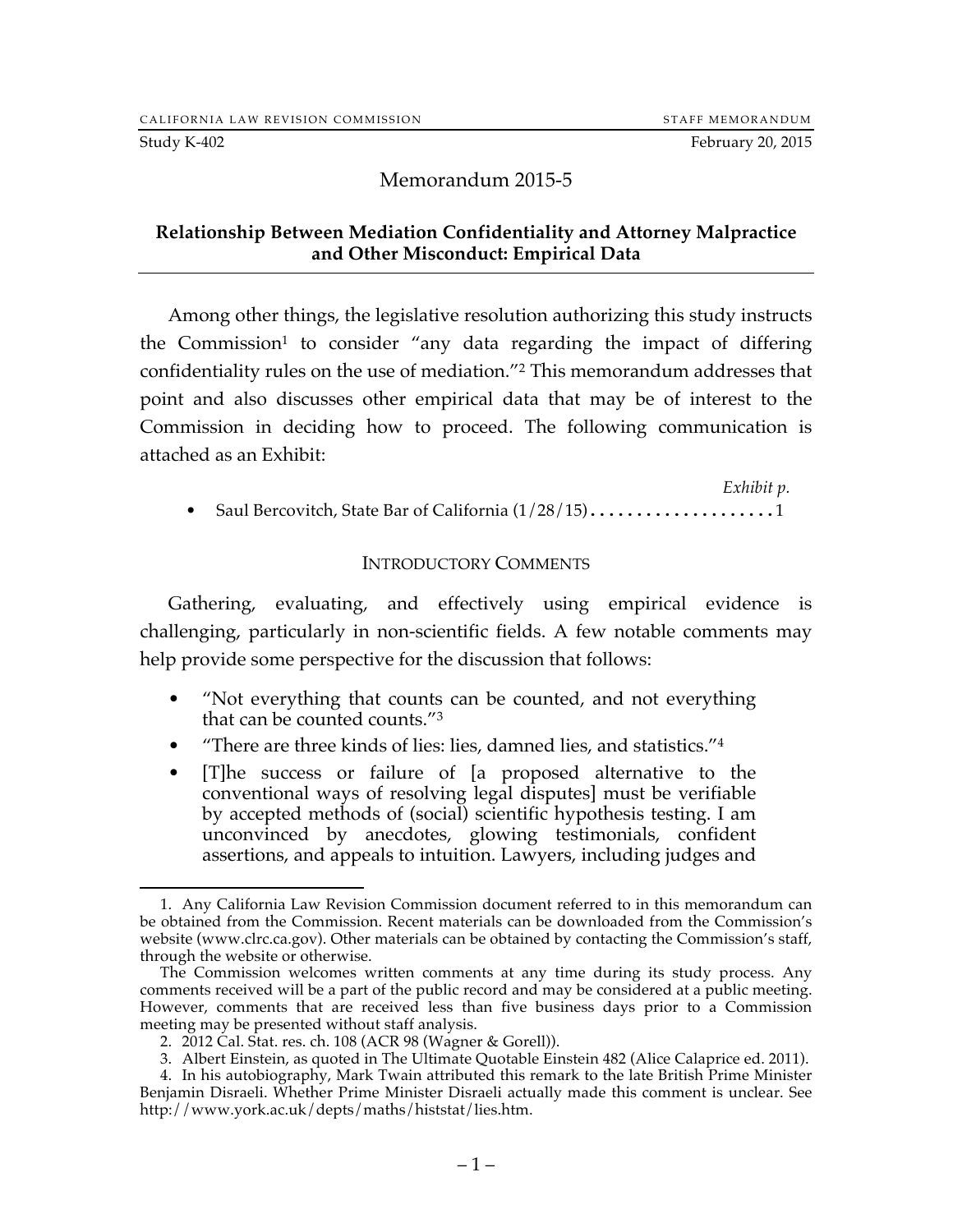#### Study K-402 **February 20, 2015**

## Memorandum 2015-5

#### **Relationship Between Mediation Confidentiality and Attorney Malpractice and Other Misconduct: Empirical Data**

Among other things, the legislative resolution authorizing this study instructs the Commission<sup>1</sup> to consider "any data regarding the impact of differing confidentiality rules on the use of mediation."2 This memorandum addresses that point and also discusses other empirical data that may be of interest to the Commission in deciding how to proceed. The following communication is attached as an Exhibit:

*Exhibit p.* • Saul Bercovitch, State Bar of California  $(1/28/15)$ ......................1

#### INTRODUCTORY COMMENTS

Gathering, evaluating, and effectively using empirical evidence is challenging, particularly in non-scientific fields. A few notable comments may help provide some perspective for the discussion that follows:

- "Not everything that counts can be counted, and not everything that can be counted counts."3
- "There are three kinds of lies: lies, damned lies, and statistics."<sup>4</sup>
- [T]he success or failure of [a proposed alternative to the conventional ways of resolving legal disputes] must be verifiable by accepted methods of (social) scientific hypothesis testing. I am unconvinced by anecdotes, glowing testimonials, confident assertions, and appeals to intuition. Lawyers, including judges and

 <sup>1.</sup> Any California Law Revision Commission document referred to in this memorandum can be obtained from the Commission. Recent materials can be downloaded from the Commission's website (www.clrc.ca.gov). Other materials can be obtained by contacting the Commission's staff, through the website or otherwise.

The Commission welcomes written comments at any time during its study process. Any comments received will be a part of the public record and may be considered at a public meeting. However, comments that are received less than five business days prior to a Commission meeting may be presented without staff analysis.

<sup>2.</sup> 2012 Cal. Stat. res. ch. 108 (ACR 98 (Wagner & Gorell)).

<sup>3.</sup> Albert Einstein, as quoted in The Ultimate Quotable Einstein 482 (Alice Calaprice ed. 2011).

<sup>4.</sup> In his autobiography, Mark Twain attributed this remark to the late British Prime Minister Benjamin Disraeli. Whether Prime Minister Disraeli actually made this comment is unclear. See http://www.york.ac.uk/depts/maths/histstat/lies.htm.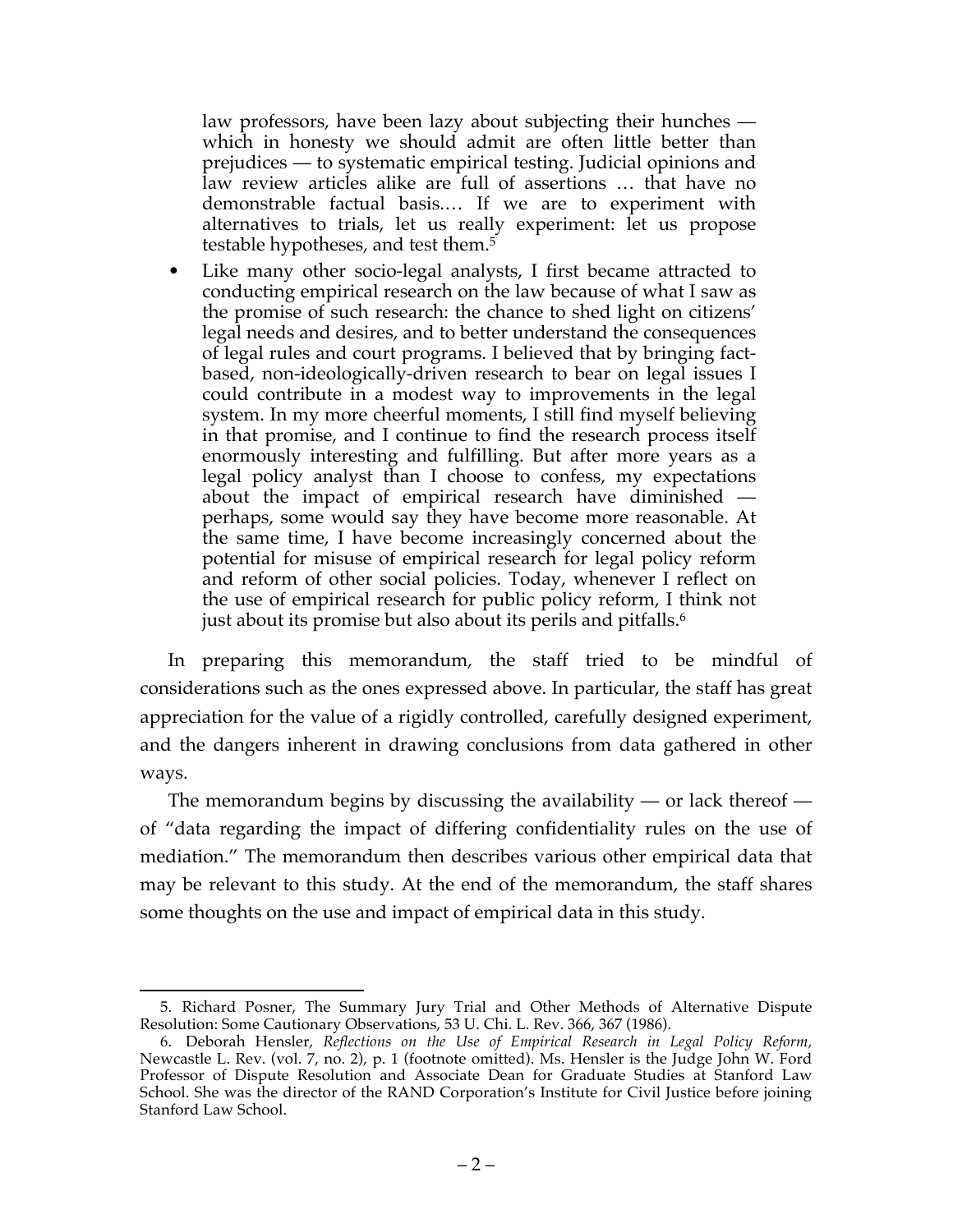law professors, have been lazy about subjecting their hunches which in honesty we should admit are often little better than prejudices — to systematic empirical testing. Judicial opinions and law review articles alike are full of assertions … that have no demonstrable factual basis.… If we are to experiment with alternatives to trials, let us really experiment: let us propose testable hypotheses, and test them.<sup>5</sup>

• Like many other socio-legal analysts, I first became attracted to conducting empirical research on the law because of what I saw as the promise of such research: the chance to shed light on citizens' legal needs and desires, and to better understand the consequences of legal rules and court programs. I believed that by bringing factbased, non-ideologically-driven research to bear on legal issues I could contribute in a modest way to improvements in the legal system. In my more cheerful moments, I still find myself believing in that promise, and I continue to find the research process itself enormously interesting and fulfilling. But after more years as a legal policy analyst than I choose to confess, my expectations about the impact of empirical research have diminished perhaps, some would say they have become more reasonable. At the same time, I have become increasingly concerned about the potential for misuse of empirical research for legal policy reform and reform of other social policies. Today, whenever I reflect on the use of empirical research for public policy reform, I think not just about its promise but also about its perils and pitfalls.<sup>6</sup>

In preparing this memorandum, the staff tried to be mindful of considerations such as the ones expressed above. In particular, the staff has great appreciation for the value of a rigidly controlled, carefully designed experiment, and the dangers inherent in drawing conclusions from data gathered in other ways.

The memorandum begins by discussing the availability — or lack thereof of "data regarding the impact of differing confidentiality rules on the use of mediation." The memorandum then describes various other empirical data that may be relevant to this study. At the end of the memorandum, the staff shares some thoughts on the use and impact of empirical data in this study.

 <sup>5.</sup> Richard Posner, The Summary Jury Trial and Other Methods of Alternative Dispute Resolution: Some Cautionary Observations, 53 U. Chi. L. Rev. 366, 367 (1986).

<sup>6.</sup> Deborah Hensler, *Reflections on the Use of Empirical Research in Legal Policy Reform,*  Newcastle L. Rev. (vol. 7, no. 2), p. 1 (footnote omitted). Ms. Hensler is the Judge John W. Ford Professor of Dispute Resolution and Associate Dean for Graduate Studies at Stanford Law School. She was the director of the RAND Corporation's Institute for Civil Justice before joining Stanford Law School.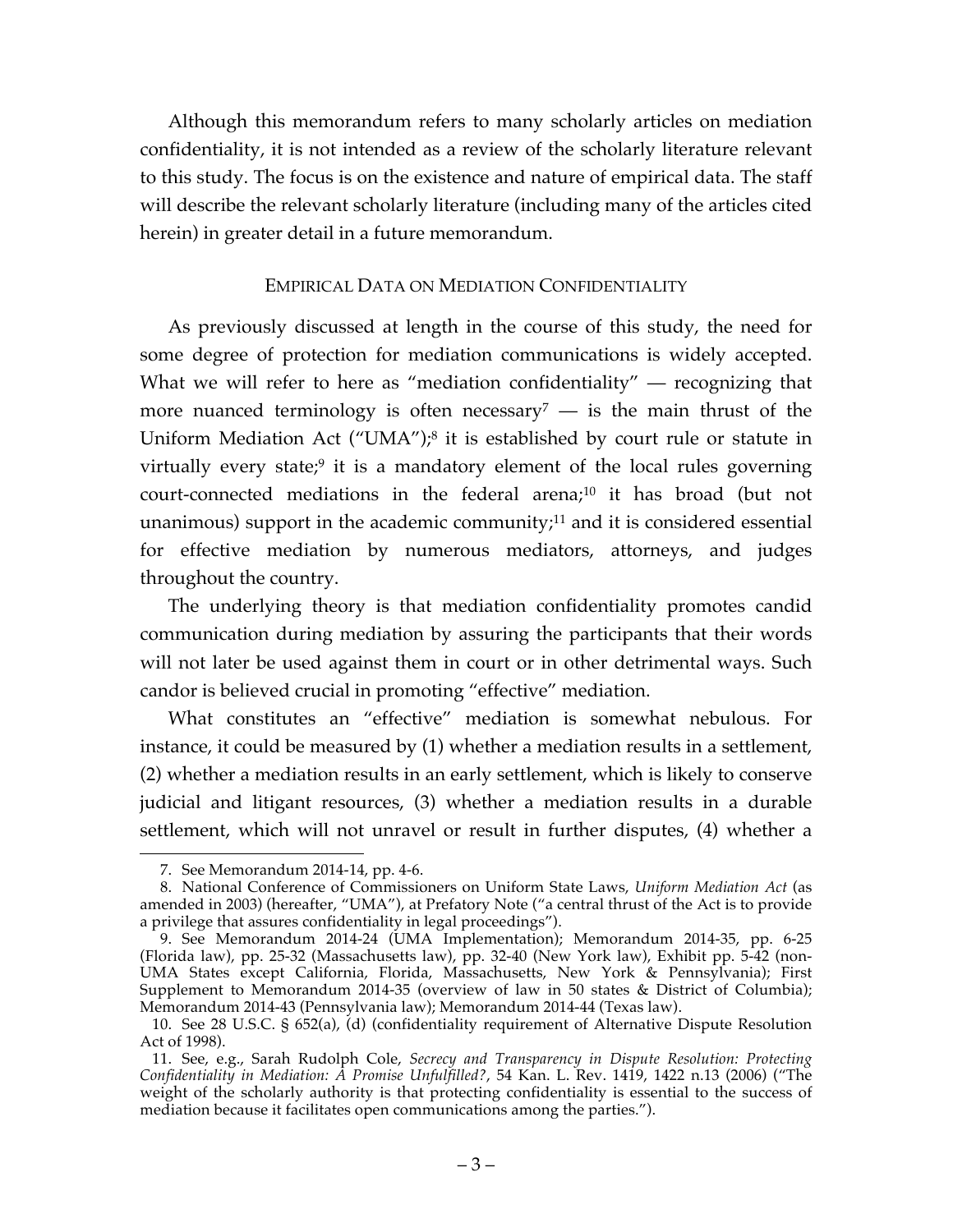Although this memorandum refers to many scholarly articles on mediation confidentiality, it is not intended as a review of the scholarly literature relevant to this study. The focus is on the existence and nature of empirical data. The staff will describe the relevant scholarly literature (including many of the articles cited herein) in greater detail in a future memorandum.

## EMPIRICAL DATA ON MEDIATION CONFIDENTIALITY

As previously discussed at length in the course of this study, the need for some degree of protection for mediation communications is widely accepted. What we will refer to here as "mediation confidentiality" — recognizing that more nuanced terminology is often necessary<sup>7</sup> — is the main thrust of the Uniform Mediation Act ("UMA"); <sup>8</sup> it is established by court rule or statute in virtually every state;<sup>9</sup> it is a mandatory element of the local rules governing court-connected mediations in the federal arena;10 it has broad (but not unanimous) support in the academic community; $11$  and it is considered essential for effective mediation by numerous mediators, attorneys, and judges throughout the country.

The underlying theory is that mediation confidentiality promotes candid communication during mediation by assuring the participants that their words will not later be used against them in court or in other detrimental ways. Such candor is believed crucial in promoting "effective" mediation.

What constitutes an "effective" mediation is somewhat nebulous. For instance, it could be measured by (1) whether a mediation results in a settlement, (2) whether a mediation results in an early settlement, which is likely to conserve judicial and litigant resources, (3) whether a mediation results in a durable settlement, which will not unravel or result in further disputes, (4) whether a

 <sup>7.</sup> See Memorandum 2014-14, pp. 4-6.

<sup>8.</sup> National Conference of Commissioners on Uniform State Laws, *Uniform Mediation Act* (as amended in 2003) (hereafter, "UMA"), at Prefatory Note ("a central thrust of the Act is to provide a privilege that assures confidentiality in legal proceedings").

<sup>9.</sup> See Memorandum 2014-24 (UMA Implementation); Memorandum 2014-35, pp. 6-25 (Florida law), pp. 25-32 (Massachusetts law), pp. 32-40 (New York law), Exhibit pp. 5-42 (non-UMA States except California, Florida, Massachusetts, New York & Pennsylvania); First Supplement to Memorandum 2014-35 (overview of law in 50 states & District of Columbia); Memorandum 2014-43 (Pennsylvania law); Memorandum 2014-44 (Texas law).

<sup>10.</sup> See 28 U.S.C. § 652(a), (d) (confidentiality requirement of Alternative Dispute Resolution Act of 1998).

<sup>11.</sup> See, e.g., Sarah Rudolph Cole, *Secrecy and Transparency in Dispute Resolution: Protecting Confidentiality in Mediation: A Promise Unfulfilled?*, 54 Kan. L. Rev. 1419, 1422 n.13 (2006) ("The weight of the scholarly authority is that protecting confidentiality is essential to the success of mediation because it facilitates open communications among the parties.").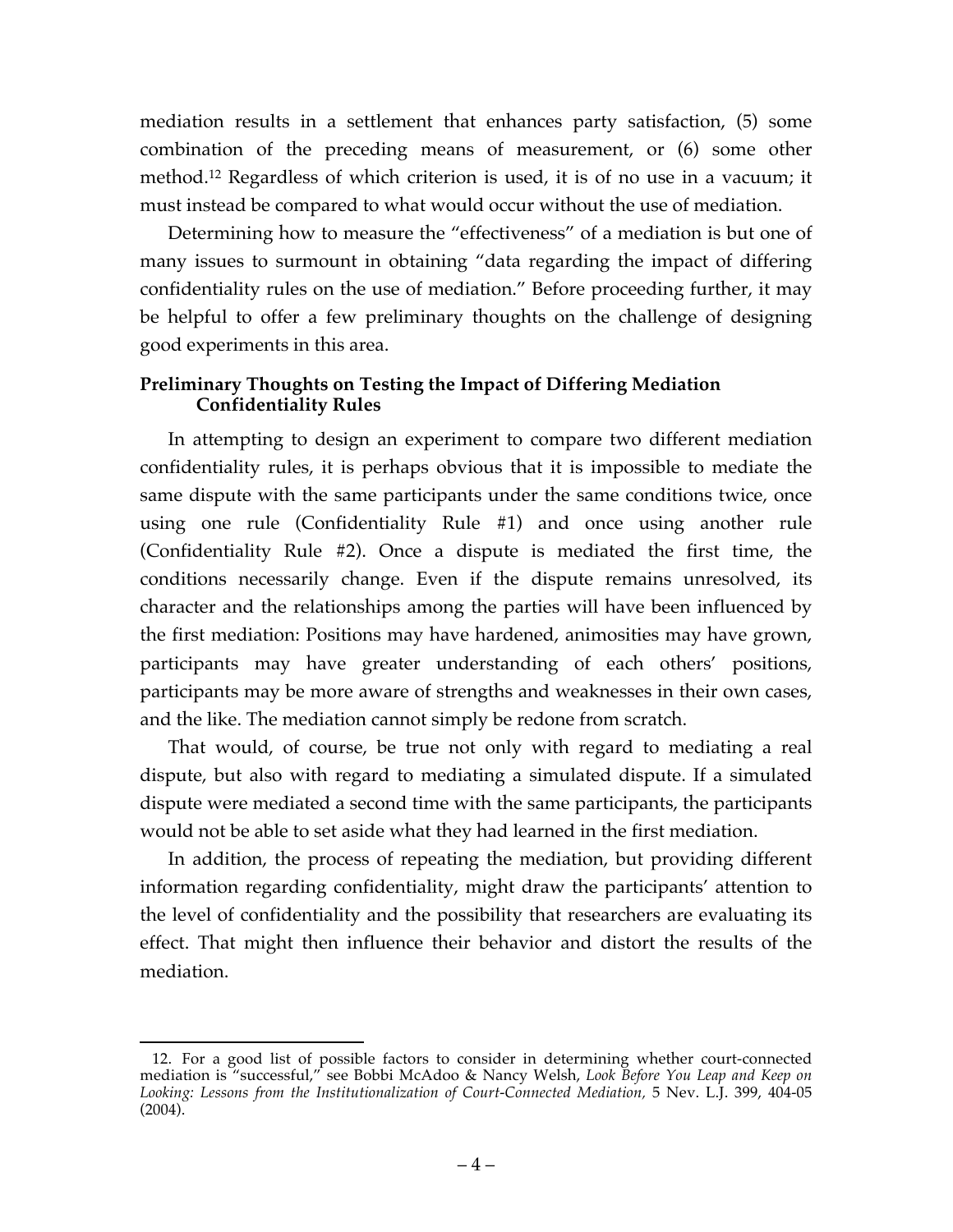mediation results in a settlement that enhances party satisfaction, (5) some combination of the preceding means of measurement, or (6) some other method. <sup>12</sup> Regardless of which criterion is used, it is of no use in a vacuum; it must instead be compared to what would occur without the use of mediation.

Determining how to measure the "effectiveness" of a mediation is but one of many issues to surmount in obtaining "data regarding the impact of differing confidentiality rules on the use of mediation." Before proceeding further, it may be helpful to offer a few preliminary thoughts on the challenge of designing good experiments in this area.

## **Preliminary Thoughts on Testing the Impact of Differing Mediation Confidentiality Rules**

In attempting to design an experiment to compare two different mediation confidentiality rules, it is perhaps obvious that it is impossible to mediate the same dispute with the same participants under the same conditions twice, once using one rule (Confidentiality Rule #1) and once using another rule (Confidentiality Rule #2). Once a dispute is mediated the first time, the conditions necessarily change. Even if the dispute remains unresolved, its character and the relationships among the parties will have been influenced by the first mediation: Positions may have hardened, animosities may have grown, participants may have greater understanding of each others' positions, participants may be more aware of strengths and weaknesses in their own cases, and the like. The mediation cannot simply be redone from scratch.

That would, of course, be true not only with regard to mediating a real dispute, but also with regard to mediating a simulated dispute. If a simulated dispute were mediated a second time with the same participants, the participants would not be able to set aside what they had learned in the first mediation.

In addition, the process of repeating the mediation, but providing different information regarding confidentiality, might draw the participants' attention to the level of confidentiality and the possibility that researchers are evaluating its effect. That might then influence their behavior and distort the results of the mediation.

 <sup>12.</sup> For a good list of possible factors to consider in determining whether court-connected mediation is "successful," see Bobbi McAdoo & Nancy Welsh, *Look Before You Leap and Keep on Looking: Lessons from the Institutionalization of Court-Connected Mediation,* 5 Nev. L.J. 399, 404-05 (2004).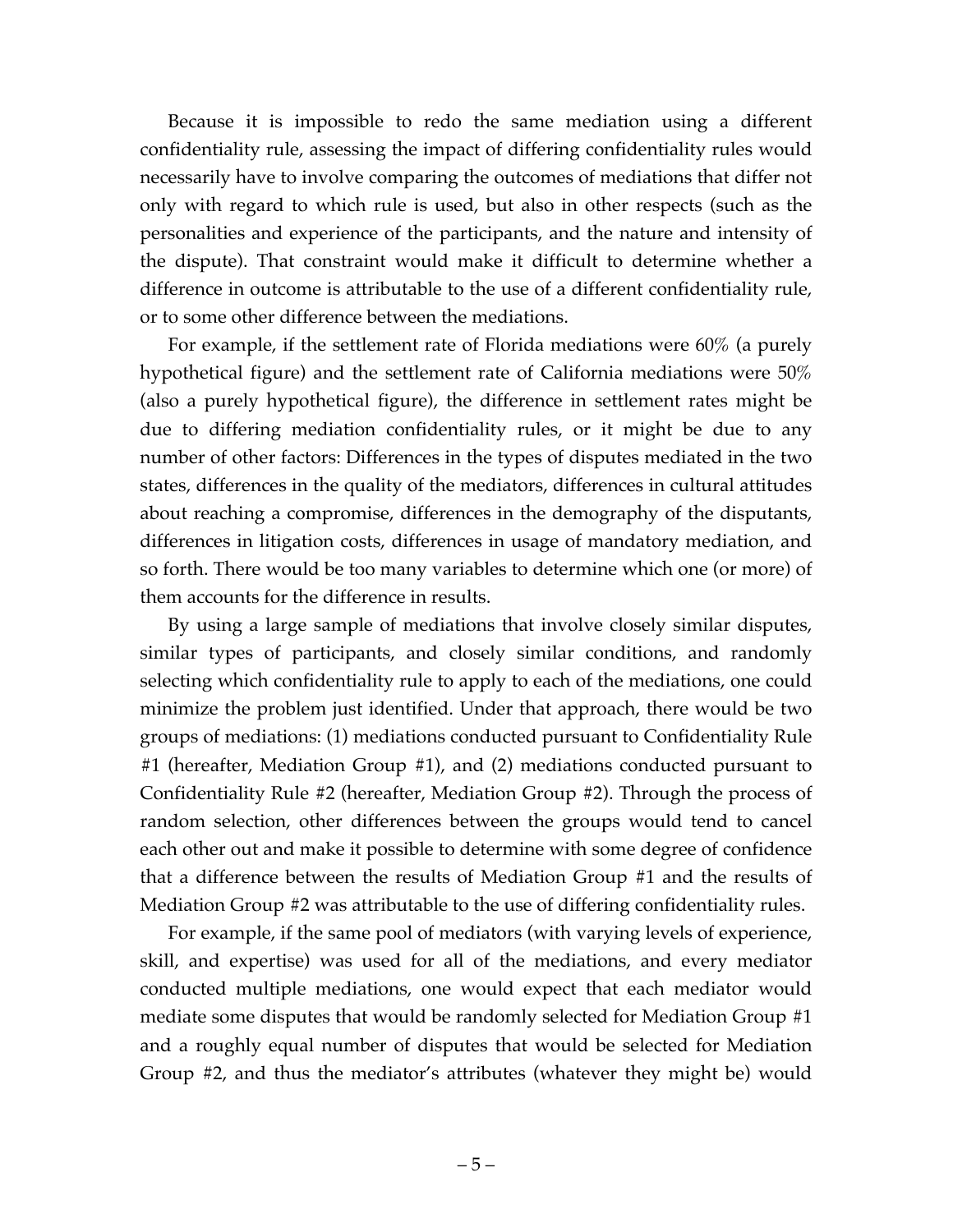Because it is impossible to redo the same mediation using a different confidentiality rule, assessing the impact of differing confidentiality rules would necessarily have to involve comparing the outcomes of mediations that differ not only with regard to which rule is used, but also in other respects (such as the personalities and experience of the participants, and the nature and intensity of the dispute). That constraint would make it difficult to determine whether a difference in outcome is attributable to the use of a different confidentiality rule, or to some other difference between the mediations.

For example, if the settlement rate of Florida mediations were 60% (a purely hypothetical figure) and the settlement rate of California mediations were 50% (also a purely hypothetical figure), the difference in settlement rates might be due to differing mediation confidentiality rules, or it might be due to any number of other factors: Differences in the types of disputes mediated in the two states, differences in the quality of the mediators, differences in cultural attitudes about reaching a compromise, differences in the demography of the disputants, differences in litigation costs, differences in usage of mandatory mediation, and so forth. There would be too many variables to determine which one (or more) of them accounts for the difference in results.

By using a large sample of mediations that involve closely similar disputes, similar types of participants, and closely similar conditions, and randomly selecting which confidentiality rule to apply to each of the mediations, one could minimize the problem just identified. Under that approach, there would be two groups of mediations: (1) mediations conducted pursuant to Confidentiality Rule #1 (hereafter, Mediation Group #1), and (2) mediations conducted pursuant to Confidentiality Rule #2 (hereafter, Mediation Group #2). Through the process of random selection, other differences between the groups would tend to cancel each other out and make it possible to determine with some degree of confidence that a difference between the results of Mediation Group #1 and the results of Mediation Group #2 was attributable to the use of differing confidentiality rules.

For example, if the same pool of mediators (with varying levels of experience, skill, and expertise) was used for all of the mediations, and every mediator conducted multiple mediations, one would expect that each mediator would mediate some disputes that would be randomly selected for Mediation Group #1 and a roughly equal number of disputes that would be selected for Mediation Group #2, and thus the mediator's attributes (whatever they might be) would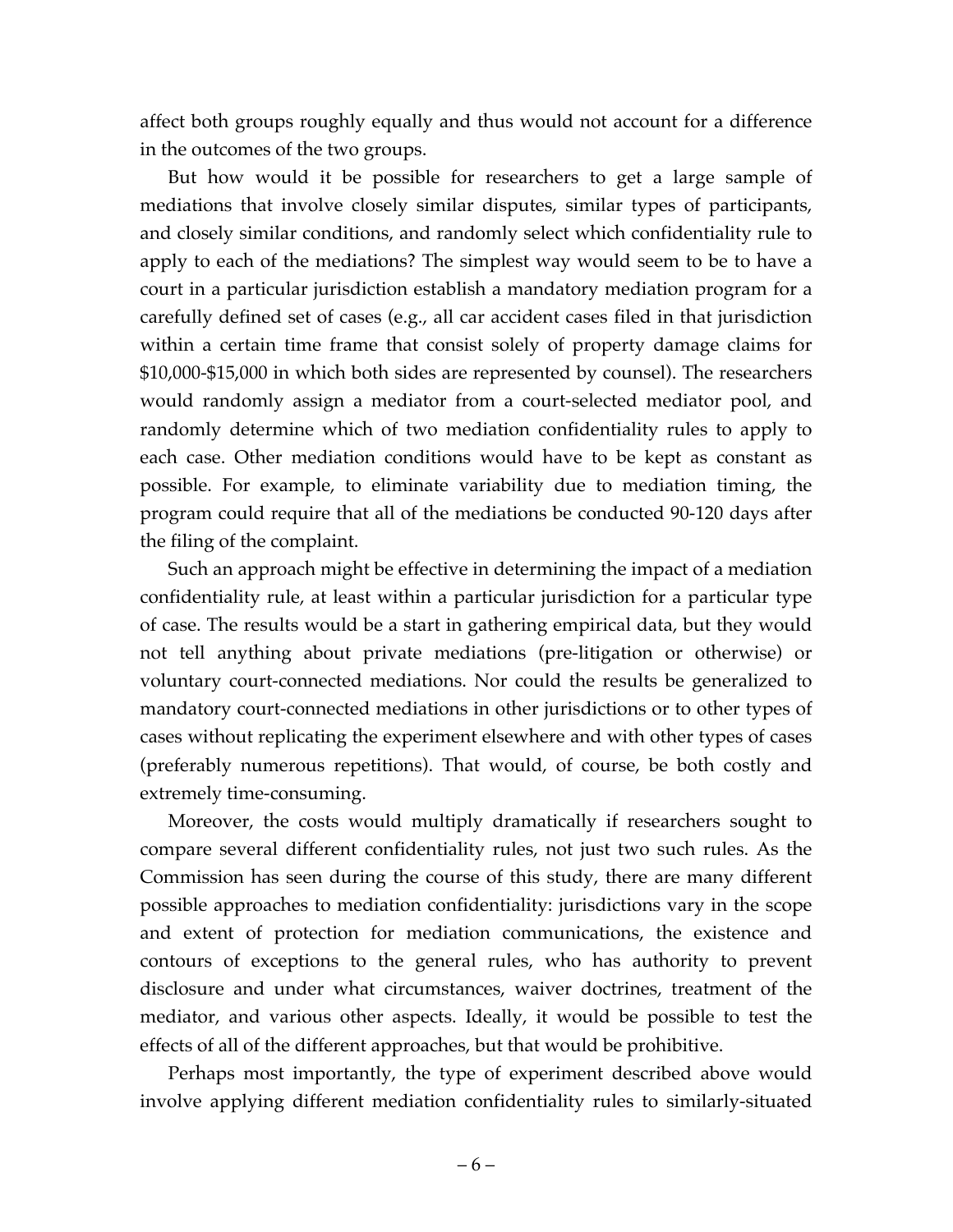affect both groups roughly equally and thus would not account for a difference in the outcomes of the two groups.

But how would it be possible for researchers to get a large sample of mediations that involve closely similar disputes, similar types of participants, and closely similar conditions, and randomly select which confidentiality rule to apply to each of the mediations? The simplest way would seem to be to have a court in a particular jurisdiction establish a mandatory mediation program for a carefully defined set of cases (e.g., all car accident cases filed in that jurisdiction within a certain time frame that consist solely of property damage claims for \$10,000-\$15,000 in which both sides are represented by counsel). The researchers would randomly assign a mediator from a court-selected mediator pool, and randomly determine which of two mediation confidentiality rules to apply to each case. Other mediation conditions would have to be kept as constant as possible. For example, to eliminate variability due to mediation timing, the program could require that all of the mediations be conducted 90-120 days after the filing of the complaint.

Such an approach might be effective in determining the impact of a mediation confidentiality rule, at least within a particular jurisdiction for a particular type of case. The results would be a start in gathering empirical data, but they would not tell anything about private mediations (pre-litigation or otherwise) or voluntary court-connected mediations. Nor could the results be generalized to mandatory court-connected mediations in other jurisdictions or to other types of cases without replicating the experiment elsewhere and with other types of cases (preferably numerous repetitions). That would, of course, be both costly and extremely time-consuming.

Moreover, the costs would multiply dramatically if researchers sought to compare several different confidentiality rules, not just two such rules. As the Commission has seen during the course of this study, there are many different possible approaches to mediation confidentiality: jurisdictions vary in the scope and extent of protection for mediation communications, the existence and contours of exceptions to the general rules, who has authority to prevent disclosure and under what circumstances, waiver doctrines, treatment of the mediator, and various other aspects. Ideally, it would be possible to test the effects of all of the different approaches, but that would be prohibitive.

Perhaps most importantly, the type of experiment described above would involve applying different mediation confidentiality rules to similarly-situated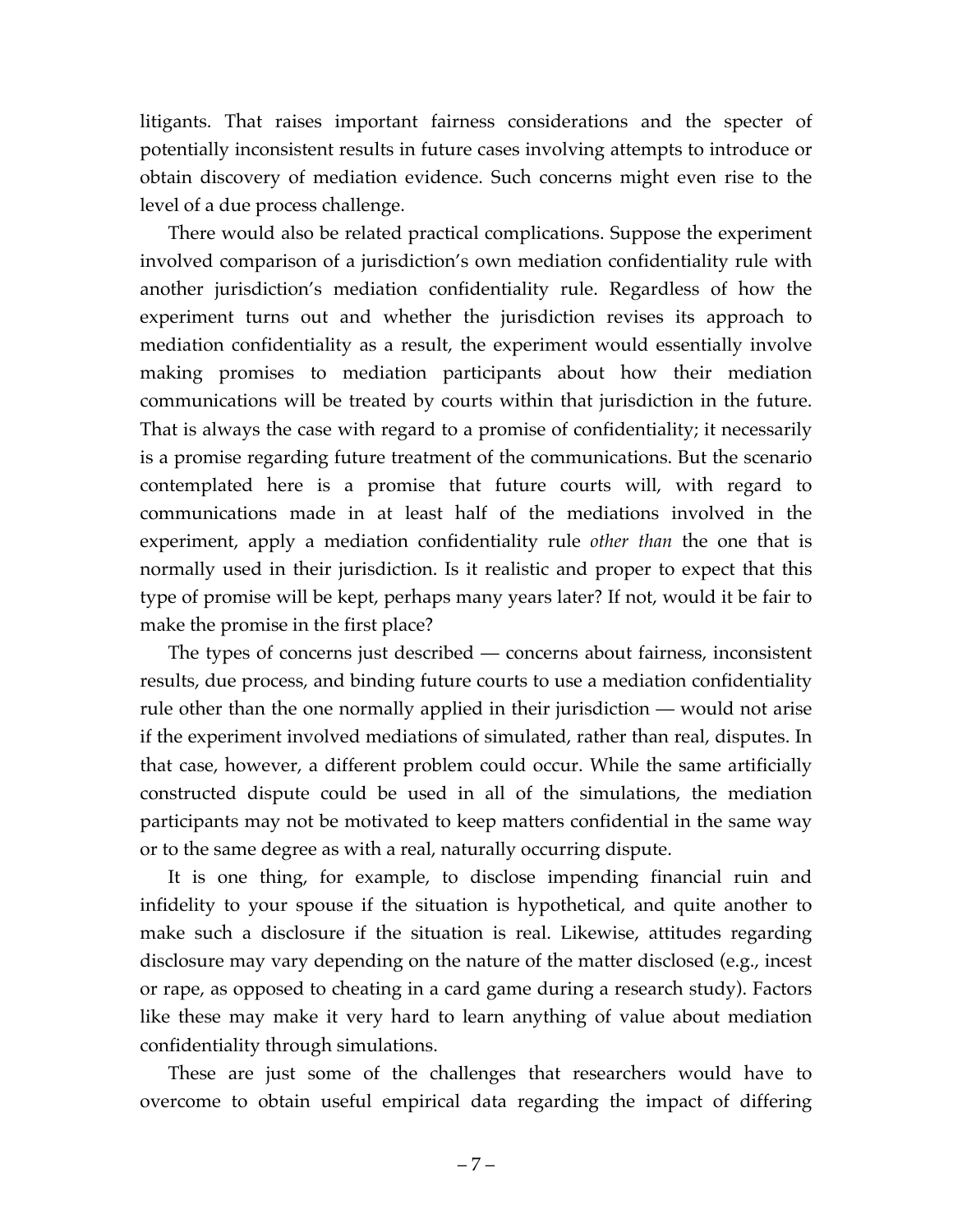litigants. That raises important fairness considerations and the specter of potentially inconsistent results in future cases involving attempts to introduce or obtain discovery of mediation evidence. Such concerns might even rise to the level of a due process challenge.

There would also be related practical complications. Suppose the experiment involved comparison of a jurisdiction's own mediation confidentiality rule with another jurisdiction's mediation confidentiality rule. Regardless of how the experiment turns out and whether the jurisdiction revises its approach to mediation confidentiality as a result, the experiment would essentially involve making promises to mediation participants about how their mediation communications will be treated by courts within that jurisdiction in the future. That is always the case with regard to a promise of confidentiality; it necessarily is a promise regarding future treatment of the communications. But the scenario contemplated here is a promise that future courts will, with regard to communications made in at least half of the mediations involved in the experiment, apply a mediation confidentiality rule *other than* the one that is normally used in their jurisdiction. Is it realistic and proper to expect that this type of promise will be kept, perhaps many years later? If not, would it be fair to make the promise in the first place?

The types of concerns just described — concerns about fairness, inconsistent results, due process, and binding future courts to use a mediation confidentiality rule other than the one normally applied in their jurisdiction — would not arise if the experiment involved mediations of simulated, rather than real, disputes. In that case, however, a different problem could occur. While the same artificially constructed dispute could be used in all of the simulations, the mediation participants may not be motivated to keep matters confidential in the same way or to the same degree as with a real, naturally occurring dispute.

It is one thing, for example, to disclose impending financial ruin and infidelity to your spouse if the situation is hypothetical, and quite another to make such a disclosure if the situation is real. Likewise, attitudes regarding disclosure may vary depending on the nature of the matter disclosed (e.g., incest or rape, as opposed to cheating in a card game during a research study). Factors like these may make it very hard to learn anything of value about mediation confidentiality through simulations.

These are just some of the challenges that researchers would have to overcome to obtain useful empirical data regarding the impact of differing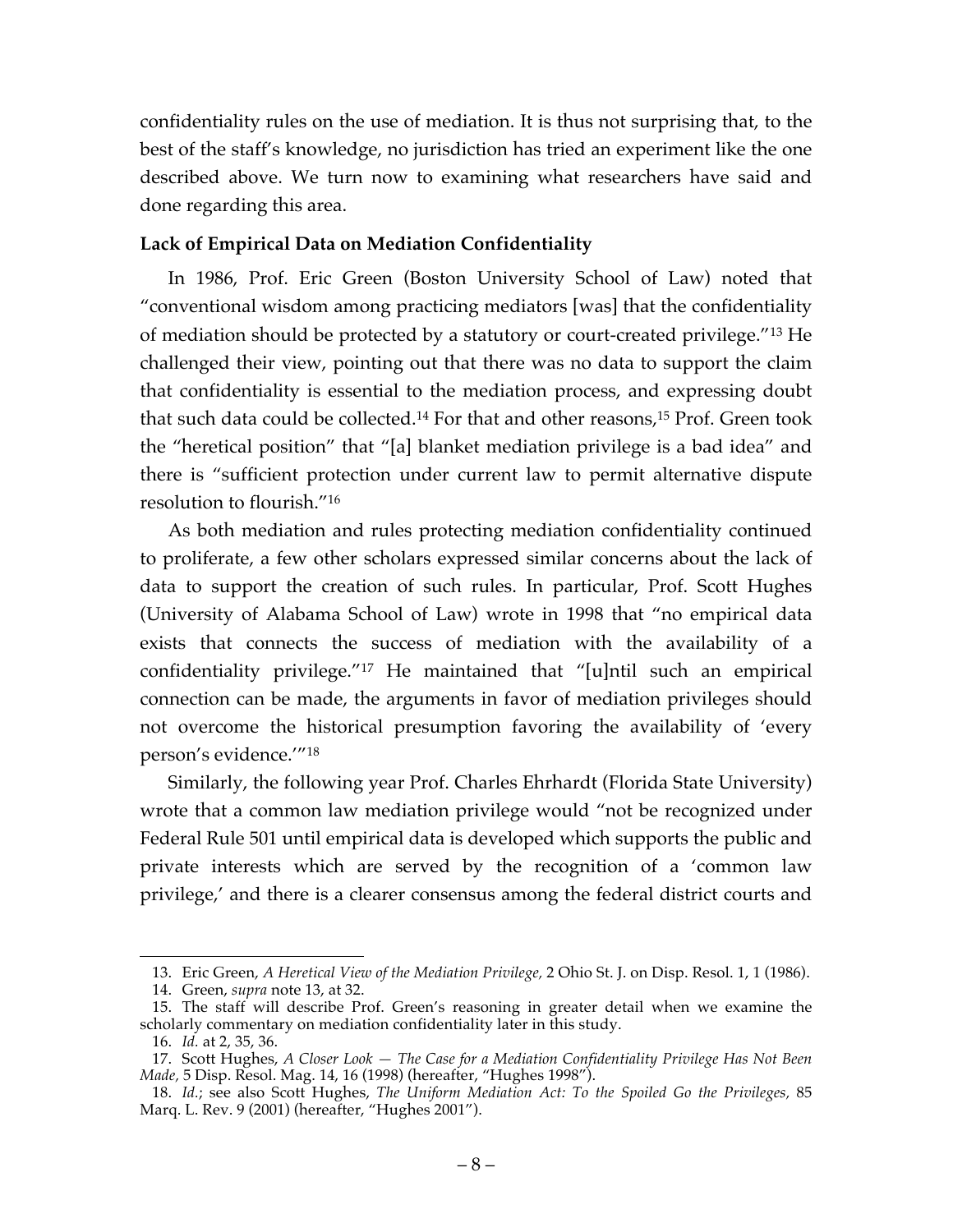confidentiality rules on the use of mediation. It is thus not surprising that, to the best of the staff's knowledge, no jurisdiction has tried an experiment like the one described above. We turn now to examining what researchers have said and done regarding this area.

## **Lack of Empirical Data on Mediation Confidentiality**

In 1986, Prof. Eric Green (Boston University School of Law) noted that "conventional wisdom among practicing mediators [was] that the confidentiality of mediation should be protected by a statutory or court-created privilege."13 He challenged their view, pointing out that there was no data to support the claim that confidentiality is essential to the mediation process, and expressing doubt that such data could be collected.14 For that and other reasons, <sup>15</sup> Prof. Green took the "heretical position" that "[a] blanket mediation privilege is a bad idea" and there is "sufficient protection under current law to permit alternative dispute resolution to flourish."16

As both mediation and rules protecting mediation confidentiality continued to proliferate, a few other scholars expressed similar concerns about the lack of data to support the creation of such rules. In particular, Prof. Scott Hughes (University of Alabama School of Law) wrote in 1998 that "no empirical data exists that connects the success of mediation with the availability of a confidentiality privilege."17 He maintained that "[u]ntil such an empirical connection can be made, the arguments in favor of mediation privileges should not overcome the historical presumption favoring the availability of 'every person's evidence.'"18

Similarly, the following year Prof. Charles Ehrhardt (Florida State University) wrote that a common law mediation privilege would "not be recognized under Federal Rule 501 until empirical data is developed which supports the public and private interests which are served by the recognition of a 'common law privilege,' and there is a clearer consensus among the federal district courts and

 <sup>13.</sup> Eric Green, *A Heretical View of the Mediation Privilege,* 2 Ohio St. J. on Disp. Resol. 1, 1 (1986).

<sup>14.</sup> Green, *supra* note 13, at 32.

<sup>15.</sup> The staff will describe Prof. Green's reasoning in greater detail when we examine the scholarly commentary on mediation confidentiality later in this study.

<sup>16.</sup> *Id.* at 2, 35, 36.

<sup>17.</sup> Scott Hughes, *A Closer Look — The Case for a Mediation Confidentiality Privilege Has Not Been Made,* 5 Disp. Resol. Mag. 14, 16 (1998) (hereafter, "Hughes 1998").

<sup>18.</sup> *Id.*; see also Scott Hughes, *The Uniform Mediation Act: To the Spoiled Go the Privileges,* 85 Marq. L. Rev. 9 (2001) (hereafter, "Hughes 2001").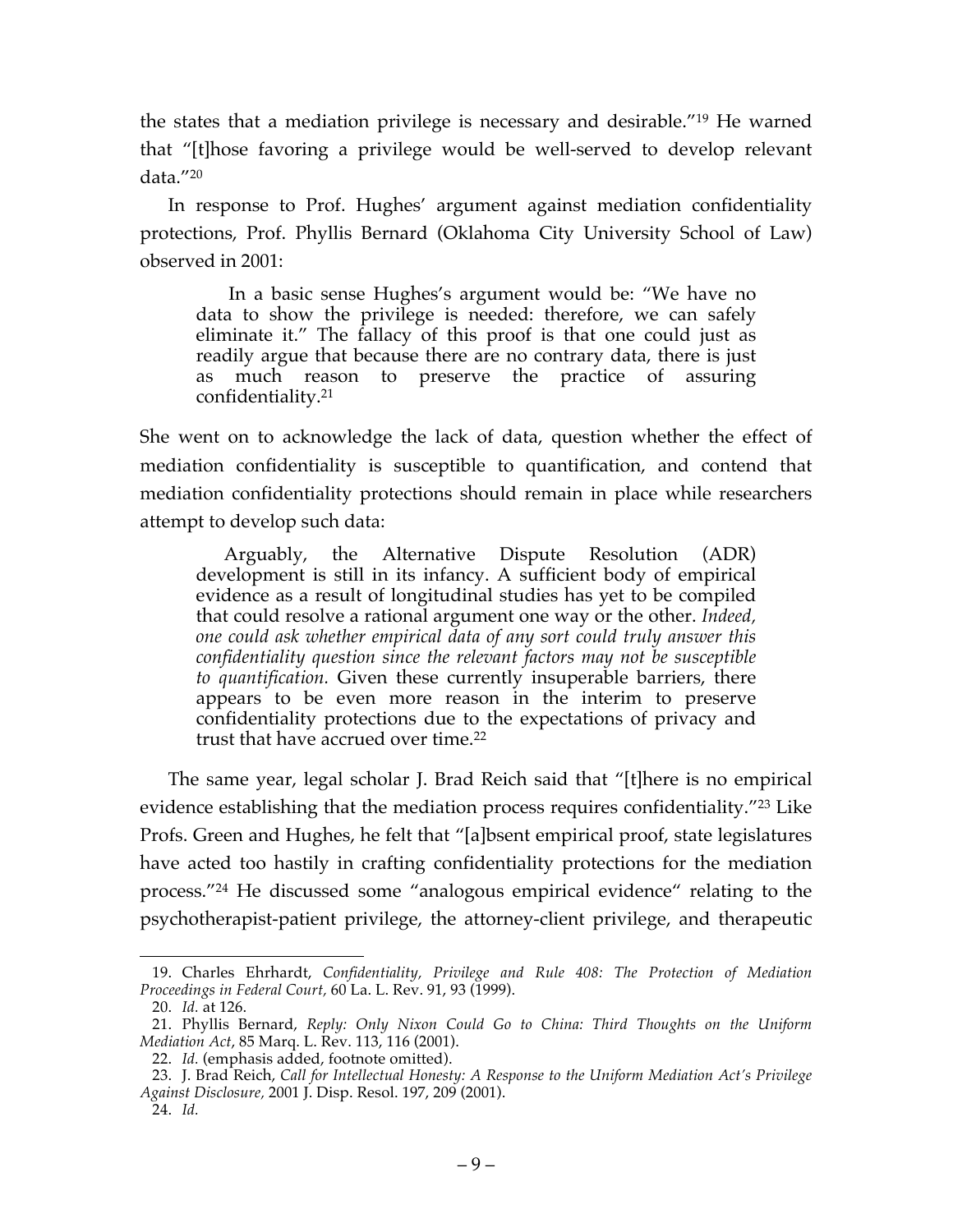the states that a mediation privilege is necessary and desirable."19 He warned that "[t]hose favoring a privilege would be well-served to develop relevant data."20

In response to Prof. Hughes' argument against mediation confidentiality protections, Prof. Phyllis Bernard (Oklahoma City University School of Law) observed in 2001:

In a basic sense Hughes's argument would be: "We have no data to show the privilege is needed: therefore, we can safely eliminate it." The fallacy of this proof is that one could just as readily argue that because there are no contrary data, there is just as much reason to preserve the practice of assuring confidentiality.21

She went on to acknowledge the lack of data, question whether the effect of mediation confidentiality is susceptible to quantification, and contend that mediation confidentiality protections should remain in place while researchers attempt to develop such data:

Arguably, the Alternative Dispute Resolution (ADR) development is still in its infancy. A sufficient body of empirical evidence as a result of longitudinal studies has yet to be compiled that could resolve a rational argument one way or the other. *Indeed, one could ask whether empirical data of any sort could truly answer this confidentiality question since the relevant factors may not be susceptible to quantification.* Given these currently insuperable barriers, there appears to be even more reason in the interim to preserve confidentiality protections due to the expectations of privacy and trust that have accrued over time.22

The same year, legal scholar J. Brad Reich said that "[t]here is no empirical evidence establishing that the mediation process requires confidentiality."23 Like Profs. Green and Hughes, he felt that "[a]bsent empirical proof, state legislatures have acted too hastily in crafting confidentiality protections for the mediation process."24 He discussed some "analogous empirical evidence" relating to the psychotherapist-patient privilege, the attorney-client privilege, and therapeutic

 <sup>19.</sup> Charles Ehrhardt, *Confidentiality, Privilege and Rule 408: The Protection of Mediation Proceedings in Federal Court,* 60 La. L. Rev. 91, 93 (1999).

<sup>20.</sup> *Id.* at 126.

<sup>21.</sup> Phyllis Bernard, *Reply: Only Nixon Could Go to China: Third Thoughts on the Uniform Mediation Act*, 85 Marq. L. Rev. 113, 116 (2001).

<sup>22.</sup> *Id.* (emphasis added, footnote omitted).

<sup>23.</sup> J. Brad Reich, *Call for Intellectual Honesty: A Response to the Uniform Mediation Act's Privilege Against Disclosure,* 2001 J. Disp. Resol. 197, 209 (2001).

<sup>24.</sup> *Id.*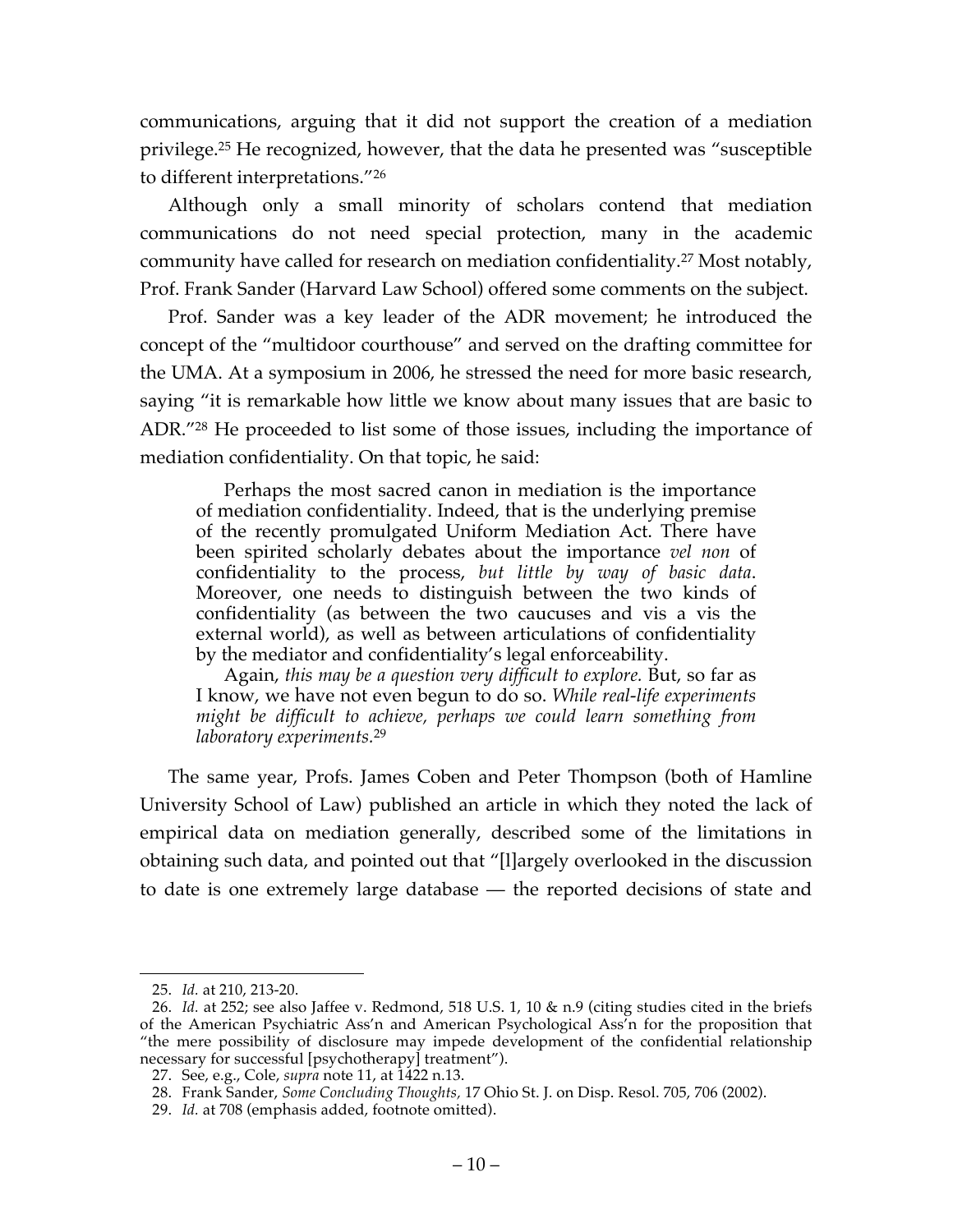communications, arguing that it did not support the creation of a mediation privilege.25 He recognized, however, that the data he presented was "susceptible to different interpretations."26

Although only a small minority of scholars contend that mediation communications do not need special protection, many in the academic community have called for research on mediation confidentiality.27 Most notably, Prof. Frank Sander (Harvard Law School) offered some comments on the subject.

Prof. Sander was a key leader of the ADR movement; he introduced the concept of the "multidoor courthouse" and served on the drafting committee for the UMA. At a symposium in 2006, he stressed the need for more basic research, saying "it is remarkable how little we know about many issues that are basic to ADR."28 He proceeded to list some of those issues, including the importance of mediation confidentiality. On that topic, he said:

Perhaps the most sacred canon in mediation is the importance of mediation confidentiality. Indeed, that is the underlying premise of the recently promulgated Uniform Mediation Act. There have been spirited scholarly debates about the importance *vel non* of confidentiality to the process, *but little by way of basic data*. Moreover, one needs to distinguish between the two kinds of confidentiality (as between the two caucuses and vis a vis the external world), as well as between articulations of confidentiality by the mediator and confidentiality's legal enforceability.

Again, *this may be a question very difficult to explore.* But, so far as I know, we have not even begun to do so. *While real-life experiments might be difficult to achieve, perhaps we could learn something from laboratory experiments.*<sup>29</sup>

The same year, Profs. James Coben and Peter Thompson (both of Hamline University School of Law) published an article in which they noted the lack of empirical data on mediation generally, described some of the limitations in obtaining such data, and pointed out that "[l]argely overlooked in the discussion to date is one extremely large database — the reported decisions of state and

 <sup>25.</sup> *Id.* at 210, 213-20.

<sup>26.</sup> *Id.* at 252; see also Jaffee v. Redmond, 518 U.S. 1, 10 & n.9 (citing studies cited in the briefs of the American Psychiatric Ass'n and American Psychological Ass'n for the proposition that "the mere possibility of disclosure may impede development of the confidential relationship necessary for successful [psychotherapy] treatment").

<sup>27.</sup> See, e.g., Cole, *supra* note 11, at 1422 n.13.

<sup>28.</sup> Frank Sander, *Some Concluding Thoughts,* 17 Ohio St. J. on Disp. Resol. 705, 706 (2002).

<sup>29.</sup> *Id.* at 708 (emphasis added, footnote omitted).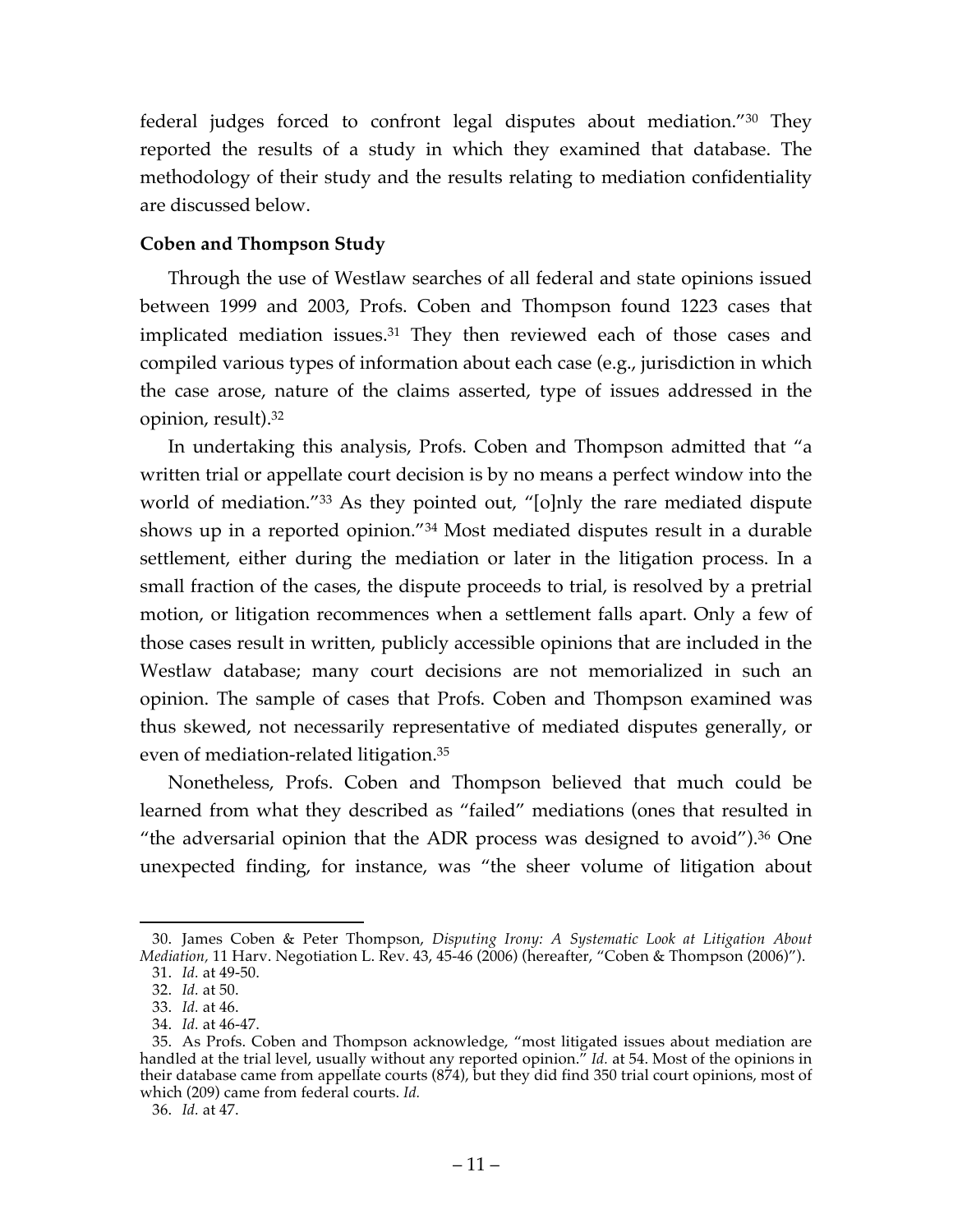federal judges forced to confront legal disputes about mediation."30 They reported the results of a study in which they examined that database. The methodology of their study and the results relating to mediation confidentiality are discussed below.

## **Coben and Thompson Study**

Through the use of Westlaw searches of all federal and state opinions issued between 1999 and 2003, Profs. Coben and Thompson found 1223 cases that implicated mediation issues.31 They then reviewed each of those cases and compiled various types of information about each case (e.g., jurisdiction in which the case arose, nature of the claims asserted, type of issues addressed in the opinion, result).32

In undertaking this analysis, Profs. Coben and Thompson admitted that "a written trial or appellate court decision is by no means a perfect window into the world of mediation.<sup>"33</sup> As they pointed out, "[o]nly the rare mediated dispute shows up in a reported opinion."34 Most mediated disputes result in a durable settlement, either during the mediation or later in the litigation process. In a small fraction of the cases, the dispute proceeds to trial, is resolved by a pretrial motion, or litigation recommences when a settlement falls apart. Only a few of those cases result in written, publicly accessible opinions that are included in the Westlaw database; many court decisions are not memorialized in such an opinion. The sample of cases that Profs. Coben and Thompson examined was thus skewed, not necessarily representative of mediated disputes generally, or even of mediation-related litigation. 35

Nonetheless, Profs. Coben and Thompson believed that much could be learned from what they described as "failed" mediations (ones that resulted in "the adversarial opinion that the ADR process was designed to avoid"). $36$  One unexpected finding, for instance, was "the sheer volume of litigation about

 <sup>30.</sup> James Coben & Peter Thompson, *Disputing Irony: A Systematic Look at Litigation About Mediation,* 11 Harv. Negotiation L. Rev. 43, 45-46 (2006) (hereafter, "Coben & Thompson (2006)").

<sup>31.</sup> *Id.* at 49-50.

<sup>32.</sup> *Id.* at 50.

<sup>33.</sup> *Id.* at 46.

<sup>34.</sup> *Id.* at 46-47.

<sup>35.</sup> As Profs. Coben and Thompson acknowledge, "most litigated issues about mediation are handled at the trial level, usually without any reported opinion." *Id.* at 54. Most of the opinions in their database came from appellate courts (874), but they did find 350 trial court opinions, most of which (209) came from federal courts. *Id.*

<sup>36.</sup> *Id.* at 47.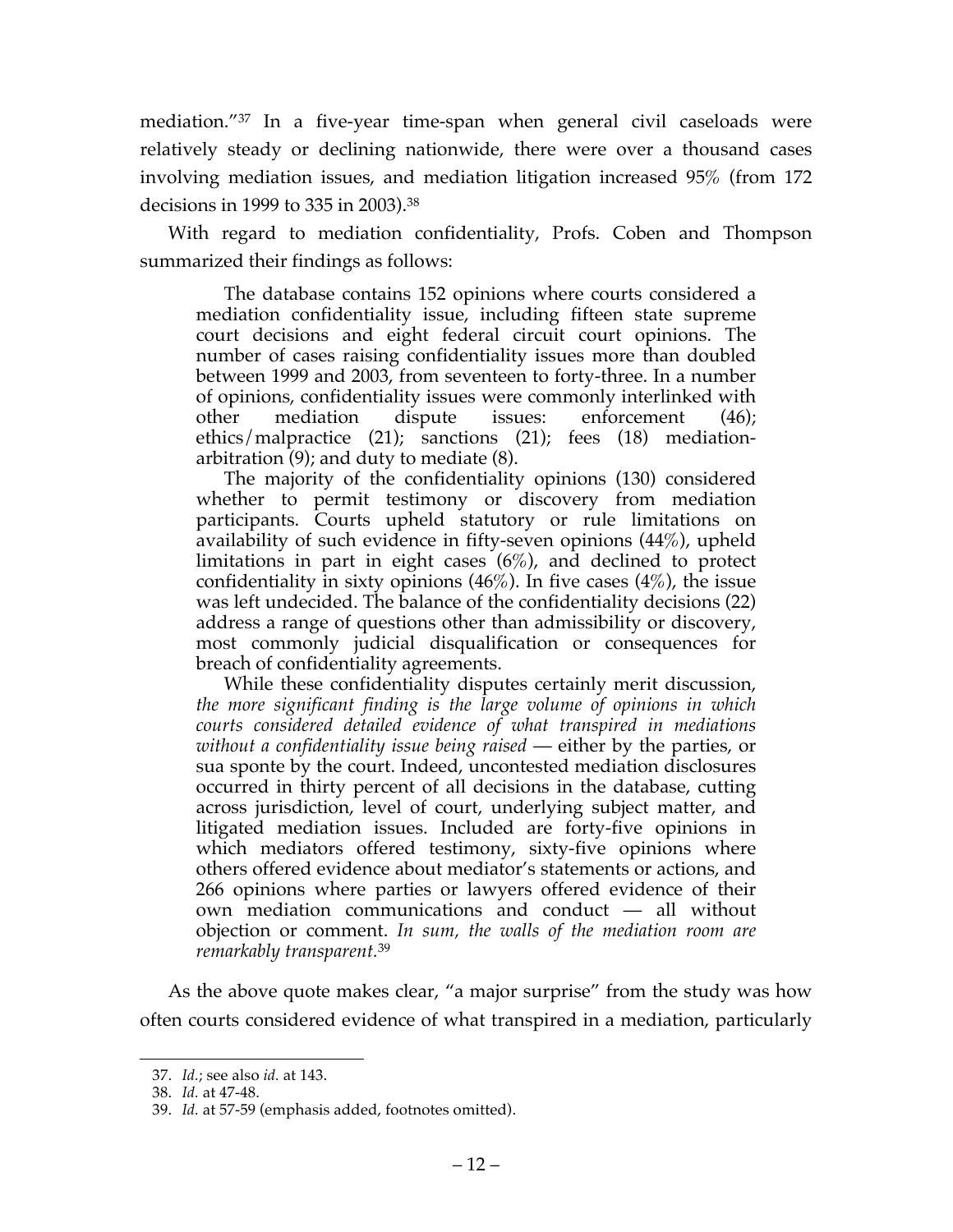mediation."37 In a five-year time-span when general civil caseloads were relatively steady or declining nationwide, there were over a thousand cases involving mediation issues, and mediation litigation increased 95% (from 172 decisions in 1999 to 335 in 2003). 38

With regard to mediation confidentiality, Profs. Coben and Thompson summarized their findings as follows:

The database contains 152 opinions where courts considered a mediation confidentiality issue, including fifteen state supreme court decisions and eight federal circuit court opinions. The number of cases raising confidentiality issues more than doubled between 1999 and 2003, from seventeen to forty-three. In a number of opinions, confidentiality issues were commonly interlinked with other mediation dispute issues: enforcement (46); ethics/malpractice (21); sanctions (21); fees (18) mediationarbitration (9); and duty to mediate (8).

The majority of the confidentiality opinions (130) considered whether to permit testimony or discovery from mediation participants. Courts upheld statutory or rule limitations on availability of such evidence in fifty-seven opinions (44%), upheld limitations in part in eight cases  $(6%)$ , and declined to protect confidentiality in sixty opinions  $(46\%)$ . In five cases  $(4\%)$ , the issue was left undecided. The balance of the confidentiality decisions (22) address a range of questions other than admissibility or discovery, most commonly judicial disqualification or consequences for breach of confidentiality agreements.

While these confidentiality disputes certainly merit discussion, *the more significant finding is the large volume of opinions in which courts considered detailed evidence of what transpired in mediations without a confidentiality issue being raised* — either by the parties, or sua sponte by the court. Indeed, uncontested mediation disclosures occurred in thirty percent of all decisions in the database, cutting across jurisdiction, level of court, underlying subject matter, and litigated mediation issues. Included are forty-five opinions in which mediators offered testimony, sixty-five opinions where others offered evidence about mediator's statements or actions, and 266 opinions where parties or lawyers offered evidence of their own mediation communications and conduct — all without objection or comment. *In sum, the walls of the mediation room are remarkably transparent.*<sup>39</sup>

As the above quote makes clear, "a major surprise" from the study was how often courts considered evidence of what transpired in a mediation, particularly

 <sup>37.</sup> *Id.*; see also *id.* at 143.

<sup>38.</sup> *Id.* at 47-48.

<sup>39.</sup> *Id.* at 57-59 (emphasis added, footnotes omitted).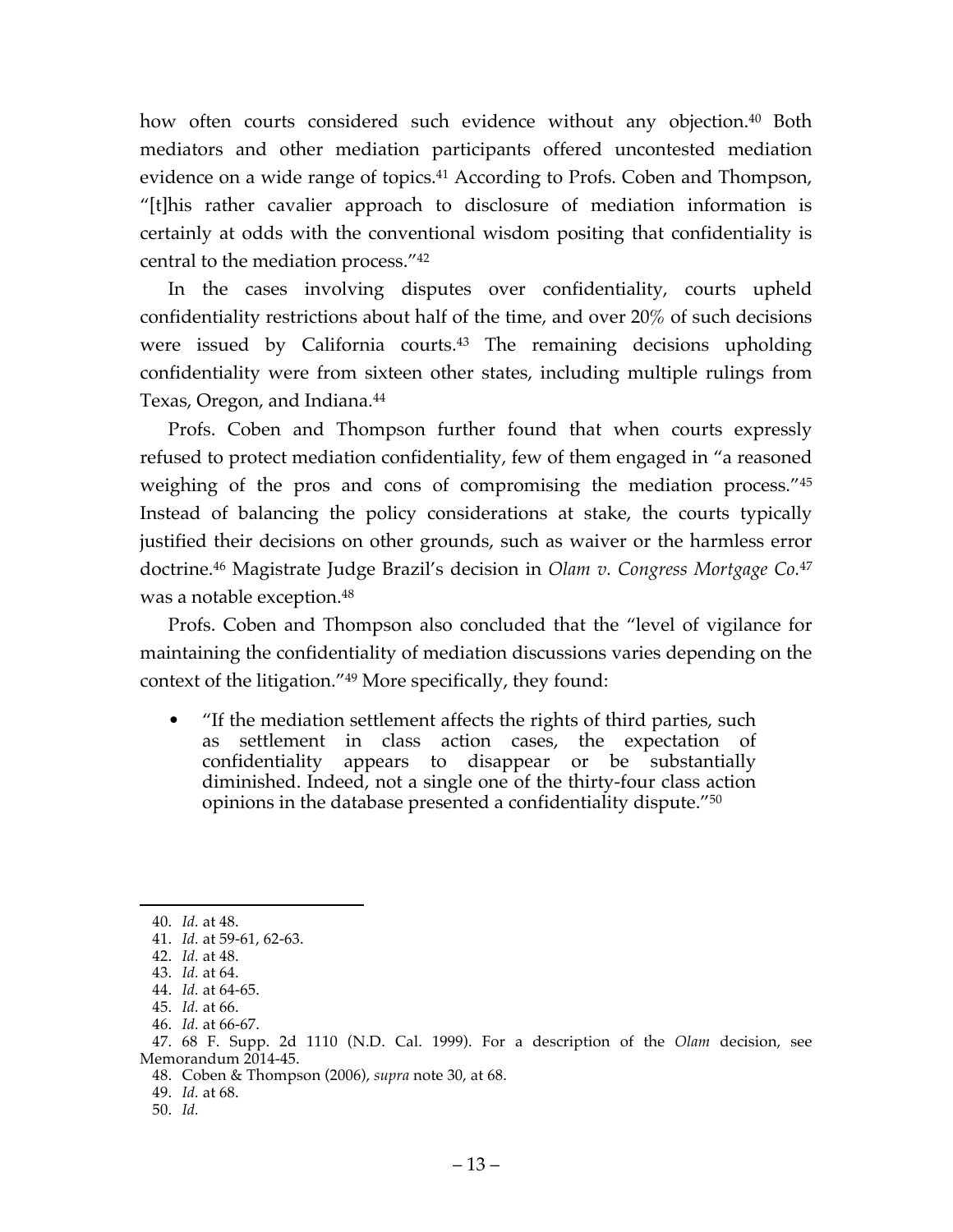how often courts considered such evidence without any objection.<sup>40</sup> Both mediators and other mediation participants offered uncontested mediation evidence on a wide range of topics. <sup>41</sup> According to Profs. Coben and Thompson, "[t]his rather cavalier approach to disclosure of mediation information is certainly at odds with the conventional wisdom positing that confidentiality is central to the mediation process."42

In the cases involving disputes over confidentiality, courts upheld confidentiality restrictions about half of the time, and over 20% of such decisions were issued by California courts. <sup>43</sup> The remaining decisions upholding confidentiality were from sixteen other states, including multiple rulings from Texas, Oregon, and Indiana.<sup>44</sup>

Profs. Coben and Thompson further found that when courts expressly refused to protect mediation confidentiality, few of them engaged in "a reasoned weighing of the pros and cons of compromising the mediation process."45 Instead of balancing the policy considerations at stake, the courts typically justified their decisions on other grounds, such as waiver or the harmless error doctrine.46 Magistrate Judge Brazil's decision in *Olam v. Congress Mortgage Co.*<sup>47</sup> was a notable exception.48

Profs. Coben and Thompson also concluded that the "level of vigilance for maintaining the confidentiality of mediation discussions varies depending on the context of the litigation."49 More specifically, they found:

• "If the mediation settlement affects the rights of third parties, such as settlement in class action cases, the expectation of confidentiality appears to disappear or be substantially diminished. Indeed, not a single one of the thirty-four class action opinions in the database presented a confidentiality dispute."50

 <sup>40.</sup> *Id.* at 48.

<sup>41.</sup> *Id.* at 59-61, 62-63.

<sup>42.</sup> *Id.* at 48.

<sup>43.</sup> *Id.* at 64.

<sup>44.</sup> *Id.* at 64-65.

<sup>45.</sup> *Id.* at 66.

<sup>46.</sup> *Id.* at 66-67.

<sup>47.</sup> 68 F. Supp. 2d 1110 (N.D. Cal. 1999). For a description of the *Olam* decision, see Memorandum 2014-45.

<sup>48.</sup> Coben & Thompson (2006), *supra* note 30, at 68.

<sup>49.</sup> *Id.* at 68.

<sup>50.</sup> *Id.*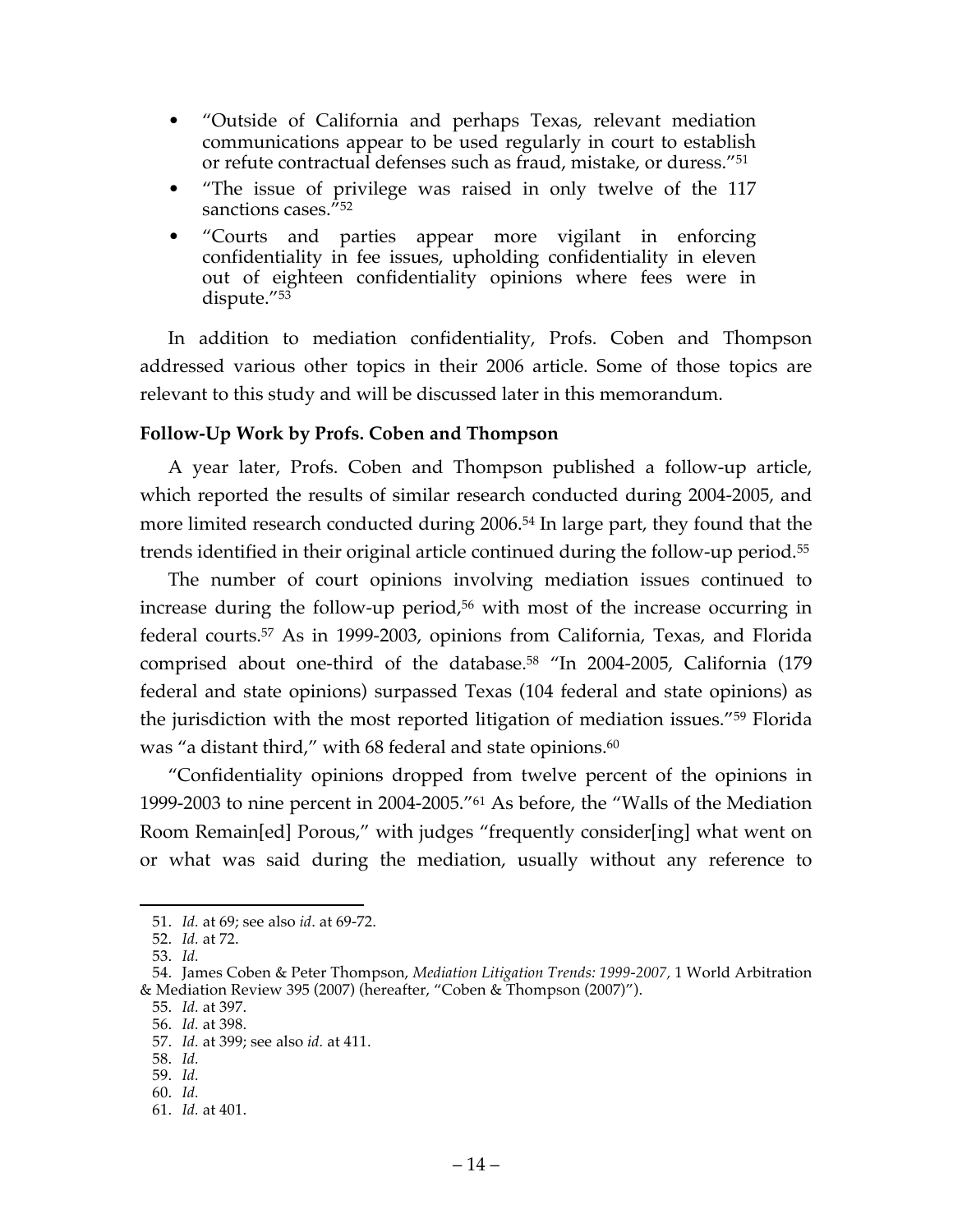- "Outside of California and perhaps Texas, relevant mediation communications appear to be used regularly in court to establish or refute contractual defenses such as fraud, mistake, or duress."51
- "The issue of privilege was raised in only twelve of the 117 sanctions cases.<sup>"52</sup>
- "Courts and parties appear more vigilant in enforcing confidentiality in fee issues, upholding confidentiality in eleven out of eighteen confidentiality opinions where fees were in dispute."53

In addition to mediation confidentiality, Profs. Coben and Thompson addressed various other topics in their 2006 article. Some of those topics are relevant to this study and will be discussed later in this memorandum.

## **Follow-Up Work by Profs. Coben and Thompson**

A year later, Profs. Coben and Thompson published a follow-up article, which reported the results of similar research conducted during 2004-2005, and more limited research conducted during 2006.<sup>54</sup> In large part, they found that the trends identified in their original article continued during the follow-up period.55

The number of court opinions involving mediation issues continued to increase during the follow-up period, <sup>56</sup> with most of the increase occurring in federal courts.57 As in 1999-2003, opinions from California, Texas, and Florida comprised about one-third of the database.58 "In 2004-2005, California (179 federal and state opinions) surpassed Texas (104 federal and state opinions) as the jurisdiction with the most reported litigation of mediation issues."59 Florida was "a distant third," with 68 federal and state opinions.<sup>60</sup>

"Confidentiality opinions dropped from twelve percent of the opinions in 1999-2003 to nine percent in 2004-2005."61 As before, the "Walls of the Mediation Room Remain[ed] Porous," with judges "frequently consider[ing] what went on or what was said during the mediation, usually without any reference to

55. *Id.* at 397.

 <sup>51.</sup> *Id.* at 69; see also *id*. at 69-72.

<sup>52.</sup> *Id.* at 72.

<sup>53.</sup> *Id.*

<sup>54.</sup> James Coben & Peter Thompson, *Mediation Litigation Trends: 1999-2007,* 1 World Arbitration & Mediation Review 395 (2007) (hereafter, "Coben & Thompson (2007)").

<sup>56.</sup> *Id.* at 398.

<sup>57.</sup> *Id.* at 399; see also *id.* at 411.

<sup>58.</sup> *Id.*

<sup>59.</sup> *Id.*

<sup>60.</sup> *Id.*

<sup>61.</sup> *Id.* at 401.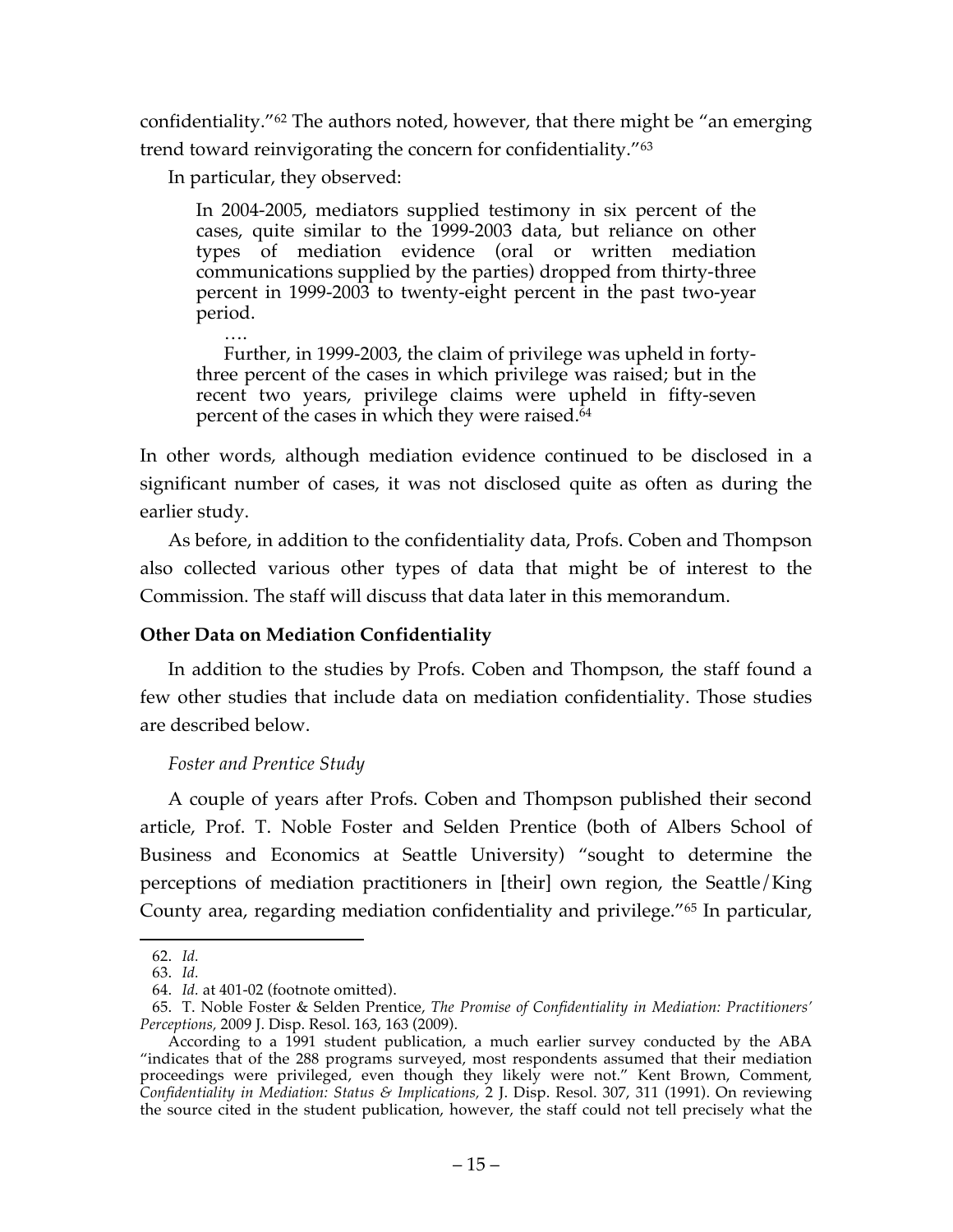confidentiality."62 The authors noted, however, that there might be "an emerging trend toward reinvigorating the concern for confidentiality."63

In particular, they observed:

In 2004-2005, mediators supplied testimony in six percent of the cases, quite similar to the 1999-2003 data, but reliance on other types of mediation evidence (oral or written mediation communications supplied by the parties) dropped from thirty-three percent in 1999-2003 to twenty-eight percent in the past two-year period.

…. Further, in 1999-2003, the claim of privilege was upheld in fortythree percent of the cases in which privilege was raised; but in the recent two years, privilege claims were upheld in fifty-seven percent of the cases in which they were raised.<sup>64</sup>

In other words, although mediation evidence continued to be disclosed in a significant number of cases, it was not disclosed quite as often as during the earlier study.

As before, in addition to the confidentiality data, Profs. Coben and Thompson also collected various other types of data that might be of interest to the Commission. The staff will discuss that data later in this memorandum.

## **Other Data on Mediation Confidentiality**

In addition to the studies by Profs. Coben and Thompson, the staff found a few other studies that include data on mediation confidentiality. Those studies are described below.

# *Foster and Prentice Study*

A couple of years after Profs. Coben and Thompson published their second article, Prof. T. Noble Foster and Selden Prentice (both of Albers School of Business and Economics at Seattle University) "sought to determine the perceptions of mediation practitioners in [their] own region, the Seattle/King County area, regarding mediation confidentiality and privilege."65 In particular,

 <sup>62.</sup> *Id.*

<sup>63.</sup> *Id.*

<sup>64.</sup> *Id.* at 401-02 (footnote omitted).

<sup>65.</sup> T. Noble Foster & Selden Prentice, *The Promise of Confidentiality in Mediation: Practitioners' Perceptions,* 2009 J. Disp. Resol. 163, 163 (2009).

According to a 1991 student publication, a much earlier survey conducted by the ABA "indicates that of the 288 programs surveyed, most respondents assumed that their mediation proceedings were privileged, even though they likely were not." Kent Brown, Comment, *Confidentiality in Mediation: Status & Implications,* 2 J. Disp. Resol. 307, 311 (1991). On reviewing the source cited in the student publication, however, the staff could not tell precisely what the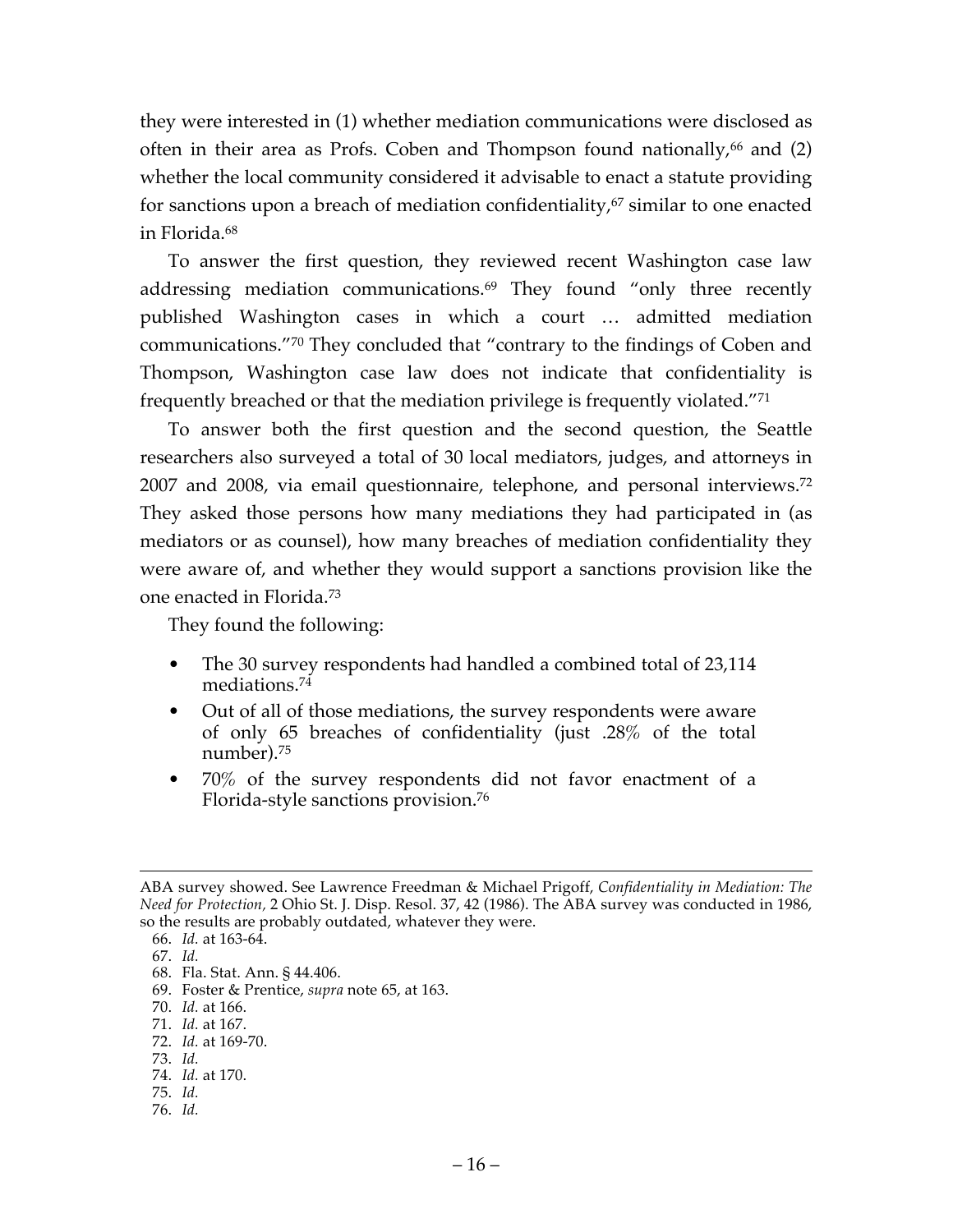they were interested in (1) whether mediation communications were disclosed as often in their area as Profs. Coben and Thompson found nationally,  $66$  and (2) whether the local community considered it advisable to enact a statute providing for sanctions upon a breach of mediation confidentiality, <sup>67</sup> similar to one enacted in Florida.68

To answer the first question, they reviewed recent Washington case law addressing mediation communications.<sup>69</sup> They found "only three recently published Washington cases in which a court … admitted mediation communications."70 They concluded that "contrary to the findings of Coben and Thompson, Washington case law does not indicate that confidentiality is frequently breached or that the mediation privilege is frequently violated."71

To answer both the first question and the second question, the Seattle researchers also surveyed a total of 30 local mediators, judges, and attorneys in 2007 and 2008, via email questionnaire, telephone, and personal interviews.72 They asked those persons how many mediations they had participated in (as mediators or as counsel), how many breaches of mediation confidentiality they were aware of, and whether they would support a sanctions provision like the one enacted in Florida.73

They found the following:

- The 30 survey respondents had handled a combined total of 23,114 mediations. 74
- Out of all of those mediations, the survey respondents were aware of only 65 breaches of confidentiality (just .28% of the total number).75
- 70% of the survey respondents did not favor enactment of a Florida-style sanctions provision.76

- 72. *Id.* at 169-70.
- 73. *Id.*
- 74. *Id.* at 170.
- 75. *Id.*
- 76. *Id.*

ABA survey showed. See Lawrence Freedman & Michael Prigoff, *Confidentiality in Mediation: The Need for Protection,* 2 Ohio St. J. Disp. Resol. 37, 42 (1986). The ABA survey was conducted in 1986, so the results are probably outdated, whatever they were.

<sup>66.</sup> *Id.* at 163-64. 67. *Id.*

<sup>68.</sup> Fla. Stat. Ann. § 44.406.

<sup>69.</sup> Foster & Prentice, *supra* note 65, at 163.

<sup>70.</sup> *Id.* at 166.

<sup>71.</sup> *Id.* at 167.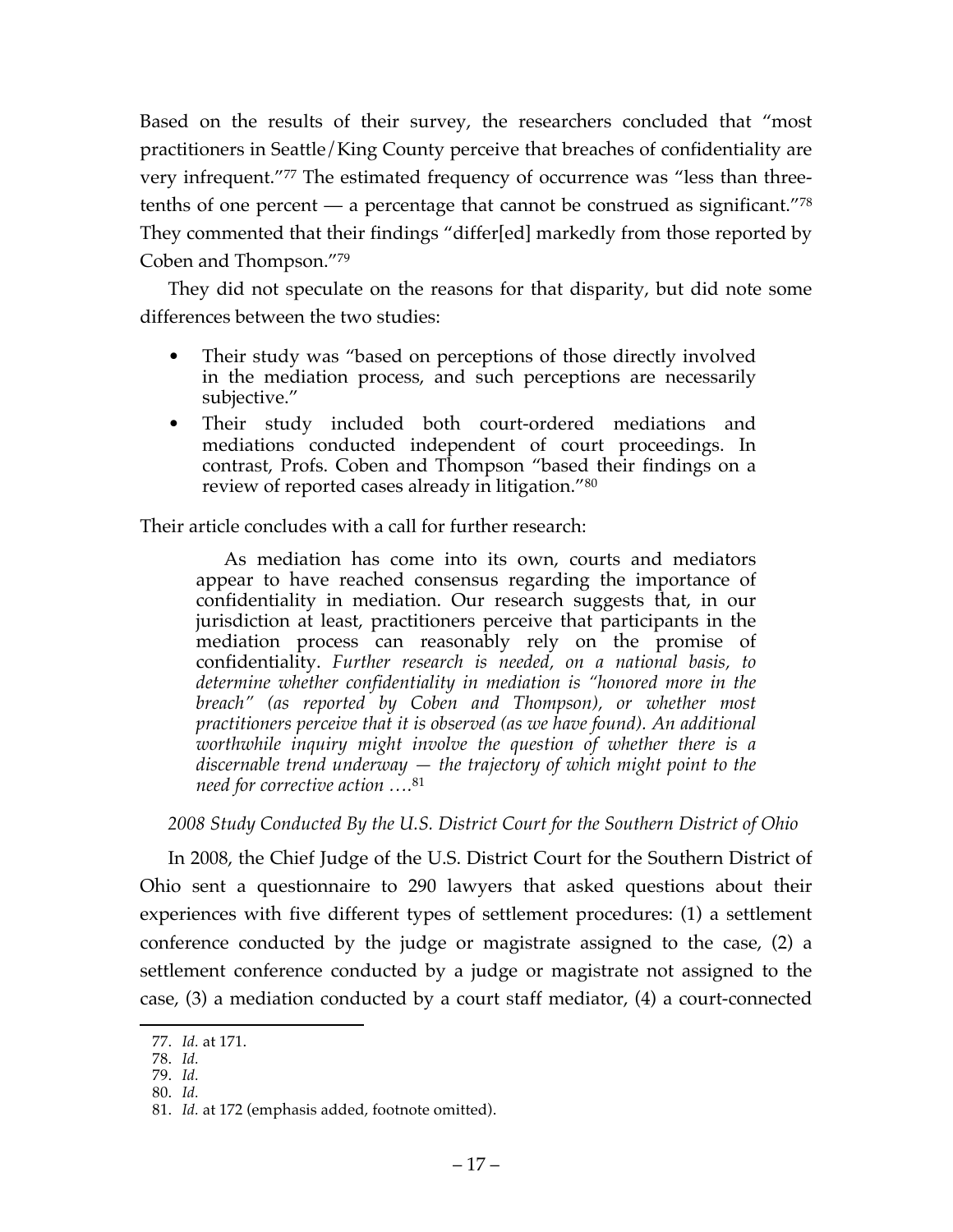Based on the results of their survey, the researchers concluded that "most practitioners in Seattle/King County perceive that breaches of confidentiality are very infrequent."77 The estimated frequency of occurrence was "less than threetenths of one percent  $-$  a percentage that cannot be construed as significant."<sup>78</sup> They commented that their findings "differ[ed] markedly from those reported by Coben and Thompson."79

They did not speculate on the reasons for that disparity, but did note some differences between the two studies:

- Their study was "based on perceptions of those directly involved in the mediation process, and such perceptions are necessarily subjective."
- Their study included both court-ordered mediations and mediations conducted independent of court proceedings. In contrast, Profs. Coben and Thompson "based their findings on a review of reported cases already in litigation."80

Their article concludes with a call for further research:

As mediation has come into its own, courts and mediators appear to have reached consensus regarding the importance of confidentiality in mediation. Our research suggests that, in our jurisdiction at least, practitioners perceive that participants in the mediation process can reasonably rely on the promise of confidentiality. *Further research is needed, on a national basis, to determine whether confidentiality in mediation is "honored more in the breach" (as reported by Coben and Thompson), or whether most practitioners perceive that it is observed (as we have found). An additional worthwhile inquiry might involve the question of whether there is a discernable trend underway — the trajectory of which might point to the need for corrective action ….*<sup>81</sup>

*2008 Study Conducted By the U.S. District Court for the Southern District of Ohio*

In 2008, the Chief Judge of the U.S. District Court for the Southern District of Ohio sent a questionnaire to 290 lawyers that asked questions about their experiences with five different types of settlement procedures: (1) a settlement conference conducted by the judge or magistrate assigned to the case, (2) a settlement conference conducted by a judge or magistrate not assigned to the case, (3) a mediation conducted by a court staff mediator, (4) a court-connected

 <sup>77.</sup> *Id.* at 171.

<sup>78.</sup> *Id.*

<sup>79.</sup> *Id.*

<sup>80.</sup> *Id.*

<sup>81.</sup> *Id.* at 172 (emphasis added, footnote omitted).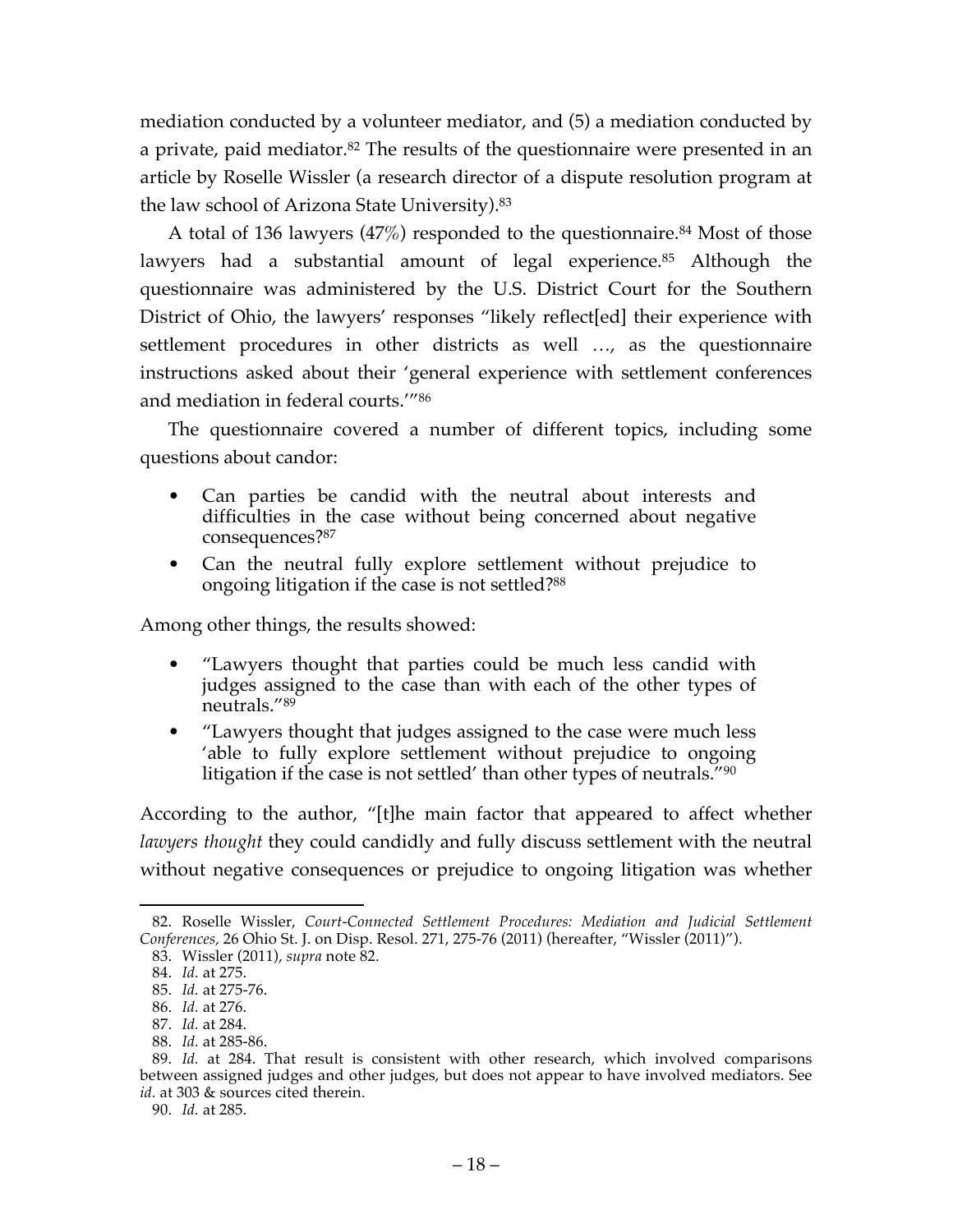mediation conducted by a volunteer mediator, and (5) a mediation conducted by a private, paid mediator.<sup>82</sup> The results of the questionnaire were presented in an article by Roselle Wissler (a research director of a dispute resolution program at the law school of Arizona State University).83

A total of 136 lawyers (47%) responded to the questionnaire. <sup>84</sup> Most of those lawyers had a substantial amount of legal experience.<sup>85</sup> Although the questionnaire was administered by the U.S. District Court for the Southern District of Ohio, the lawyers' responses "likely reflect[ed] their experience with settlement procedures in other districts as well …, as the questionnaire instructions asked about their 'general experience with settlement conferences and mediation in federal courts.'"86

The questionnaire covered a number of different topics, including some questions about candor:

- Can parties be candid with the neutral about interests and difficulties in the case without being concerned about negative consequences?87
- Can the neutral fully explore settlement without prejudice to ongoing litigation if the case is not settled?88

Among other things, the results showed:

- "Lawyers thought that parties could be much less candid with judges assigned to the case than with each of the other types of neutrals."89
- "Lawyers thought that judges assigned to the case were much less 'able to fully explore settlement without prejudice to ongoing litigation if the case is not settled' than other types of neutrals.<sup>"90</sup>

According to the author, "[t]he main factor that appeared to affect whether *lawyers thought* they could candidly and fully discuss settlement with the neutral without negative consequences or prejudice to ongoing litigation was whether

90. *Id.* at 285.

 <sup>82.</sup> Roselle Wissler, *Court-Connected Settlement Procedures: Mediation and Judicial Settlement Conferences,* 26 Ohio St. J. on Disp. Resol. 271, 275-76 (2011) (hereafter, "Wissler (2011)").

<sup>83.</sup> Wissler (2011), *supra* note 82.

<sup>84.</sup> *Id.* at 275.

<sup>85.</sup> *Id.* at 275-76.

<sup>86.</sup> *Id.* at 276.

<sup>87.</sup> *Id.* at 284.

<sup>88.</sup> *Id.* at 285-86.

<sup>89.</sup> *Id.* at 284. That result is consistent with other research, which involved comparisons between assigned judges and other judges, but does not appear to have involved mediators. See id. at 303 & sources cited therein.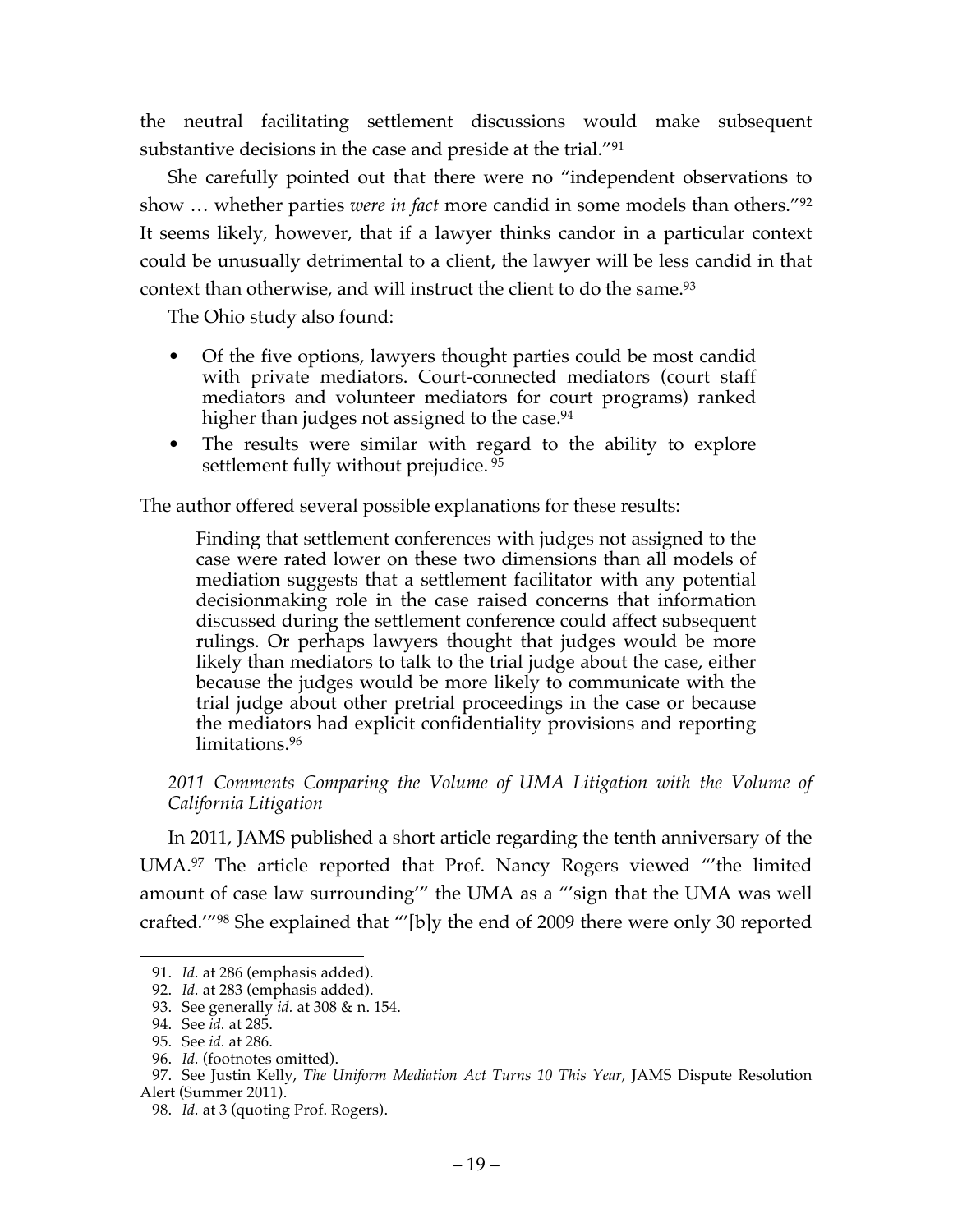the neutral facilitating settlement discussions would make subsequent substantive decisions in the case and preside at the trial."91

She carefully pointed out that there were no "independent observations to show … whether parties *were in fact* more candid in some models than others."92 It seems likely, however, that if a lawyer thinks candor in a particular context could be unusually detrimental to a client, the lawyer will be less candid in that context than otherwise, and will instruct the client to do the same.93

The Ohio study also found:

- Of the five options, lawyers thought parties could be most candid with private mediators. Court-connected mediators (court staff mediators and volunteer mediators for court programs) ranked higher than judges not assigned to the case.<sup>94</sup>
- The results were similar with regard to the ability to explore settlement fully without prejudice. <sup>95</sup>

The author offered several possible explanations for these results:

Finding that settlement conferences with judges not assigned to the case were rated lower on these two dimensions than all models of mediation suggests that a settlement facilitator with any potential decisionmaking role in the case raised concerns that information discussed during the settlement conference could affect subsequent rulings. Or perhaps lawyers thought that judges would be more likely than mediators to talk to the trial judge about the case, either because the judges would be more likely to communicate with the trial judge about other pretrial proceedings in the case or because the mediators had explicit confidentiality provisions and reporting limitations.96

2011 Comments Comparing the Volume of UMA Litigation with the Volume of *California Litigation*

In 2011, JAMS published a short article regarding the tenth anniversary of the UMA.97 The article reported that Prof. Nancy Rogers viewed "'the limited amount of case law surrounding'" the UMA as a "'sign that the UMA was well crafted.'"98 She explained that "'[b]y the end of 2009 there were only 30 reported

 <sup>91.</sup> *Id.* at 286 (emphasis added).

<sup>92.</sup> *Id.* at 283 (emphasis added).

<sup>93.</sup> See generally *id.* at 308 & n. 154.

<sup>94.</sup> See *id.* at 285.

<sup>95.</sup> See *id.* at 286.

<sup>96.</sup> *Id.* (footnotes omitted).

<sup>97.</sup> See Justin Kelly, *The Uniform Mediation Act Turns 10 This Year,* JAMS Dispute Resolution Alert (Summer 2011).

<sup>98.</sup> *Id.* at 3 (quoting Prof. Rogers).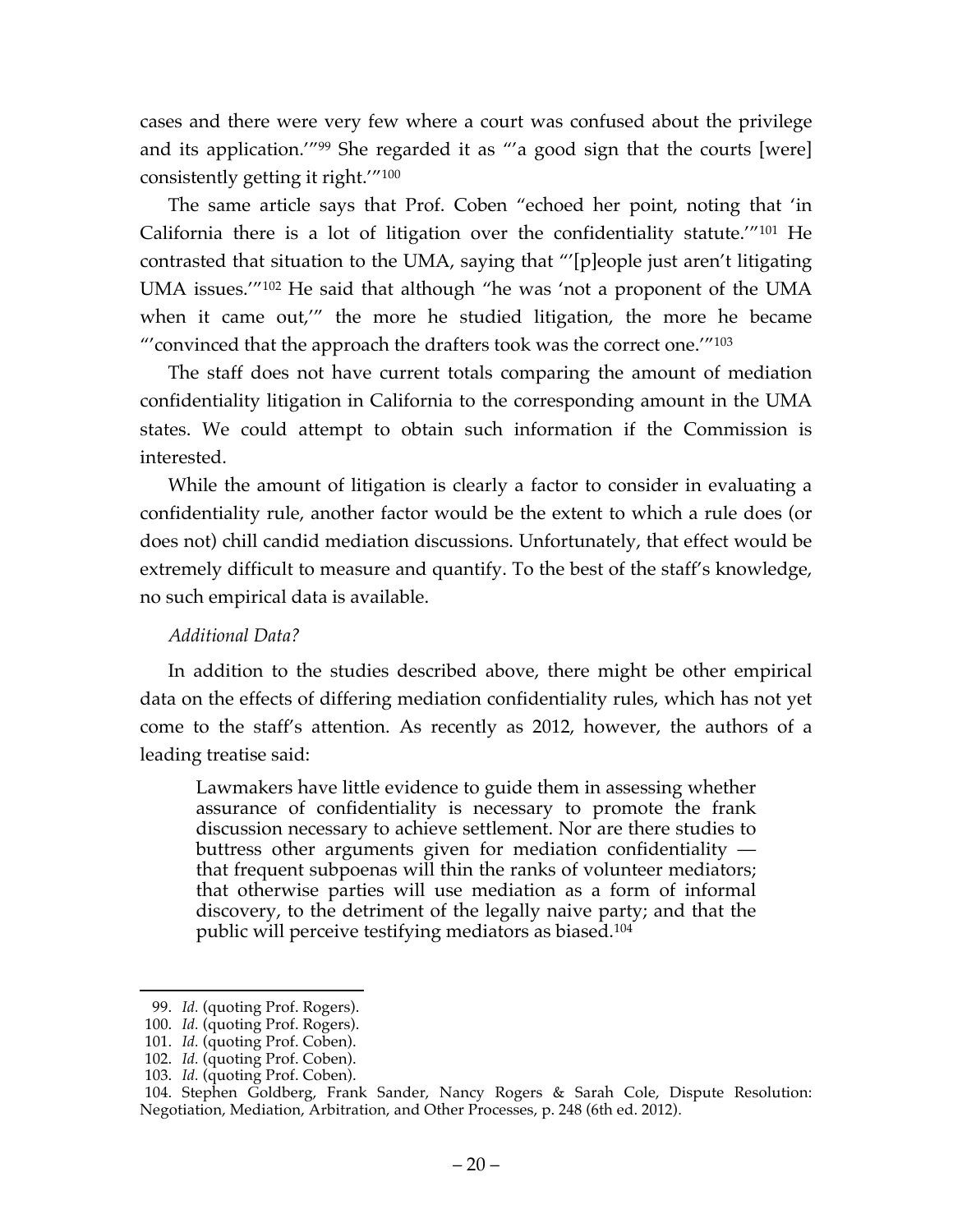cases and there were very few where a court was confused about the privilege and its application.'"99 She regarded it as "'a good sign that the courts [were] consistently getting it right.'"100

The same article says that Prof. Coben "echoed her point, noting that 'in California there is a lot of litigation over the confidentiality statute.'"101 He contrasted that situation to the UMA, saying that "'[p]eople just aren't litigating UMA issues.'"102 He said that although "he was 'not a proponent of the UMA when it came out,'" the more he studied litigation, the more he became "'convinced that the approach the drafters took was the correct one.'"103

The staff does not have current totals comparing the amount of mediation confidentiality litigation in California to the corresponding amount in the UMA states. We could attempt to obtain such information if the Commission is interested.

While the amount of litigation is clearly a factor to consider in evaluating a confidentiality rule, another factor would be the extent to which a rule does (or does not) chill candid mediation discussions. Unfortunately, that effect would be extremely difficult to measure and quantify. To the best of the staff's knowledge, no such empirical data is available.

## *Additional Data?*

In addition to the studies described above, there might be other empirical data on the effects of differing mediation confidentiality rules, which has not yet come to the staff's attention. As recently as 2012, however, the authors of a leading treatise said:

Lawmakers have little evidence to guide them in assessing whether assurance of confidentiality is necessary to promote the frank discussion necessary to achieve settlement. Nor are there studies to buttress other arguments given for mediation confidentiality that frequent subpoenas will thin the ranks of volunteer mediators; that otherwise parties will use mediation as a form of informal discovery, to the detriment of the legally naive party; and that the public will perceive testifying mediators as biased.104

 <sup>99.</sup> *Id.* (quoting Prof. Rogers).

<sup>100.</sup> *Id.* (quoting Prof. Rogers).

<sup>101.</sup> *Id.* (quoting Prof. Coben).

<sup>102.</sup> *Id.* (quoting Prof. Coben).

<sup>103.</sup> *Id.* (quoting Prof. Coben).

<sup>104.</sup> Stephen Goldberg, Frank Sander, Nancy Rogers & Sarah Cole, Dispute Resolution: Negotiation, Mediation, Arbitration, and Other Processes, p. 248 (6th ed. 2012).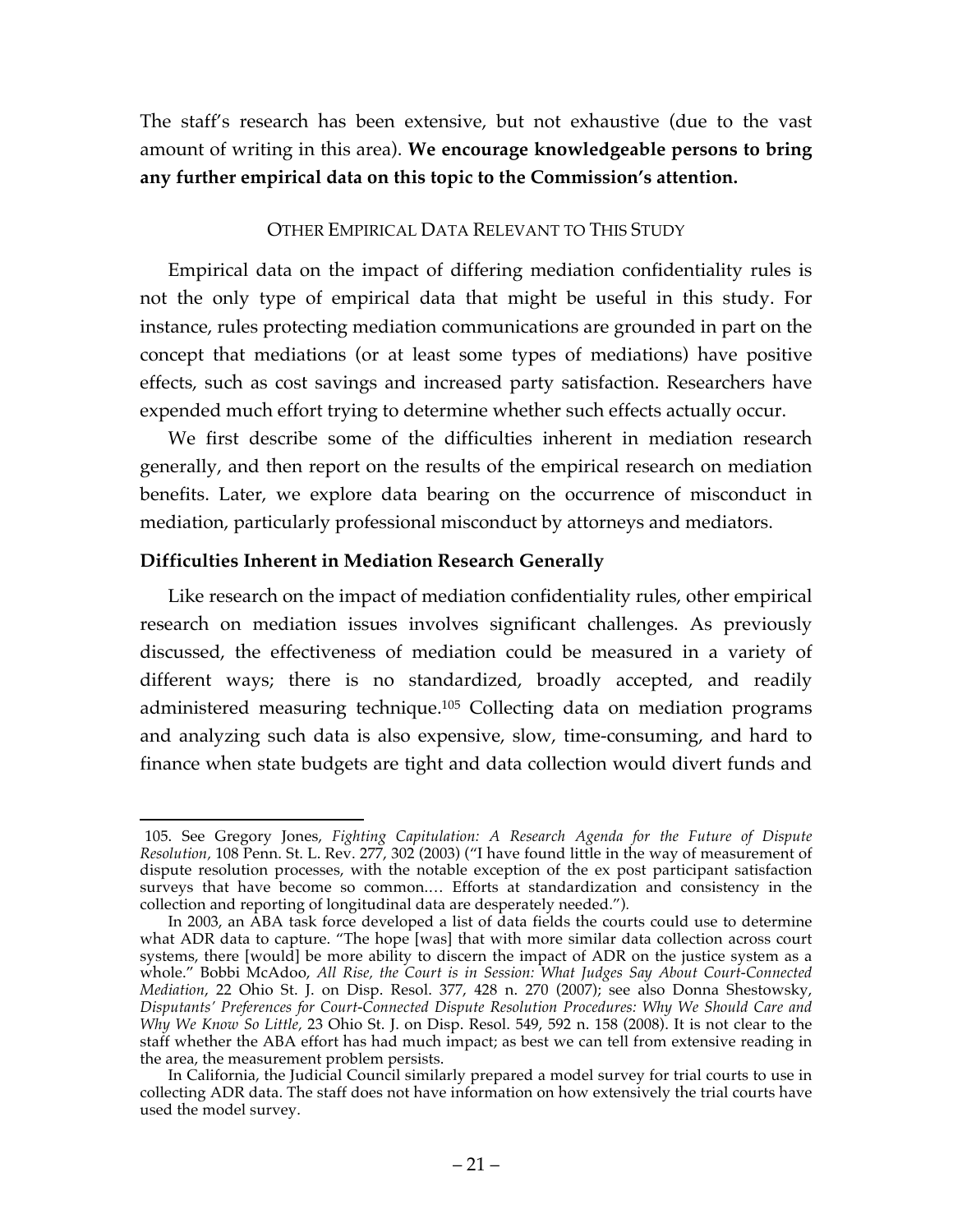The staff's research has been extensive, but not exhaustive (due to the vast amount of writing in this area). **We encourage knowledgeable persons to bring any further empirical data on this topic to the Commission's attention.**

#### OTHER EMPIRICAL DATA RELEVANT TO THIS STUDY

Empirical data on the impact of differing mediation confidentiality rules is not the only type of empirical data that might be useful in this study. For instance, rules protecting mediation communications are grounded in part on the concept that mediations (or at least some types of mediations) have positive effects, such as cost savings and increased party satisfaction. Researchers have expended much effort trying to determine whether such effects actually occur.

We first describe some of the difficulties inherent in mediation research generally, and then report on the results of the empirical research on mediation benefits. Later, we explore data bearing on the occurrence of misconduct in mediation, particularly professional misconduct by attorneys and mediators.

## **Difficulties Inherent in Mediation Research Generally**

Like research on the impact of mediation confidentiality rules, other empirical research on mediation issues involves significant challenges. As previously discussed, the effectiveness of mediation could be measured in a variety of different ways; there is no standardized, broadly accepted, and readily administered measuring technique.105 Collecting data on mediation programs and analyzing such data is also expensive, slow, time-consuming, and hard to finance when state budgets are tight and data collection would divert funds and

 <sup>105.</sup> See Gregory Jones, *Fighting Capitulation: A Research Agenda for the Future of Dispute Resolution,* 108 Penn. St. L. Rev. 277, 302 (2003) ("I have found little in the way of measurement of dispute resolution processes, with the notable exception of the ex post participant satisfaction surveys that have become so common.... Efforts at standardization and consistency in the collection and reporting of longitudinal data are desperately needed.")*.*

In 2003, an ABA task force developed a list of data fields the courts could use to determine what ADR data to capture. "The hope [was] that with more similar data collection across court systems, there [would] be more ability to discern the impact of ADR on the justice system as a whole." Bobbi McAdoo, *All Rise, the Court is in Session: What Judges Say About Court-Connected Mediation*, 22 Ohio St. J. on Disp. Resol. 377, 428 n. 270 (2007); see also Donna Shestowsky, *Disputants' Preferences for Court-Connected Dispute Resolution Procedures: Why We Should Care and Why We Know So Little,* 23 Ohio St. J. on Disp. Resol. 549, 592 n. 158 (2008). It is not clear to the staff whether the ABA effort has had much impact; as best we can tell from extensive reading in the area, the measurement problem persists.

In California, the Judicial Council similarly prepared a model survey for trial courts to use in collecting ADR data. The staff does not have information on how extensively the trial courts have used the model survey.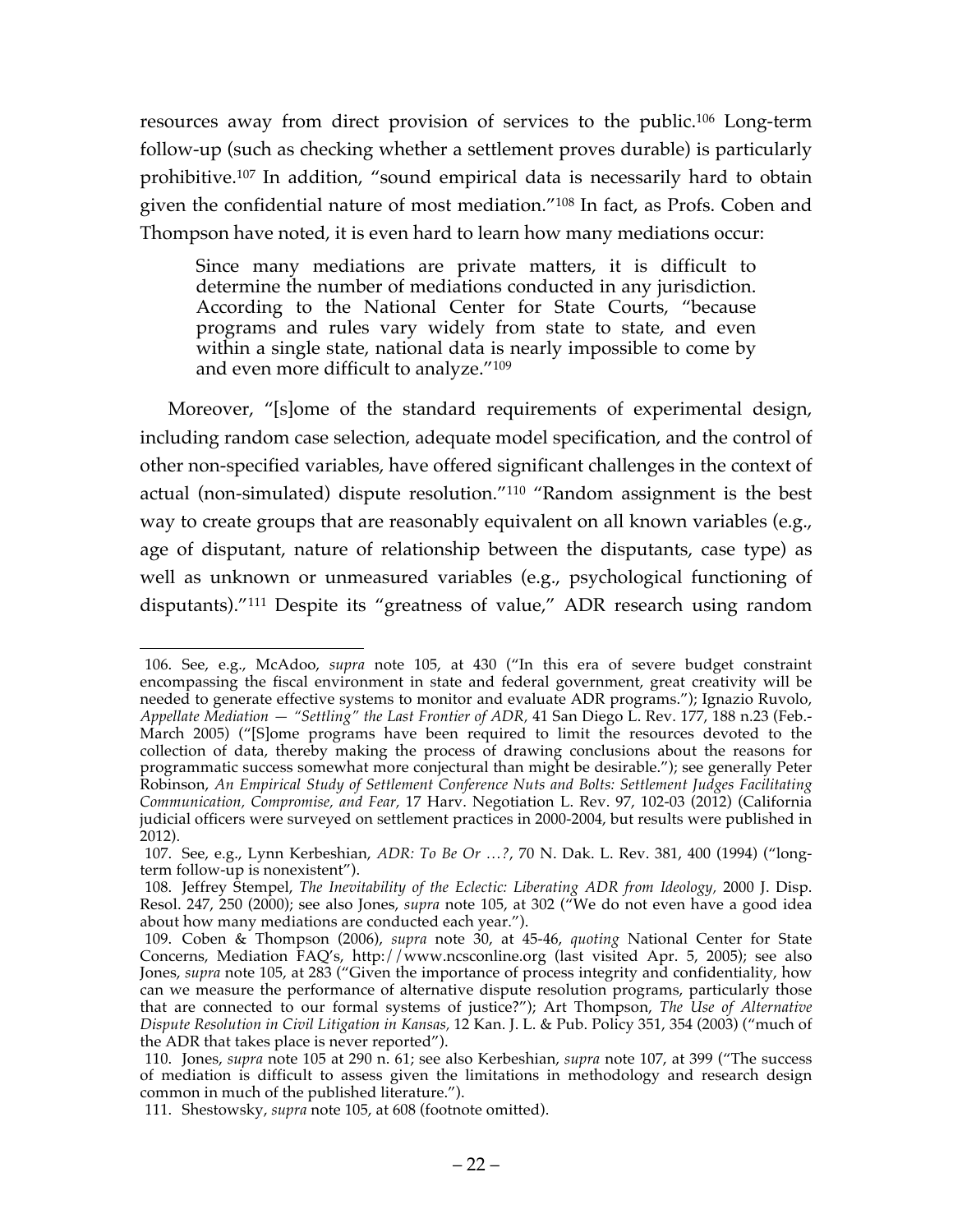resources away from direct provision of services to the public.106 Long-term follow-up (such as checking whether a settlement proves durable) is particularly prohibitive.107 In addition, "sound empirical data is necessarily hard to obtain given the confidential nature of most mediation."108 In fact, as Profs. Coben and Thompson have noted, it is even hard to learn how many mediations occur:

Since many mediations are private matters, it is difficult to determine the number of mediations conducted in any jurisdiction. According to the National Center for State Courts, "because programs and rules vary widely from state to state, and even within a single state, national data is nearly impossible to come by and even more difficult to analyze."109

Moreover, "[s]ome of the standard requirements of experimental design, including random case selection, adequate model specification, and the control of other non-specified variables, have offered significant challenges in the context of actual (non-simulated) dispute resolution."110 "Random assignment is the best way to create groups that are reasonably equivalent on all known variables (e.g., age of disputant, nature of relationship between the disputants, case type) as well as unknown or unmeasured variables (e.g., psychological functioning of disputants)."111 Despite its "greatness of value," ADR research using random

 <sup>106.</sup> See, e.g., McAdoo, *supra* note 105, at 430 ("In this era of severe budget constraint encompassing the fiscal environment in state and federal government, great creativity will be needed to generate effective systems to monitor and evaluate ADR programs."); Ignazio Ruvolo, *Appellate Mediation — "Settling" the Last Frontier of ADR,* 41 San Diego L. Rev. 177, 188 n.23 (Feb.- March 2005) ("[S]ome programs have been required to limit the resources devoted to the collection of data, thereby making the process of drawing conclusions about the reasons for programmatic success somewhat more conjectural than might be desirable."); see generally Peter Robinson, *An Empirical Study of Settlement Conference Nuts and Bolts: Settlement Judges Facilitating Communication, Compromise, and Fear,* 17 Harv. Negotiation L. Rev. 97, 102-03 (2012) (California judicial officers were surveyed on settlement practices in 2000-2004, but results were published in 2012).

<sup>107.</sup> See, e.g., Lynn Kerbeshian, *ADR: To Be Or …?*, 70 N. Dak. L. Rev. 381, 400 (1994) ("longterm follow-up is nonexistent").

<sup>108.</sup> Jeffrey Stempel, *The Inevitability of the Eclectic: Liberating ADR from Ideology,* 2000 J. Disp. Resol. 247, 250 (2000); see also Jones, *supra* note 105, at 302 ("We do not even have a good idea about how many mediations are conducted each year.").

<sup>109.</sup> Coben & Thompson (2006), *supra* note 30, at 45-46, *quoting* National Center for State Concerns, Mediation FAQ's, http://www.ncsconline.org (last visited Apr. 5, 2005); see also Jones, *supra* note 105, at 283 ("Given the importance of process integrity and confidentiality, how can we measure the performance of alternative dispute resolution programs, particularly those that are connected to our formal systems of justice?"); Art Thompson, *The Use of Alternative Dispute Resolution in Civil Litigation in Kansas,* 12 Kan. J. L. & Pub. Policy 351, 354 (2003) ("much of the ADR that takes place is never reported").

<sup>110.</sup> Jones, *supra* note 105 at 290 n. 61; see also Kerbeshian, *supra* note 107, at 399 ("The success of mediation is difficult to assess given the limitations in methodology and research design common in much of the published literature.").

<sup>111.</sup> Shestowsky, *supra* note 105, at 608 (footnote omitted).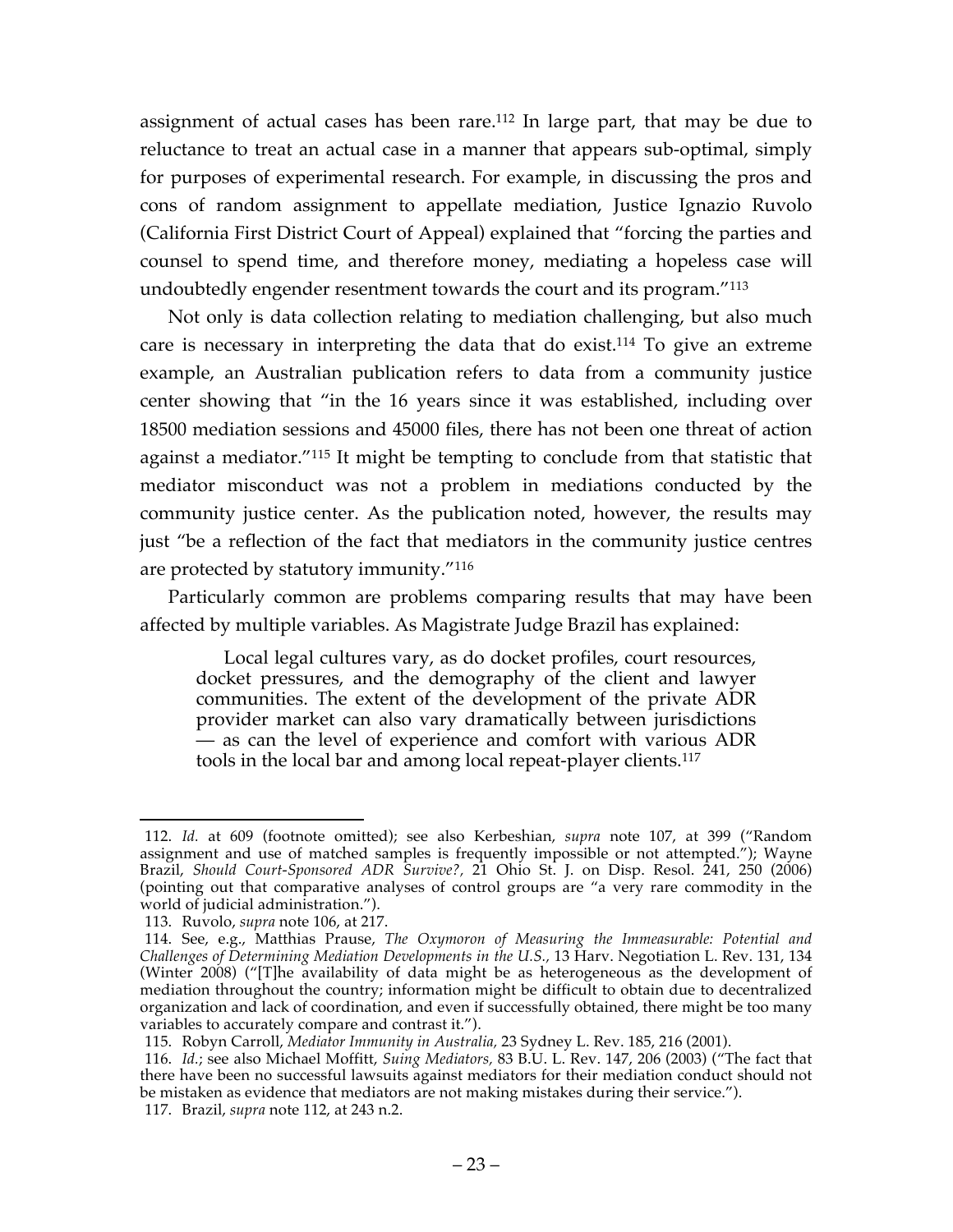assignment of actual cases has been rare.112 In large part, that may be due to reluctance to treat an actual case in a manner that appears sub-optimal, simply for purposes of experimental research. For example, in discussing the pros and cons of random assignment to appellate mediation, Justice Ignazio Ruvolo (California First District Court of Appeal) explained that "forcing the parties and counsel to spend time, and therefore money, mediating a hopeless case will undoubtedly engender resentment towards the court and its program."113

Not only is data collection relating to mediation challenging, but also much care is necessary in interpreting the data that do exist.114 To give an extreme example, an Australian publication refers to data from a community justice center showing that "in the 16 years since it was established, including over 18500 mediation sessions and 45000 files, there has not been one threat of action against a mediator."115 It might be tempting to conclude from that statistic that mediator misconduct was not a problem in mediations conducted by the community justice center. As the publication noted, however, the results may just "be a reflection of the fact that mediators in the community justice centres are protected by statutory immunity."116

Particularly common are problems comparing results that may have been affected by multiple variables. As Magistrate Judge Brazil has explained:

Local legal cultures vary, as do docket profiles, court resources, docket pressures, and the demography of the client and lawyer communities. The extent of the development of the private ADR provider market can also vary dramatically between jurisdictions — as can the level of experience and comfort with various ADR tools in the local bar and among local repeat-player clients.117

 <sup>112.</sup> *Id.* at 609 (footnote omitted); see also Kerbeshian, *supra* note 107, at 399 ("Random assignment and use of matched samples is frequently impossible or not attempted."); Wayne Brazil, *Should Court-Sponsored ADR Survive?,* 21 Ohio St. J. on Disp. Resol. 241, 250 (2006) (pointing out that comparative analyses of control groups are "a very rare commodity in the world of judicial administration.").

<sup>113.</sup> Ruvolo, *supra* note 106, at 217.

<sup>114.</sup> See, e.g., Matthias Prause, *The Oxymoron of Measuring the Immeasurable: Potential and Challenges of Determining Mediation Developments in the U.S.,* 13 Harv. Negotiation L. Rev. 131, 134 (Winter 2008) ("[T]he availability of data might be as heterogeneous as the development of mediation throughout the country; information might be difficult to obtain due to decentralized organization and lack of coordination, and even if successfully obtained, there might be too many variables to accurately compare and contrast it.").

<sup>115.</sup> Robyn Carroll, *Mediator Immunity in Australia,* 23 Sydney L. Rev. 185, 216 (2001).

<sup>116.</sup> *Id.*; see also Michael Moffitt, *Suing Mediators,* 83 B.U. L. Rev. 147, 206 (2003) ("The fact that there have been no successful lawsuits against mediators for their mediation conduct should not there have been no successful lawsuits against mediators for their mediation conduct should not be mistaken as evidence that mediators are not making mistakes during their service."). 117. Brazil, *supra* note 112, at 243 n.2.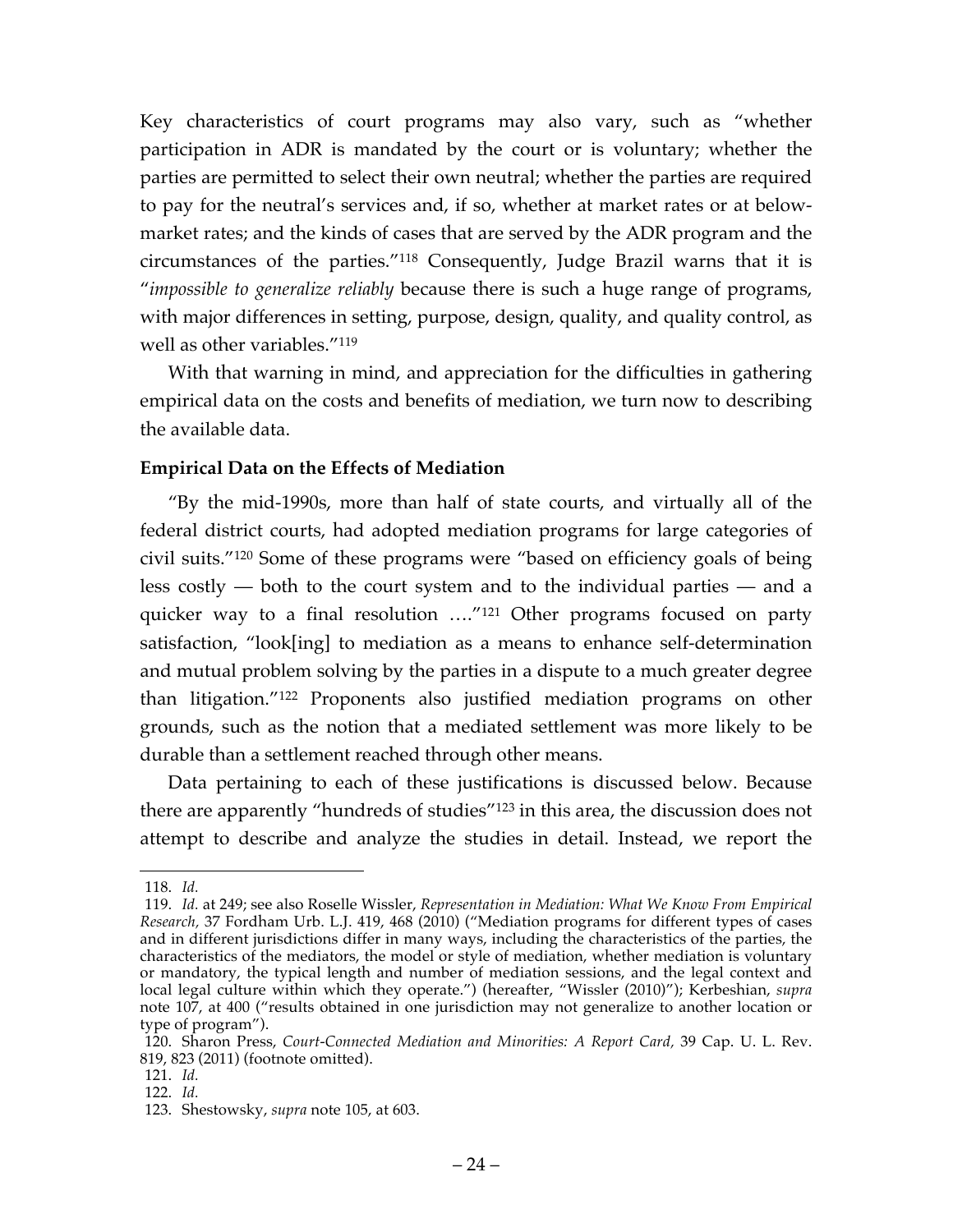Key characteristics of court programs may also vary, such as "whether participation in ADR is mandated by the court or is voluntary; whether the parties are permitted to select their own neutral; whether the parties are required to pay for the neutral's services and, if so, whether at market rates or at belowmarket rates; and the kinds of cases that are served by the ADR program and the circumstances of the parties."118 Consequently, Judge Brazil warns that it is "*impossible to generalize reliably* because there is such a huge range of programs, with major differences in setting, purpose, design, quality, and quality control, as well as other variables."119

With that warning in mind, and appreciation for the difficulties in gathering empirical data on the costs and benefits of mediation, we turn now to describing the available data.

#### **Empirical Data on the Effects of Mediation**

"By the mid-1990s, more than half of state courts, and virtually all of the federal district courts, had adopted mediation programs for large categories of civil suits."120 Some of these programs were "based on efficiency goals of being less costly — both to the court system and to the individual parties — and a quicker way to a final resolution …."121 Other programs focused on party satisfaction, "look[ing] to mediation as a means to enhance self-determination and mutual problem solving by the parties in a dispute to a much greater degree than litigation."122 Proponents also justified mediation programs on other grounds, such as the notion that a mediated settlement was more likely to be durable than a settlement reached through other means.

Data pertaining to each of these justifications is discussed below. Because there are apparently "hundreds of studies"123 in this area, the discussion does not attempt to describe and analyze the studies in detail. Instead, we report the

 <sup>118.</sup> *Id.*

<sup>119.</sup> *Id.* at 249; see also Roselle Wissler, *Representation in Mediation: What We Know From Empirical Research,* 37 Fordham Urb. L.J. 419, 468 (2010) ("Mediation programs for different types of cases and in different jurisdictions differ in many ways, including the characteristics of the parties, the characteristics of the mediators, the model or style of mediation, whether mediation is voluntary or mandatory, the typical length and number of mediation sessions, and the legal context and local legal culture within which they operate.") (hereafter, "Wissler (2010)"); Kerbeshian, *supra*  note 107, at 400 ("results obtained in one jurisdiction may not generalize to another location or type of program").

<sup>120.</sup> Sharon Press, *Court-Connected Mediation and Minorities: A Report Card,* 39 Cap. U. L. Rev. 819, 823 (2011) (footnote omitted).

<sup>121.</sup> *Id.*

<sup>122.</sup> *Id.*

<sup>123.</sup> Shestowsky, *supra* note 105, at 603.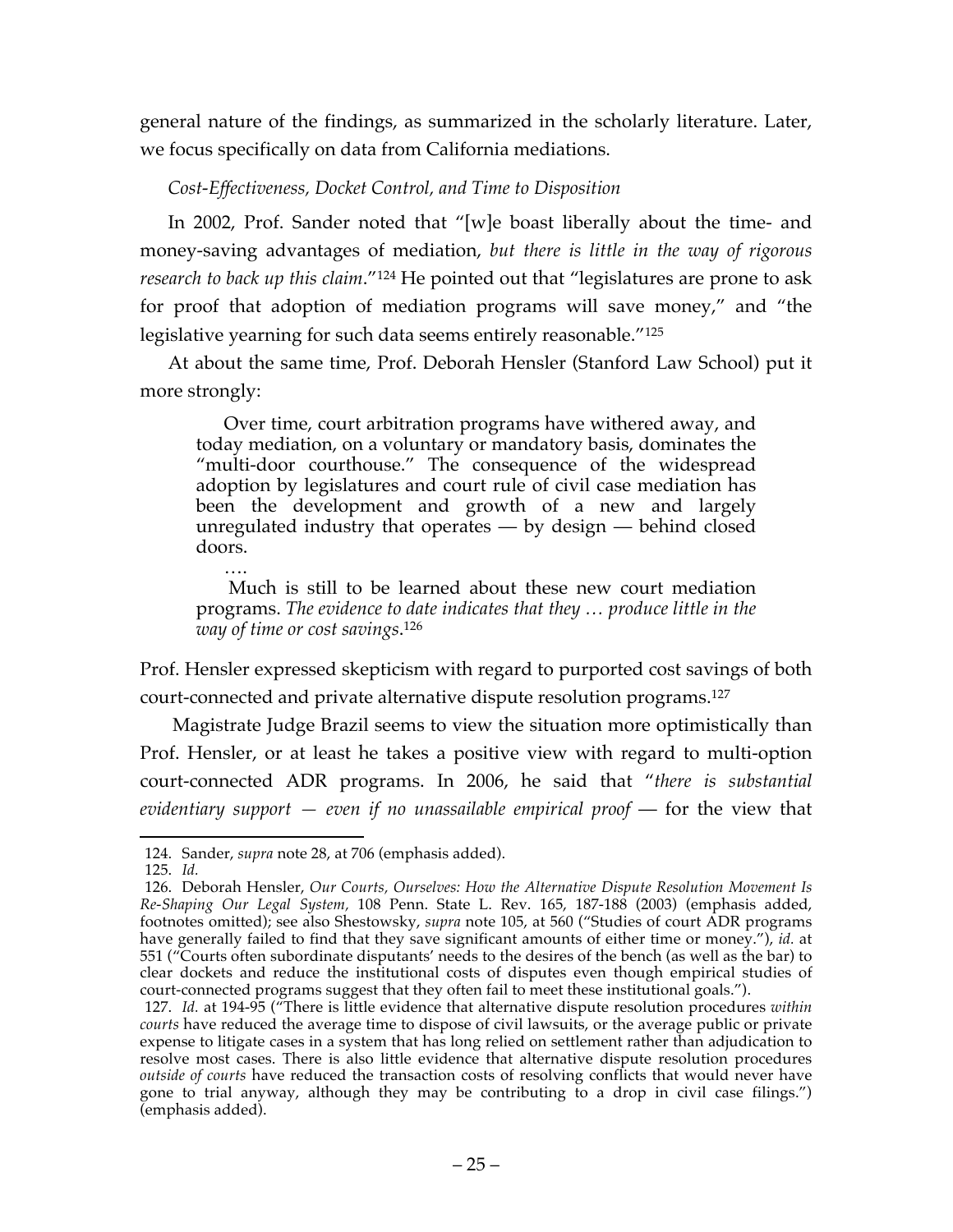general nature of the findings, as summarized in the scholarly literature. Later, we focus specifically on data from California mediations.

*Cost-Effectiveness, Docket Control, and Time to Disposition*

In 2002, Prof. Sander noted that "[w]e boast liberally about the time- and money-saving advantages of mediation, *but there is little in the way of rigorous research to back up this claim*."124 He pointed out that "legislatures are prone to ask for proof that adoption of mediation programs will save money," and "the legislative yearning for such data seems entirely reasonable."125

At about the same time, Prof. Deborah Hensler (Stanford Law School) put it more strongly:

Over time, court arbitration programs have withered away, and today mediation, on a voluntary or mandatory basis, dominates the "multi-door courthouse." The consequence of the widespread adoption by legislatures and court rule of civil case mediation has been the development and growth of a new and largely unregulated industry that operates — by design — behind closed doors.

…. Much is still to be learned about these new court mediation programs. *The evidence to date indicates that they … produce little in the way of time or cost savings*. 126

Prof. Hensler expressed skepticism with regard to purported cost savings of both court-connected and private alternative dispute resolution programs.127

Magistrate Judge Brazil seems to view the situation more optimistically than Prof. Hensler, or at least he takes a positive view with regard to multi-option court-connected ADR programs. In 2006, he said that "*there is substantial evidentiary support — even if no unassailable empirical proof* — for the view that

 <sup>124.</sup> Sander, *supra* note 28, at 706 (emphasis added).

<sup>125.</sup> *Id.*

<sup>126.</sup> Deborah Hensler, *Our Courts, Ourselves: How the Alternative Dispute Resolution Movement Is Re-Shaping Our Legal System,* 108 Penn. State L. Rev. 165, 187-188 (2003) (emphasis added, footnotes omitted); see also Shestowsky, *supra* note 105, at 560 ("Studies of court ADR programs have generally failed to find that they save significant amounts of either time or money."), *id.* at 551 ("Courts often subordinate disputants' needs to the desires of the bench (as well as the bar) to clear dockets and reduce the institutional costs of disputes even though empirical studies of court-connected programs suggest that they often fail to meet these institutional goals.").

<sup>127.</sup> *Id.* at 194-95 ("There is little evidence that alternative dispute resolution procedures *within courts* have reduced the average time to dispose of civil lawsuits, or the average public or private expense to litigate cases in a system that has long relied on settlement rather than adjudication to resolve most cases. There is also little evidence that alternative dispute resolution procedures *outside of courts* have reduced the transaction costs of resolving conflicts that would never have gone to trial anyway, although they may be contributing to a drop in civil case filings.") (emphasis added).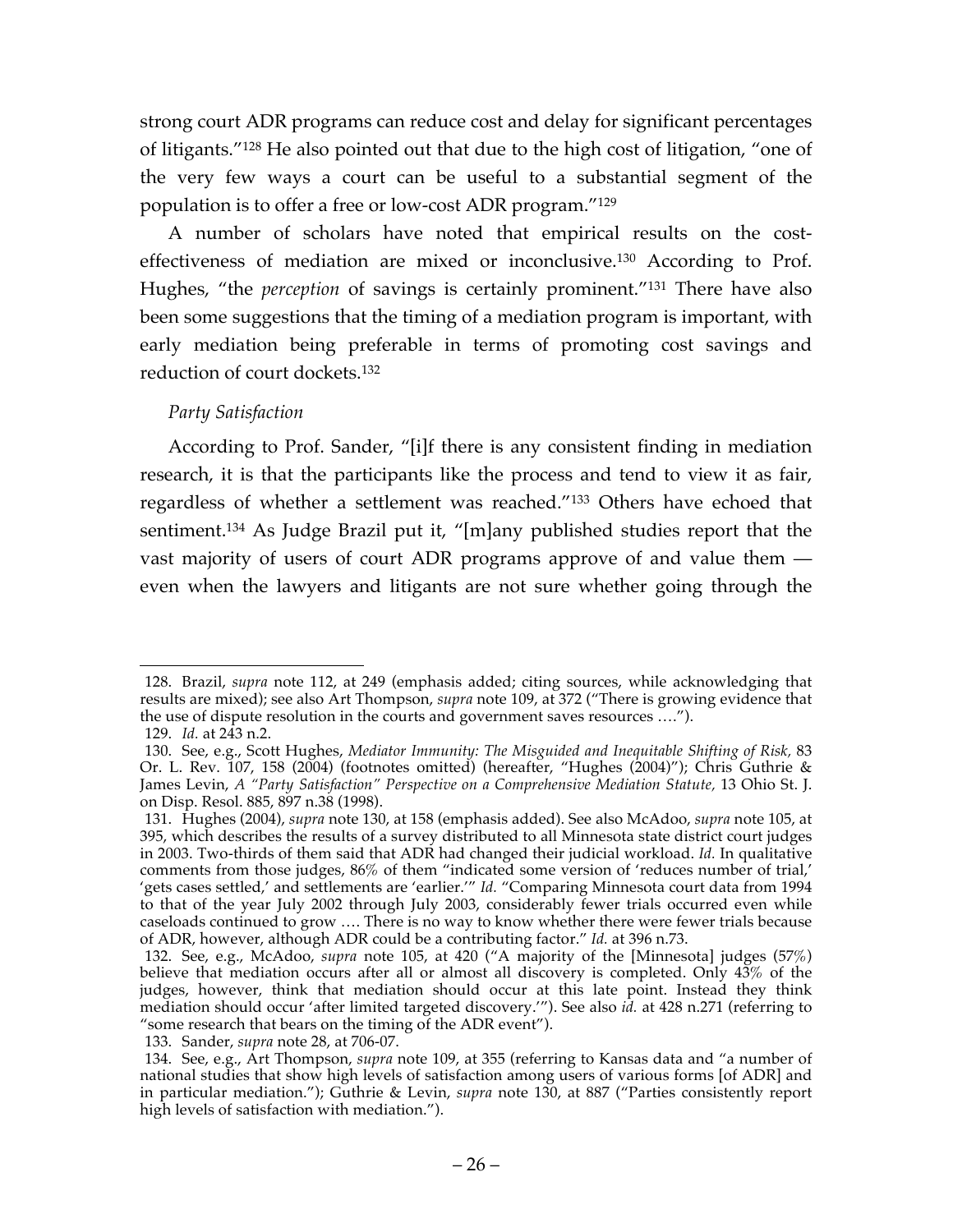strong court ADR programs can reduce cost and delay for significant percentages of litigants."128 He also pointed out that due to the high cost of litigation, "one of the very few ways a court can be useful to a substantial segment of the population is to offer a free or low-cost ADR program."129

A number of scholars have noted that empirical results on the costeffectiveness of mediation are mixed or inconclusive.130 According to Prof. Hughes, "the *perception* of savings is certainly prominent."131 There have also been some suggestions that the timing of a mediation program is important, with early mediation being preferable in terms of promoting cost savings and reduction of court dockets.132

## *Party Satisfaction*

According to Prof. Sander, "[i]f there is any consistent finding in mediation research, it is that the participants like the process and tend to view it as fair, regardless of whether a settlement was reached."133 Others have echoed that sentiment.134 As Judge Brazil put it, "[m]any published studies report that the vast majority of users of court ADR programs approve of and value them even when the lawyers and litigants are not sure whether going through the

 <sup>128.</sup> Brazil, *supra* note 112, at 249 (emphasis added; citing sources, while acknowledging that results are mixed); see also Art Thompson, *supra* note 109, at 372 ("There is growing evidence that the use of dispute resolution in the courts and government saves resources ….").

<sup>129.</sup> *Id.* at 243 n.2.

<sup>130.</sup> See, e.g., Scott Hughes, *Mediator Immunity: The Misguided and Inequitable Shifting of Risk,* 83 Or. L. Rev. 107, 158 (2004) (footnotes omitted) (hereafter, "Hughes (2004)"); Chris Guthrie & James Levin, *A "Party Satisfaction" Perspective on a Comprehensive Mediation Statute, 13 Ohio St. J.* on Disp. Resol. 885, 897 n.38 (1998).

<sup>131.</sup> Hughes (2004), *supra* note 130, at 158 (emphasis added). See also McAdoo, *supra* note 105, at 395, which describes the results of a survey distributed to all Minnesota state district court judges in 2003. Two-thirds of them said that ADR had changed their judicial workload. *Id.* In qualitative comments from those judges, 86% of them "indicated some version of 'reduces number of trial,' 'gets cases settled,' and settlements are 'earlier.'" *Id.* "Comparing Minnesota court data from 1994 to that of the year July 2002 through July 2003, considerably fewer trials occurred even while caseloads continued to grow …. There is no way to know whether there were fewer trials because of ADR, however, although ADR could be a contributing factor." *Id.* at 396 n.73.

<sup>132.</sup> See, e.g., McAdoo, *supra* note 105, at 420 ("A majority of the [Minnesota] judges (57%) believe that mediation occurs after all or almost all discovery is completed. Only 43% of the judges, however, think that mediation should occur at this late point. Instead they think mediation should occur 'after limited targeted discovery.'"). See also *id.* at 428 n.271 (referring to "some research that bears on the timing of the ADR event").

<sup>133.</sup> Sander, *supra* note 28, at 706-07.

<sup>134.</sup> See, e.g., Art Thompson, *supra* note 109, at 355 (referring to Kansas data and "a number of national studies that show high levels of satisfaction among users of various forms [of ADR] and in particular mediation."); Guthrie & Levin, *supra* note 130, at 887 ("Parties consistently report high levels of satisfaction with mediation.").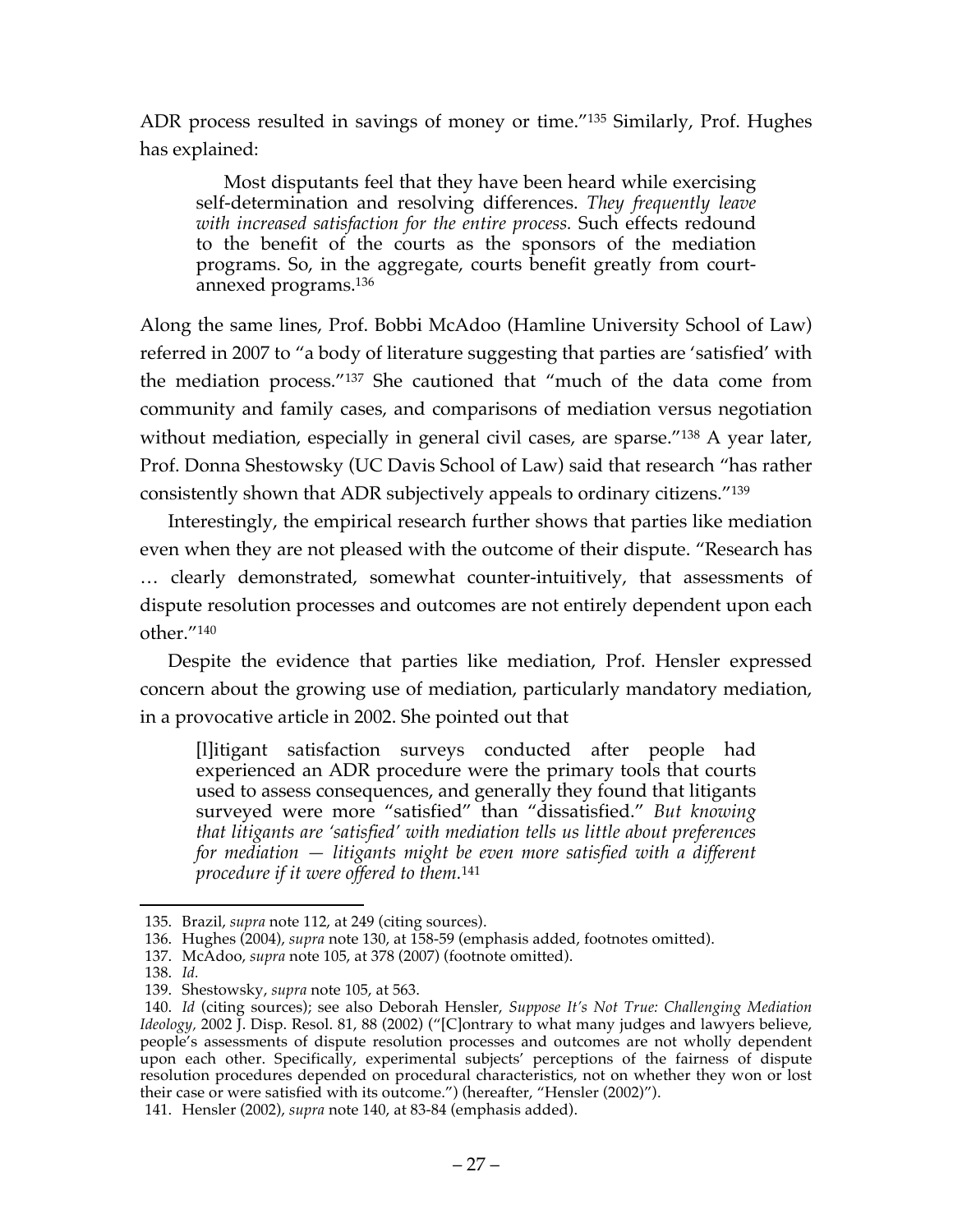ADR process resulted in savings of money or time."135 Similarly, Prof. Hughes has explained:

Most disputants feel that they have been heard while exercising self-determination and resolving differences. *They frequently leave with increased satisfaction for the entire process.* Such effects redound to the benefit of the courts as the sponsors of the mediation programs. So, in the aggregate, courts benefit greatly from courtannexed programs.136

Along the same lines, Prof. Bobbi McAdoo (Hamline University School of Law) referred in 2007 to "a body of literature suggesting that parties are 'satisfied' with the mediation process."137 She cautioned that "much of the data come from community and family cases, and comparisons of mediation versus negotiation without mediation, especially in general civil cases, are sparse."<sup>138</sup> A year later, Prof. Donna Shestowsky (UC Davis School of Law) said that research "has rather consistently shown that ADR subjectively appeals to ordinary citizens."139

Interestingly, the empirical research further shows that parties like mediation even when they are not pleased with the outcome of their dispute. "Research has … clearly demonstrated, somewhat counter-intuitively, that assessments of dispute resolution processes and outcomes are not entirely dependent upon each other."140

Despite the evidence that parties like mediation, Prof. Hensler expressed concern about the growing use of mediation, particularly mandatory mediation, in a provocative article in 2002. She pointed out that

[l]itigant satisfaction surveys conducted after people had experienced an ADR procedure were the primary tools that courts used to assess consequences, and generally they found that litigants surveyed were more "satisfied" than "dissatisfied." *But knowing that litigants are 'satisfied' with mediation tells us little about preferences for mediation — litigants might be even more satisfied with a different procedure if it were offered to them.*<sup>141</sup>

 <sup>135.</sup> Brazil, *supra* note 112, at 249 (citing sources).

<sup>136.</sup> Hughes (2004), *supra* note 130, at 158-59 (emphasis added, footnotes omitted).

<sup>137.</sup> McAdoo, *supra* note 105, at 378 (2007) (footnote omitted).

<sup>138.</sup> *Id.*

<sup>139.</sup> Shestowsky, *supra* note 105, at 563.

<sup>140.</sup> *Id* (citing sources); see also Deborah Hensler, *Suppose It's Not True: Challenging Mediation Ideology,* 2002 J. Disp. Resol. 81, 88 (2002) ("[C]ontrary to what many judges and lawyers believe, people's assessments of dispute resolution processes and outcomes are not wholly dependent upon each other. Specifically, experimental subjects' perceptions of the fairness of dispute resolution procedures depended on procedural characteristics, not on whether they won or lost their case or were satisfied with its outcome.") (hereafter, "Hensler (2002)").

<sup>141.</sup> Hensler (2002), *supra* note 140, at 83-84 (emphasis added).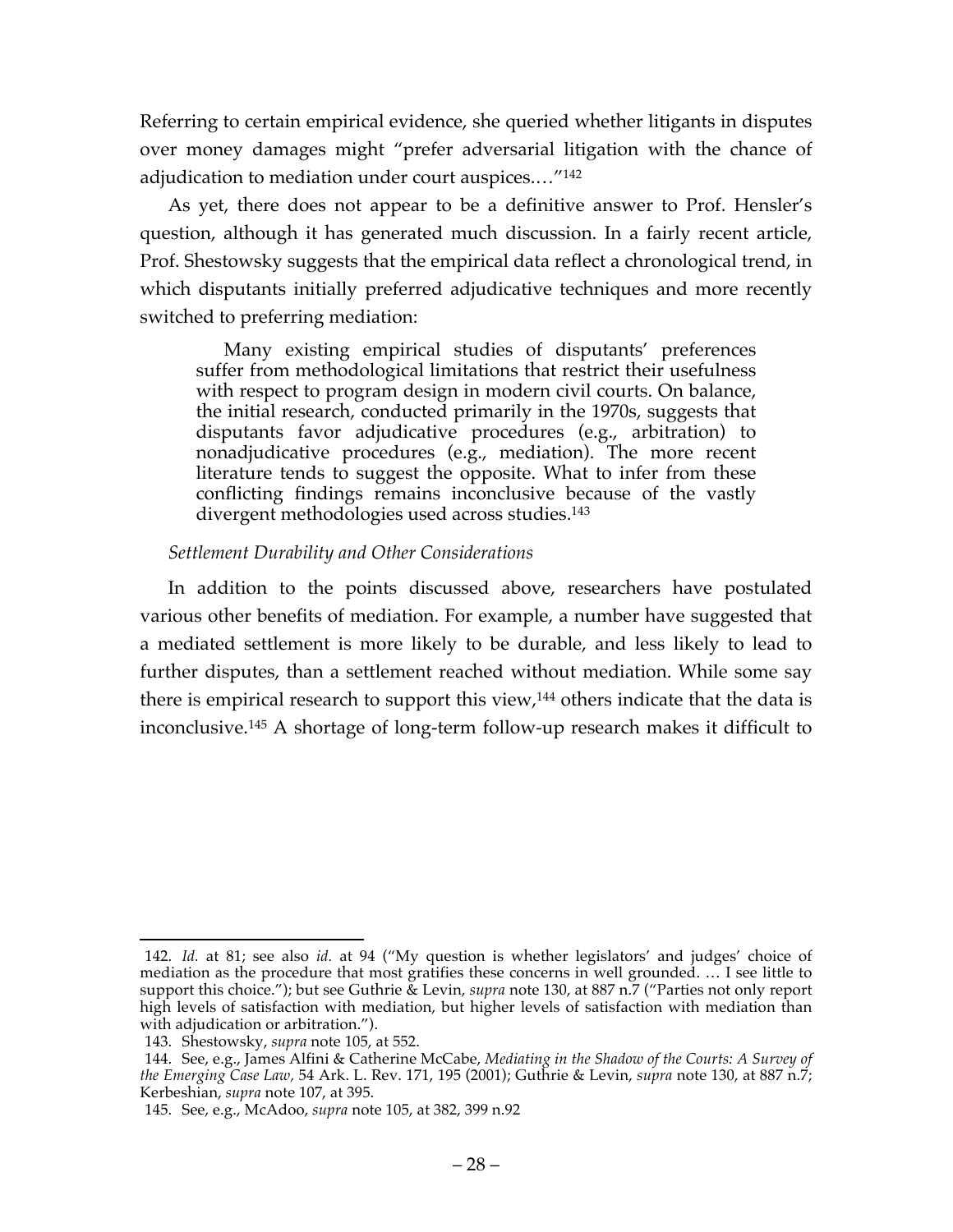Referring to certain empirical evidence, she queried whether litigants in disputes over money damages might "prefer adversarial litigation with the chance of adjudication to mediation under court auspices.…"142

As yet, there does not appear to be a definitive answer to Prof. Hensler's question, although it has generated much discussion. In a fairly recent article, Prof. Shestowsky suggests that the empirical data reflect a chronological trend, in which disputants initially preferred adjudicative techniques and more recently switched to preferring mediation:

Many existing empirical studies of disputants' preferences suffer from methodological limitations that restrict their usefulness with respect to program design in modern civil courts. On balance, the initial research, conducted primarily in the 1970s, suggests that disputants favor adjudicative procedures (e.g., arbitration) to nonadjudicative procedures (e.g., mediation). The more recent literature tends to suggest the opposite. What to infer from these conflicting findings remains inconclusive because of the vastly divergent methodologies used across studies.143

#### *Settlement Durability and Other Considerations*

In addition to the points discussed above, researchers have postulated various other benefits of mediation. For example, a number have suggested that a mediated settlement is more likely to be durable, and less likely to lead to further disputes, than a settlement reached without mediation. While some say there is empirical research to support this view,<sup>144</sup> others indicate that the data is inconclusive.145 A shortage of long-term follow-up research makes it difficult to

 <sup>142.</sup> *Id.* at 81; see also *id.* at 94 ("My question is whether legislators' and judges' choice of mediation as the procedure that most gratifies these concerns in well grounded. … I see little to support this choice."); but see Guthrie & Levin, *supra* note 130, at 887 n.7 ("Parties not only report high levels of satisfaction with mediation, but higher levels of satisfaction with mediation than with adjudication or arbitration.").

<sup>143.</sup> Shestowsky, *supra* note 105, at 552.

<sup>144.</sup> See, e.g., James Alfini & Catherine McCabe, *Mediating in the Shadow of the Courts: A Survey of the Emerging Case Law,* 54 Ark. L. Rev. 171, 195 (2001); Guthrie & Levin, *supra* note 130, at 887 n.7; Kerbeshian, *supra* note 107, at 395.

<sup>145.</sup> See, e.g., McAdoo, *supra* note 105, at 382, 399 n.92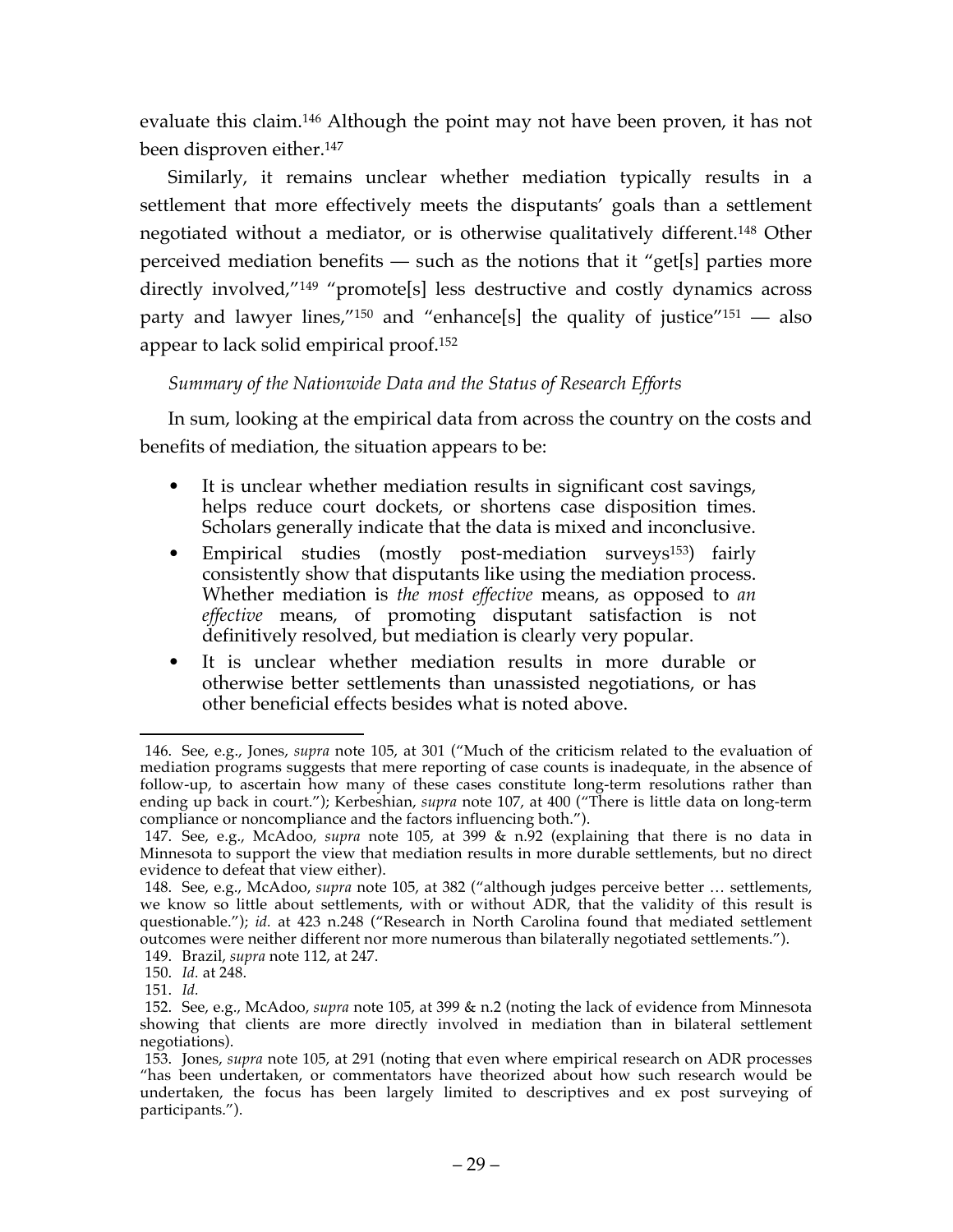evaluate this claim. <sup>146</sup> Although the point may not have been proven, it has not been disproven either.147

Similarly, it remains unclear whether mediation typically results in a settlement that more effectively meets the disputants' goals than a settlement negotiated without a mediator, or is otherwise qualitatively different.148 Other perceived mediation benefits — such as the notions that it "get[s] parties more directly involved,"149 "promote[s] less destructive and costly dynamics across party and lawyer lines,"<sup>150</sup> and "enhance[s] the quality of justice"<sup>151</sup> — also appear to lack solid empirical proof.152

# *Summary of the Nationwide Data and the Status of Research Efforts*

In sum, looking at the empirical data from across the country on the costs and benefits of mediation, the situation appears to be:

- It is unclear whether mediation results in significant cost savings, helps reduce court dockets, or shortens case disposition times. Scholars generally indicate that the data is mixed and inconclusive.
- Empirical studies (mostly post-mediation surveys<sup>153</sup>) fairly consistently show that disputants like using the mediation process. Whether mediation is *the most effective* means, as opposed to *an*  effective means, of promoting disputant satisfaction is not definitively resolved, but mediation is clearly very popular.
- It is unclear whether mediation results in more durable or otherwise better settlements than unassisted negotiations, or has other beneficial effects besides what is noted above.

 <sup>146.</sup> See, e.g., Jones, *supra* note 105, at 301 ("Much of the criticism related to the evaluation of mediation programs suggests that mere reporting of case counts is inadequate, in the absence of follow-up, to ascertain how many of these cases constitute long-term resolutions rather than ending up back in court."); Kerbeshian, *supra* note 107, at 400 ("There is little data on long-term compliance or noncompliance and the factors influencing both.").

<sup>147.</sup> See, e.g., McAdoo, *supra* note 105, at 399 & n.92 (explaining that there is no data in Minnesota to support the view that mediation results in more durable settlements, but no direct evidence to defeat that view either).

<sup>148.</sup> See, e.g., McAdoo, *supra* note 105, at 382 ("although judges perceive better … settlements, we know so little about settlements, with or without ADR, that the validity of this result is questionable."); *id.* at 423 n.248 ("Research in North Carolina found that mediated settlement outcomes were neither different nor more numerous than bilaterally negotiated settlements.").

<sup>149.</sup> Brazil, *supra* note 112, at 247.

<sup>150.</sup> *Id.* at 248.

<sup>151.</sup> *Id.*

<sup>152.</sup> See, e.g., McAdoo, *supra* note 105, at 399 & n.2 (noting the lack of evidence from Minnesota showing that clients are more directly involved in mediation than in bilateral settlement negotiations).

<sup>153.</sup> Jones, *supra* note 105, at 291 (noting that even where empirical research on ADR processes "has been undertaken, or commentators have theorized about how such research would be undertaken, the focus has been largely limited to descriptives and ex post surveying of participants.").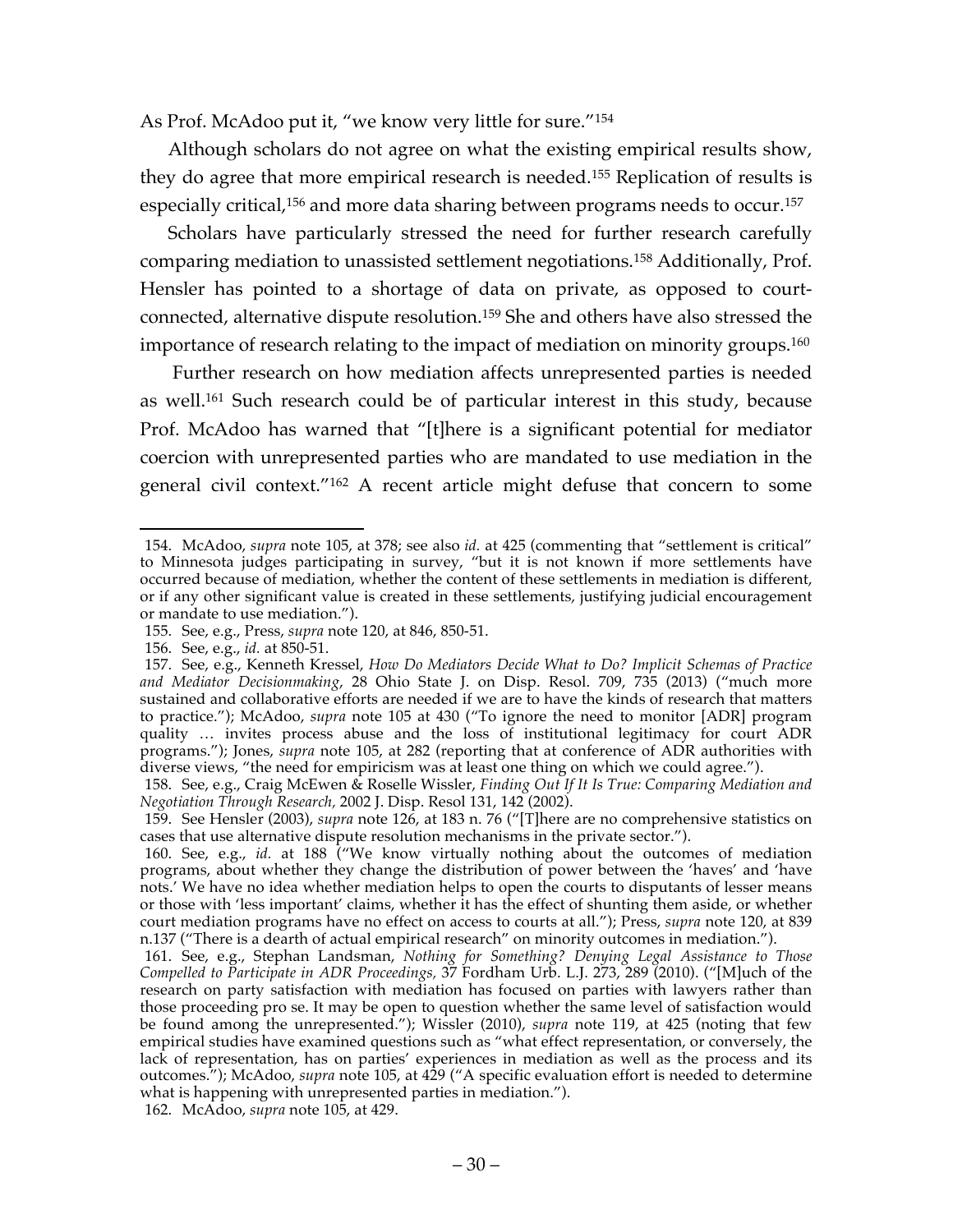As Prof. McAdoo put it, "we know very little for sure."154

Although scholars do not agree on what the existing empirical results show, they do agree that more empirical research is needed. <sup>155</sup> Replication of results is especially critical,<sup>156</sup> and more data sharing between programs needs to occur.<sup>157</sup>

Scholars have particularly stressed the need for further research carefully comparing mediation to unassisted settlement negotiations. <sup>158</sup> Additionally, Prof. Hensler has pointed to a shortage of data on private, as opposed to courtconnected, alternative dispute resolution.159 She and others have also stressed the importance of research relating to the impact of mediation on minority groups.<sup>160</sup>

Further research on how mediation affects unrepresented parties is needed as well. <sup>161</sup> Such research could be of particular interest in this study, because Prof. McAdoo has warned that "[t]here is a significant potential for mediator coercion with unrepresented parties who are mandated to use mediation in the general civil context."162 A recent article might defuse that concern to some

 <sup>154.</sup> McAdoo, *supra* note 105, at 378; see also *id.* at 425 (commenting that "settlement is critical" to Minnesota judges participating in survey, "but it is not known if more settlements have occurred because of mediation, whether the content of these settlements in mediation is different, or if any other significant value is created in these settlements, justifying judicial encouragement or mandate to use mediation.").

<sup>155.</sup> See, e.g., Press, *supra* note 120, at 846, 850-51.

<sup>156.</sup> See, e.g., *id.* at 850-51.

<sup>157.</sup> See, e.g., Kenneth Kressel, *How Do Mediators Decide What to Do? Implicit Schemas of Practice and Mediator Decisionmaking*, 28 Ohio State J. on Disp. Resol. 709, 735 (2013) ("much more sustained and collaborative efforts are needed if we are to have the kinds of research that matters to practice."); McAdoo, *supra* note 105 at 430 ("To ignore the need to monitor [ADR] program quality … invites process abuse and the loss of institutional legitimacy for court ADR programs."); Jones, *supra* note 105, at 282 (reporting that at conference of ADR authorities with diverse views, "the need for empiricism was at least one thing on which we could agree.").

<sup>158.</sup> See, e.g., Craig McEwen & Roselle Wissler, *Finding Out If It Is True: Comparing Mediation and Negotiation Through Research,* 2002 J. Disp. Resol 131, 142 (2002).

<sup>159.</sup> See Hensler (2003), *supra* note 126, at 183 n. 76 ("[T]here are no comprehensive statistics on cases that use alternative dispute resolution mechanisms in the private sector.").

<sup>160.</sup> See, e.g., *id.* at 188 ("We know virtually nothing about the outcomes of mediation programs, about whether they change the distribution of power between the 'haves' and 'have nots.' We have no idea whether mediation helps to open the courts to disputants of lesser means or those with 'less important' claims, whether it has the effect of shunting them aside, or whether court mediation programs have no effect on access to courts at all."); Press, *supra* note 120, at 839 n.137 ("There is a dearth of actual empirical research" on minority outcomes in mediation.").

<sup>161.</sup> See, e.g., Stephan Landsman, *Nothing for Something? Denying Legal Assistance to Those Compelled to Participate in ADR Proceedings,* 37 Fordham Urb. L.J. 273, 289 (2010). ("[M]uch of the research on party satisfaction with mediation has focused on parties with lawyers rather than those proceeding pro se. It may be open to question whether the same level of satisfaction would be found among the unrepresented."); Wissler (2010), *supra* note 119, at 425 (noting that few empirical studies have examined questions such as "what effect representation, or conversely, the lack of representation, has on parties' experiences in mediation as well as the process and its outcomes."); McAdoo, *supra* note 105, at 429 ("A specific evaluation effort is needed to determine what is happening with unrepresented parties in mediation.").

<sup>162.</sup> McAdoo, *supra* note 105, at 429.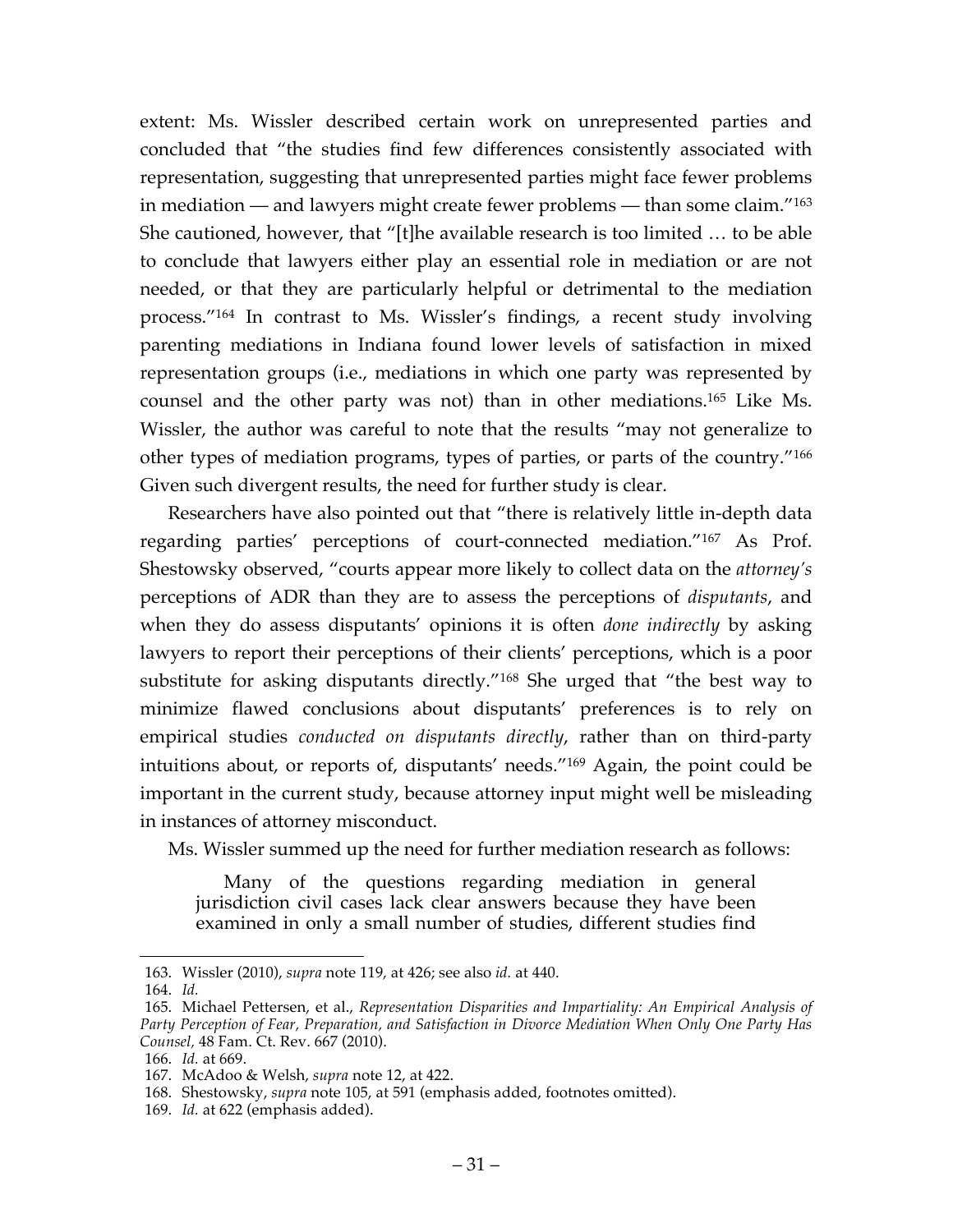extent: Ms. Wissler described certain work on unrepresented parties and concluded that "the studies find few differences consistently associated with representation, suggesting that unrepresented parties might face fewer problems in mediation — and lawyers might create fewer problems — than some claim."163 She cautioned, however, that "[t]he available research is too limited … to be able to conclude that lawyers either play an essential role in mediation or are not needed, or that they are particularly helpful or detrimental to the mediation process."164 In contrast to Ms. Wissler's findings, a recent study involving parenting mediations in Indiana found lower levels of satisfaction in mixed representation groups (i.e., mediations in which one party was represented by counsel and the other party was not) than in other mediations.165 Like Ms. Wissler, the author was careful to note that the results "may not generalize to other types of mediation programs, types of parties, or parts of the country."166 Given such divergent results, the need for further study is clear.

Researchers have also pointed out that "there is relatively little in-depth data regarding parties' perceptions of court-connected mediation."167 As Prof. Shestowsky observed, "courts appear more likely to collect data on the *attorney's* perceptions of ADR than they are to assess the perceptions of *disputants*, and when they do assess disputants' opinions it is often *done indirectly* by asking lawyers to report their perceptions of their clients' perceptions, which is a poor substitute for asking disputants directly."168 She urged that "the best way to minimize flawed conclusions about disputants' preferences is to rely on empirical studies *conducted on disputants directly*, rather than on third-party intuitions about, or reports of, disputants' needs."169 Again, the point could be important in the current study, because attorney input might well be misleading in instances of attorney misconduct.

Ms. Wissler summed up the need for further mediation research as follows:

Many of the questions regarding mediation in general jurisdiction civil cases lack clear answers because they have been examined in only a small number of studies, different studies find

 <sup>163.</sup> Wissler (2010), *supra* note 119, at 426; see also *id.* at 440.

<sup>164.</sup> *Id.*

<sup>165.</sup> Michael Pettersen, et al., *Representation Disparities and Impartiality: An Empirical Analysis of Party Perception of Fear, Preparation, and Satisfaction in Divorce Mediation When Only One Party Has Counsel,* 48 Fam. Ct. Rev. 667 (2010).

<sup>166.</sup> *Id.* at 669.

<sup>167.</sup> McAdoo & Welsh, *supra* note 12, at 422.

<sup>168.</sup> Shestowsky, *supra* note 105, at 591 (emphasis added, footnotes omitted).

<sup>169.</sup> *Id.* at 622 (emphasis added).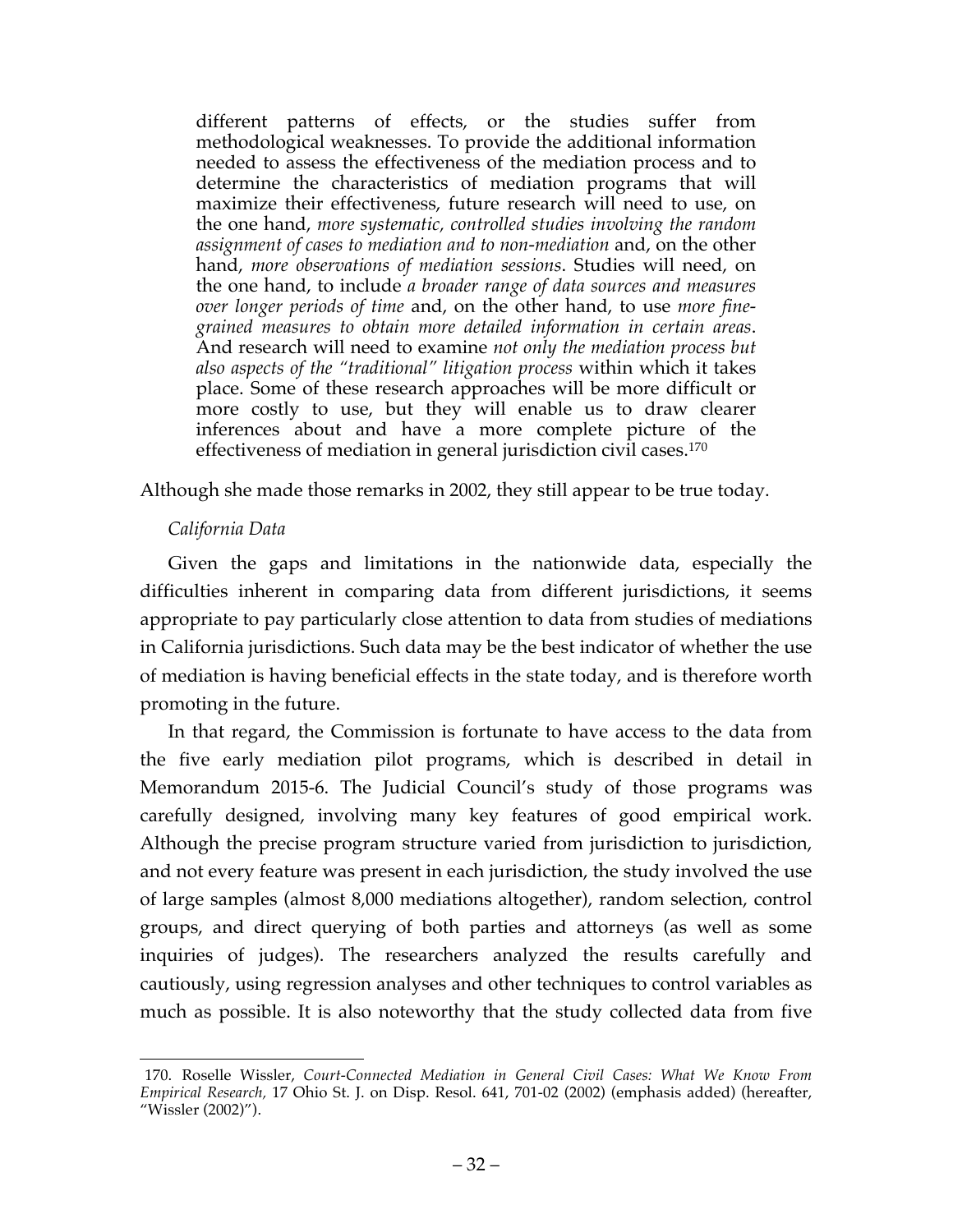different patterns of effects, or the studies suffer from methodological weaknesses. To provide the additional information needed to assess the effectiveness of the mediation process and to determine the characteristics of mediation programs that will maximize their effectiveness, future research will need to use, on the one hand, *more systematic, controlled studies involving the random assignment of cases to mediation and to non-mediation* and, on the other hand, *more observations of mediation sessions*. Studies will need, on the one hand, to include *a broader range of data sources and measures over longer periods of time* and, on the other hand, to use *more finegrained measures to obtain more detailed information in certain areas*. And research will need to examine *not only the mediation process but also aspects of the "traditional" litigation process* within which it takes place. Some of these research approaches will be more difficult or more costly to use, but they will enable us to draw clearer inferences about and have a more complete picture of the effectiveness of mediation in general jurisdiction civil cases.170

Although she made those remarks in 2002, they still appear to be true today.

## *California Data*

Given the gaps and limitations in the nationwide data, especially the difficulties inherent in comparing data from different jurisdictions, it seems appropriate to pay particularly close attention to data from studies of mediations in California jurisdictions. Such data may be the best indicator of whether the use of mediation is having beneficial effects in the state today, and is therefore worth promoting in the future.

In that regard, the Commission is fortunate to have access to the data from the five early mediation pilot programs, which is described in detail in Memorandum 2015-6. The Judicial Council's study of those programs was carefully designed, involving many key features of good empirical work. Although the precise program structure varied from jurisdiction to jurisdiction, and not every feature was present in each jurisdiction, the study involved the use of large samples (almost 8,000 mediations altogether), random selection, control groups, and direct querying of both parties and attorneys (as well as some inquiries of judges). The researchers analyzed the results carefully and cautiously, using regression analyses and other techniques to control variables as much as possible. It is also noteworthy that the study collected data from five

 <sup>170.</sup> Roselle Wissler, *Court-Connected Mediation in General Civil Cases: What We Know From Empirical Research,* 17 Ohio St. J. on Disp. Resol. 641, 701-02 (2002) (emphasis added) (hereafter, "Wissler (2002)").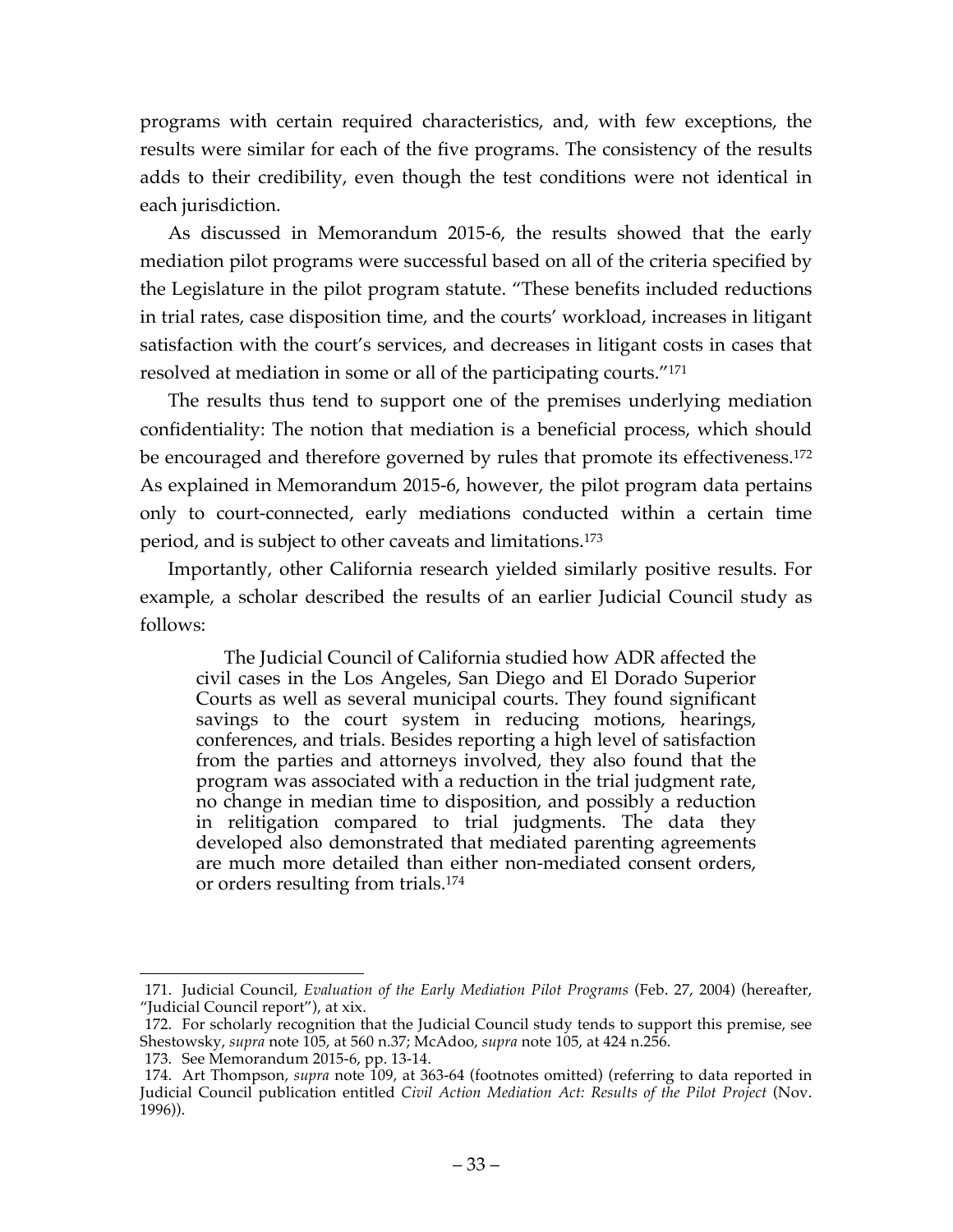programs with certain required characteristics, and, with few exceptions, the results were similar for each of the five programs. The consistency of the results adds to their credibility, even though the test conditions were not identical in each jurisdiction.

As discussed in Memorandum 2015-6, the results showed that the early mediation pilot programs were successful based on all of the criteria specified by the Legislature in the pilot program statute. "These benefits included reductions in trial rates, case disposition time, and the courts' workload, increases in litigant satisfaction with the court's services, and decreases in litigant costs in cases that resolved at mediation in some or all of the participating courts."171

The results thus tend to support one of the premises underlying mediation confidentiality: The notion that mediation is a beneficial process, which should be encouraged and therefore governed by rules that promote its effectiveness.<sup>172</sup> As explained in Memorandum 2015-6, however, the pilot program data pertains only to court-connected, early mediations conducted within a certain time period, and is subject to other caveats and limitations.173

Importantly, other California research yielded similarly positive results. For example, a scholar described the results of an earlier Judicial Council study as follows:

The Judicial Council of California studied how ADR affected the civil cases in the Los Angeles, San Diego and El Dorado Superior Courts as well as several municipal courts. They found significant savings to the court system in reducing motions, hearings, conferences, and trials. Besides reporting a high level of satisfaction from the parties and attorneys involved, they also found that the program was associated with a reduction in the trial judgment rate, no change in median time to disposition, and possibly a reduction in relitigation compared to trial judgments. The data they developed also demonstrated that mediated parenting agreements are much more detailed than either non-mediated consent orders, or orders resulting from trials.174

 <sup>171.</sup> Judicial Council, *Evaluation of the Early Mediation Pilot Programs* (Feb. 27, 2004) (hereafter, "Judicial Council report"), at xix.

<sup>172.</sup> For scholarly recognition that the Judicial Council study tends to support this premise, see Shestowsky, *supra* note 105, at 560 n.37; McAdoo, *supra* note 105, at 424 n.256.

<sup>173.</sup> See Memorandum 2015-6, pp. 13-14.

<sup>174.</sup> Art Thompson, *supra* note 109, at 363-64 (footnotes omitted) (referring to data reported in Judicial Council publication entitled *Civil Action Mediation Act: Results of the Pilot Project* (Nov. 1996)).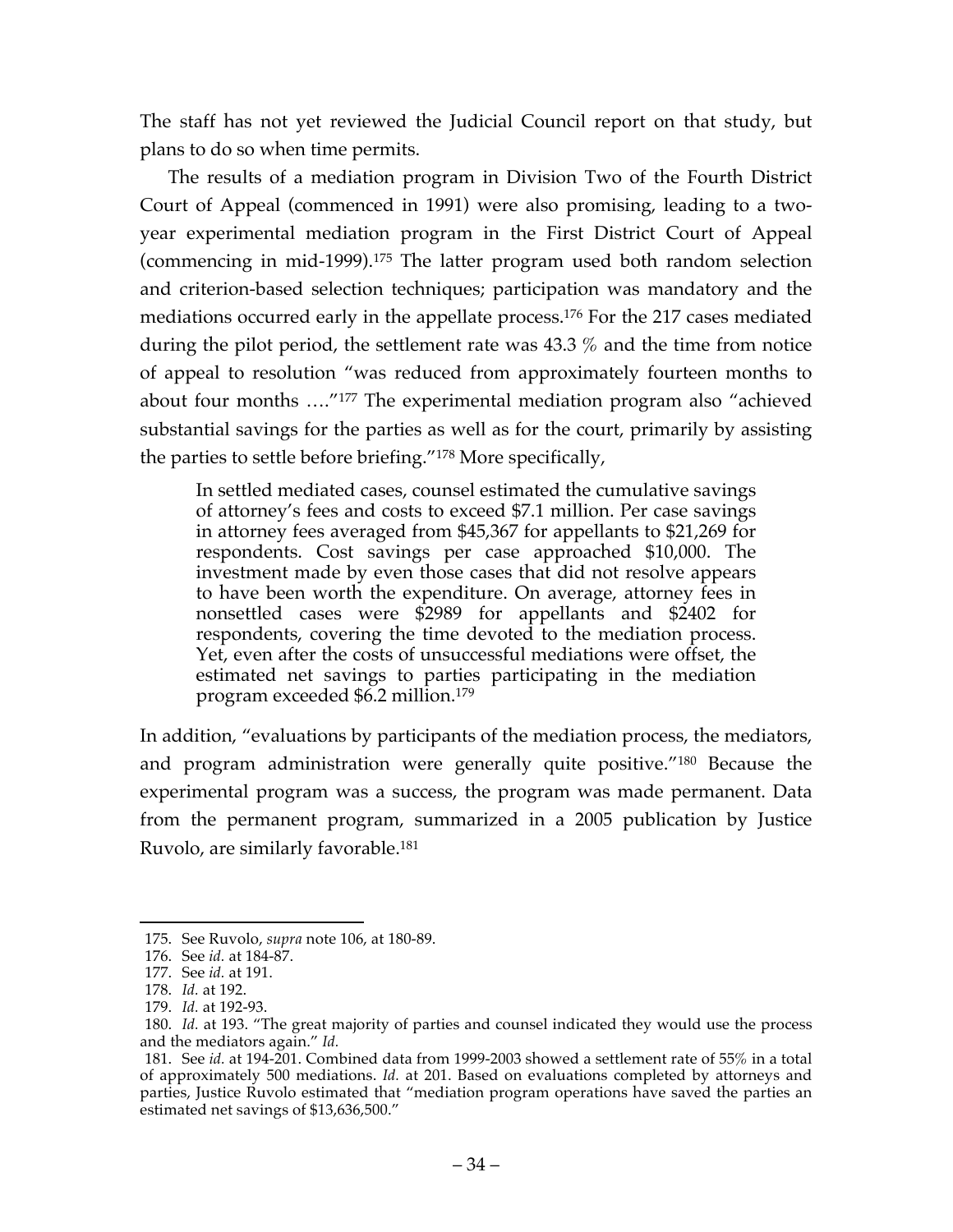The staff has not yet reviewed the Judicial Council report on that study, but plans to do so when time permits.

The results of a mediation program in Division Two of the Fourth District Court of Appeal (commenced in 1991) were also promising, leading to a twoyear experimental mediation program in the First District Court of Appeal (commencing in mid-1999).175 The latter program used both random selection and criterion-based selection techniques; participation was mandatory and the mediations occurred early in the appellate process.176 For the 217 cases mediated during the pilot period, the settlement rate was 43.3 % and the time from notice of appeal to resolution "was reduced from approximately fourteen months to about four months …."177 The experimental mediation program also "achieved substantial savings for the parties as well as for the court, primarily by assisting the parties to settle before briefing."178 More specifically,

In settled mediated cases, counsel estimated the cumulative savings of attorney's fees and costs to exceed \$7.1 million. Per case savings in attorney fees averaged from \$45,367 for appellants to \$21,269 for respondents. Cost savings per case approached \$10,000. The investment made by even those cases that did not resolve appears to have been worth the expenditure. On average, attorney fees in nonsettled cases were \$2989 for appellants and \$2402 for respondents, covering the time devoted to the mediation process. Yet, even after the costs of unsuccessful mediations were offset, the estimated net savings to parties participating in the mediation program exceeded \$6.2 million.179

In addition, "evaluations by participants of the mediation process, the mediators, and program administration were generally quite positive."180 Because the experimental program was a success, the program was made permanent. Data from the permanent program, summarized in a 2005 publication by Justice Ruvolo, are similarly favorable. 181

 <sup>175.</sup> See Ruvolo, *supra* note 106, at 180-89.

<sup>176.</sup> See *id.* at 184-87.

<sup>177.</sup> See *id.* at 191.

<sup>178.</sup> *Id.* at 192.

<sup>179.</sup> *Id.* at 192-93.

<sup>180.</sup> *Id.* at 193. "The great majority of parties and counsel indicated they would use the process and the mediators again." *Id.*

<sup>181.</sup> See *id.* at 194-201. Combined data from 1999-2003 showed a settlement rate of 55% in a total of approximately 500 mediations. *Id.* at 201. Based on evaluations completed by attorneys and parties, Justice Ruvolo estimated that "mediation program operations have saved the parties an estimated net savings of \$13,636,500."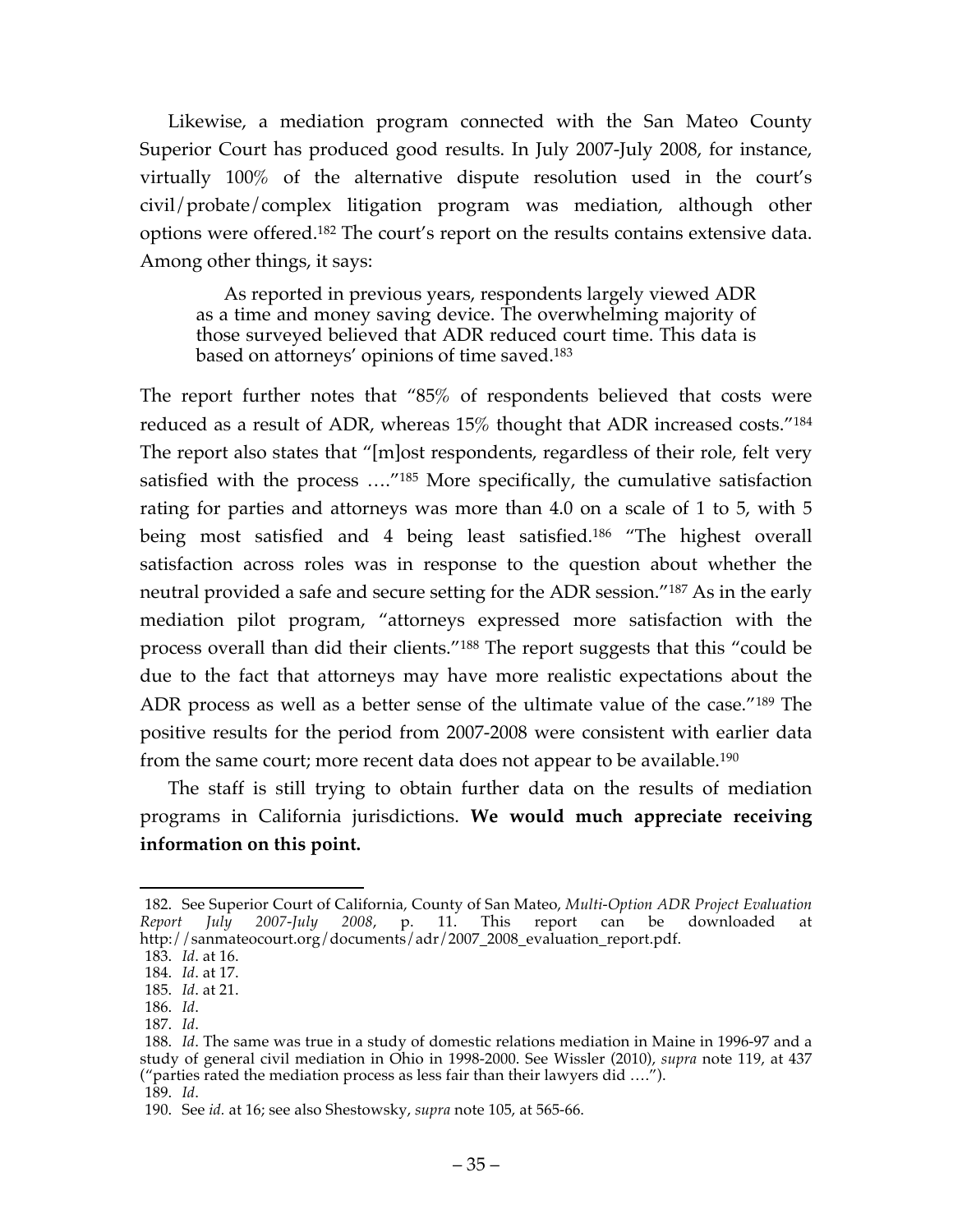Likewise, a mediation program connected with the San Mateo County Superior Court has produced good results. In July 2007-July 2008, for instance, virtually 100% of the alternative dispute resolution used in the court's civil/probate/complex litigation program was mediation, although other options were offered.182 The court's report on the results contains extensive data. Among other things, it says:

As reported in previous years, respondents largely viewed ADR as a time and money saving device. The overwhelming majority of those surveyed believed that ADR reduced court time. This data is based on attorneys' opinions of time saved.183

The report further notes that "85% of respondents believed that costs were reduced as a result of ADR, whereas 15% thought that ADR increased costs."184 The report also states that "[m]ost respondents, regardless of their role, felt very satisfied with the process …."185 More specifically, the cumulative satisfaction rating for parties and attorneys was more than 4.0 on a scale of 1 to 5, with 5 being most satisfied and 4 being least satisfied. <sup>186</sup> "The highest overall satisfaction across roles was in response to the question about whether the neutral provided a safe and secure setting for the ADR session."187 As in the early mediation pilot program, "attorneys expressed more satisfaction with the process overall than did their clients."188 The report suggests that this "could be due to the fact that attorneys may have more realistic expectations about the ADR process as well as a better sense of the ultimate value of the case."189 The positive results for the period from 2007-2008 were consistent with earlier data from the same court; more recent data does not appear to be available.<sup>190</sup>

The staff is still trying to obtain further data on the results of mediation programs in California jurisdictions. **We would much appreciate receiving information on this point.**

 <sup>182.</sup> See Superior Court of California, County of San Mateo, *Multi-Option ADR Project Evaluation Report July 2007-July 2008*, p. 11. This report can be downloaded at http://sanmateocourt.org/documents/adr/2007\_2008\_evaluation\_report.pdf.

<sup>183.</sup> *Id*. at 16.

<sup>184.</sup> *Id*. at 17.

<sup>185.</sup> *Id*. at 21.

<sup>186.</sup> *Id*.

<sup>187.</sup> *Id*.

<sup>188.</sup> *Id*. The same was true in a study of domestic relations mediation in Maine in 1996-97 and a study of general civil mediation in Ohio in 1998-2000. See Wissler (2010), *supra* note 119, at 437 ("parties rated the mediation process as less fair than their lawyers did ….").

<sup>189.</sup> *Id*.

<sup>190.</sup> See *id.* at 16; see also Shestowsky, *supra* note 105, at 565-66.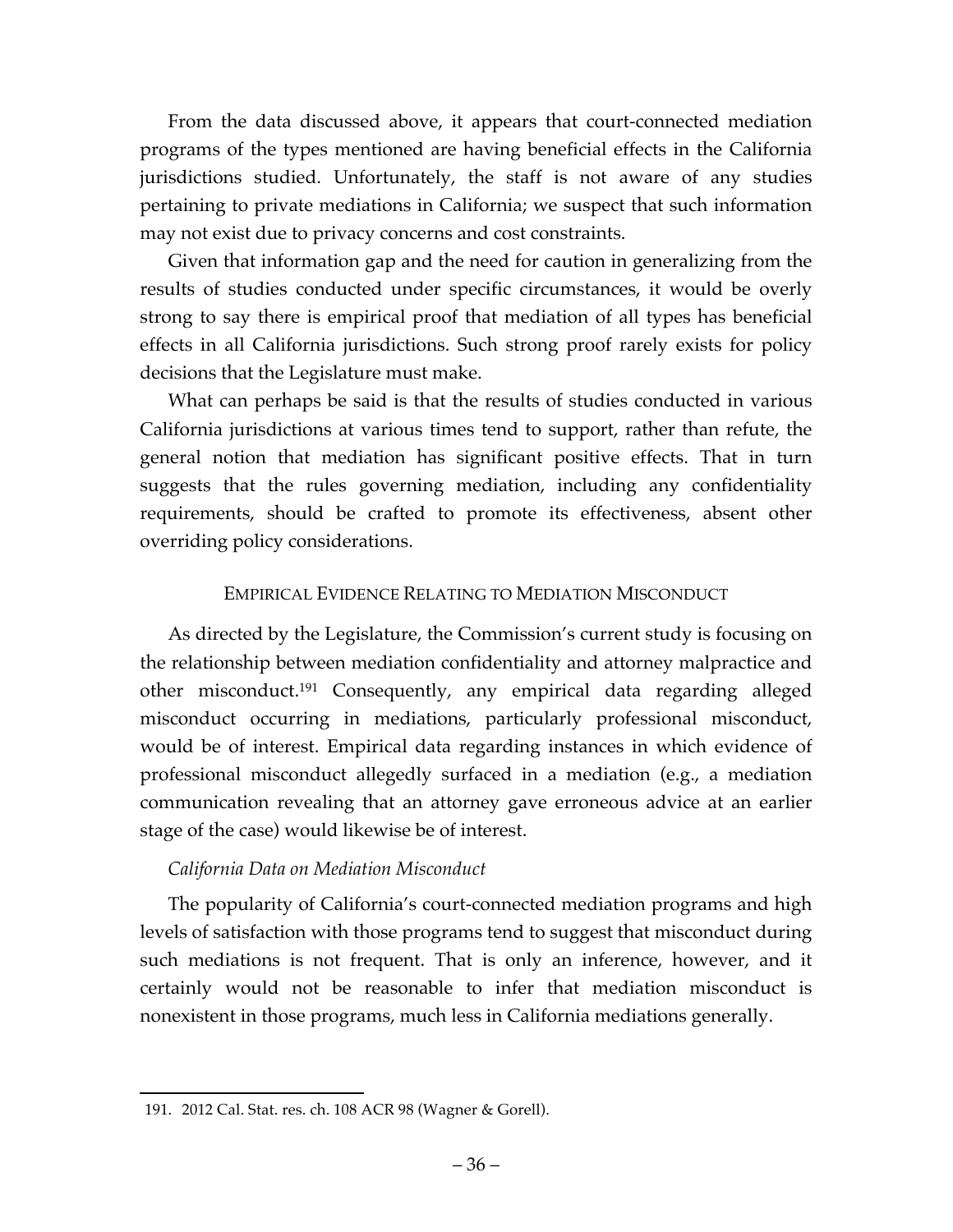From the data discussed above, it appears that court-connected mediation programs of the types mentioned are having beneficial effects in the California jurisdictions studied. Unfortunately, the staff is not aware of any studies pertaining to private mediations in California; we suspect that such information may not exist due to privacy concerns and cost constraints.

Given that information gap and the need for caution in generalizing from the results of studies conducted under specific circumstances, it would be overly strong to say there is empirical proof that mediation of all types has beneficial effects in all California jurisdictions. Such strong proof rarely exists for policy decisions that the Legislature must make.

What can perhaps be said is that the results of studies conducted in various California jurisdictions at various times tend to support, rather than refute, the general notion that mediation has significant positive effects. That in turn suggests that the rules governing mediation, including any confidentiality requirements, should be crafted to promote its effectiveness, absent other overriding policy considerations.

## EMPIRICAL EVIDENCE RELATING TO MEDIATION MISCONDUCT

As directed by the Legislature, the Commission's current study is focusing on the relationship between mediation confidentiality and attorney malpractice and other misconduct.191 Consequently, any empirical data regarding alleged misconduct occurring in mediations, particularly professional misconduct, would be of interest. Empirical data regarding instances in which evidence of professional misconduct allegedly surfaced in a mediation (e.g., a mediation communication revealing that an attorney gave erroneous advice at an earlier stage of the case) would likewise be of interest.

# *California Data on Mediation Misconduct*

The popularity of California's court-connected mediation programs and high levels of satisfaction with those programs tend to suggest that misconduct during such mediations is not frequent. That is only an inference, however, and it certainly would not be reasonable to infer that mediation misconduct is nonexistent in those programs, much less in California mediations generally.

 <sup>191.</sup> 2012 Cal. Stat. res. ch. 108 ACR 98 (Wagner & Gorell).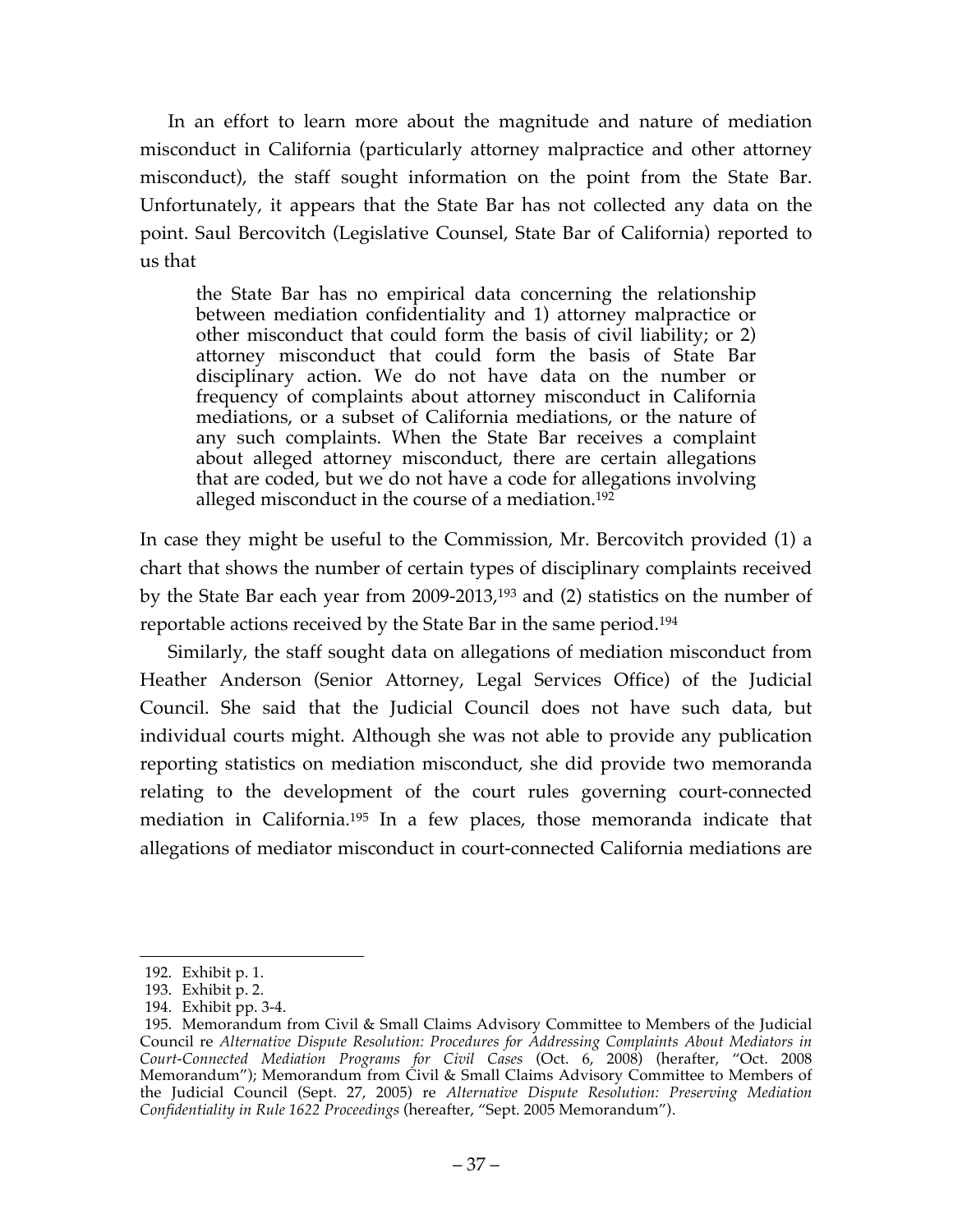In an effort to learn more about the magnitude and nature of mediation misconduct in California (particularly attorney malpractice and other attorney misconduct), the staff sought information on the point from the State Bar. Unfortunately, it appears that the State Bar has not collected any data on the point. Saul Bercovitch (Legislative Counsel, State Bar of California) reported to us that

the State Bar has no empirical data concerning the relationship between mediation confidentiality and 1) attorney malpractice or other misconduct that could form the basis of civil liability; or 2) attorney misconduct that could form the basis of State Bar disciplinary action. We do not have data on the number or frequency of complaints about attorney misconduct in California mediations, or a subset of California mediations, or the nature of any such complaints. When the State Bar receives a complaint about alleged attorney misconduct, there are certain allegations that are coded, but we do not have a code for allegations involving alleged misconduct in the course of a mediation.<sup>192</sup>

In case they might be useful to the Commission, Mr. Bercovitch provided (1) a chart that shows the number of certain types of disciplinary complaints received by the State Bar each year from 2009-2013,193 and (2) statistics on the number of reportable actions received by the State Bar in the same period.194

Similarly, the staff sought data on allegations of mediation misconduct from Heather Anderson (Senior Attorney, Legal Services Office) of the Judicial Council. She said that the Judicial Council does not have such data, but individual courts might. Although she was not able to provide any publication reporting statistics on mediation misconduct, she did provide two memoranda relating to the development of the court rules governing court-connected mediation in California.195 In a few places, those memoranda indicate that allegations of mediator misconduct in court-connected California mediations are

 <sup>192.</sup> Exhibit p. 1.

<sup>193.</sup> Exhibit p. 2.

<sup>194.</sup> Exhibit pp. 3-4.

<sup>195.</sup> Memorandum from Civil & Small Claims Advisory Committee to Members of the Judicial Council re *Alternative Dispute Resolution: Procedures for Addressing Complaints About Mediators in Court-Connected Mediation Programs for Civil Cases* (Oct. 6, 2008) (herafter, "Oct. 2008 Memorandum"); Memorandum from Civil & Small Claims Advisory Committee to Members of the Judicial Council (Sept. 27, 2005) re *Alternative Dispute Resolution: Preserving Mediation Confidentiality in Rule 1622 Proceedings* (hereafter, "Sept. 2005 Memorandum").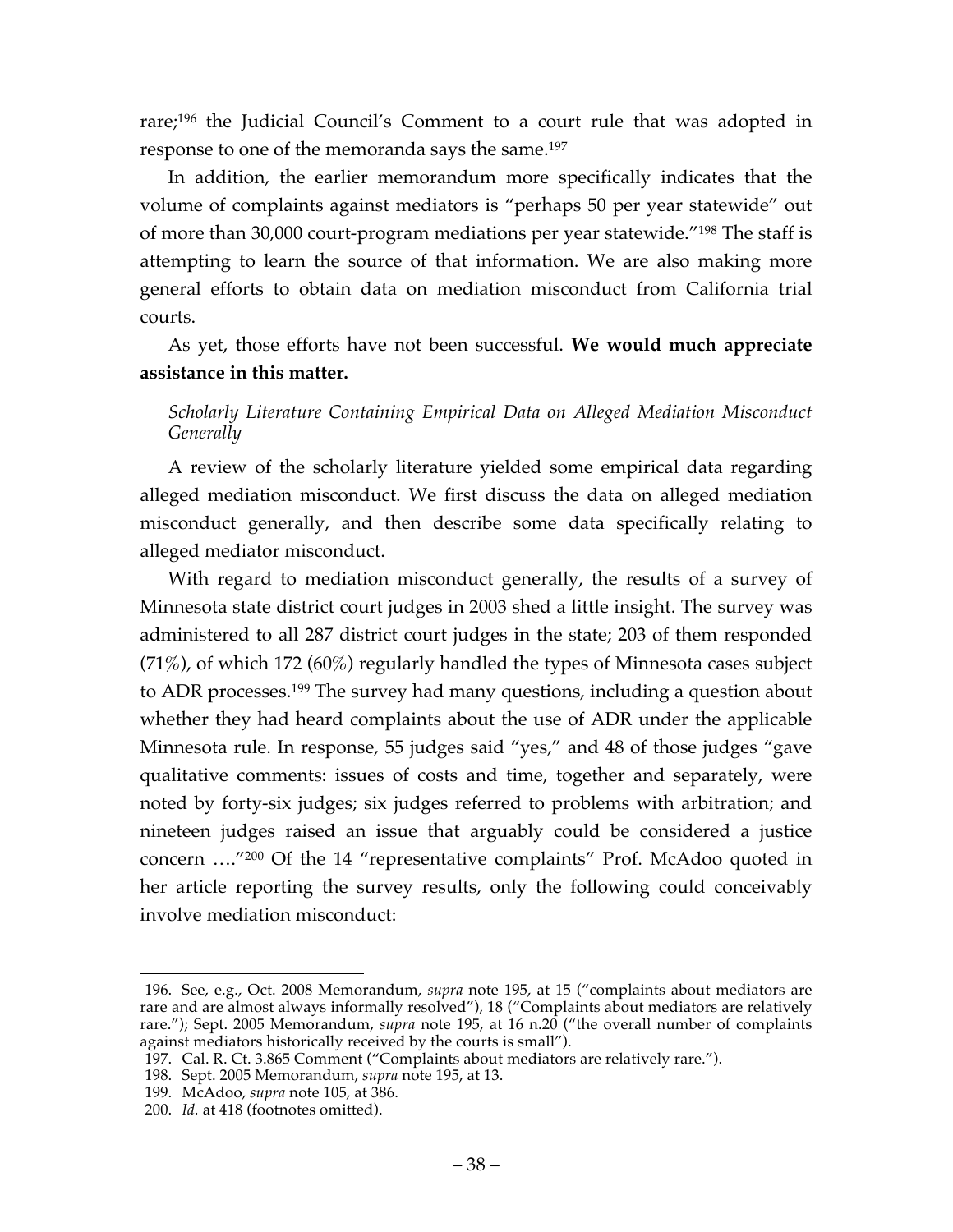rare; <sup>196</sup> the Judicial Council's Comment to a court rule that was adopted in response to one of the memoranda says the same.197

In addition, the earlier memorandum more specifically indicates that the volume of complaints against mediators is "perhaps 50 per year statewide" out of more than 30,000 court-program mediations per year statewide."198 The staff is attempting to learn the source of that information. We are also making more general efforts to obtain data on mediation misconduct from California trial courts.

As yet, those efforts have not been successful. **We would much appreciate assistance in this matter.**

# *Scholarly Literature Containing Empirical Data on Alleged Mediation Misconduct Generally*

A review of the scholarly literature yielded some empirical data regarding alleged mediation misconduct. We first discuss the data on alleged mediation misconduct generally, and then describe some data specifically relating to alleged mediator misconduct.

With regard to mediation misconduct generally, the results of a survey of Minnesota state district court judges in 2003 shed a little insight. The survey was administered to all 287 district court judges in the state; 203 of them responded (71%), of which 172 (60%) regularly handled the types of Minnesota cases subject to ADR processes.199 The survey had many questions, including a question about whether they had heard complaints about the use of ADR under the applicable Minnesota rule. In response, 55 judges said "yes," and 48 of those judges "gave qualitative comments: issues of costs and time, together and separately, were noted by forty-six judges; six judges referred to problems with arbitration; and nineteen judges raised an issue that arguably could be considered a justice concern …."200 Of the 14 "representative complaints" Prof. McAdoo quoted in her article reporting the survey results, only the following could conceivably involve mediation misconduct:

 <sup>196.</sup> See, e.g., Oct. 2008 Memorandum, *supra* note 195, at 15 ("complaints about mediators are rare and are almost always informally resolved"), 18 ("Complaints about mediators are relatively rare."); Sept. 2005 Memorandum, *supra* note 195, at 16 n.20 ("the overall number of complaints against mediators historically received by the courts is small").

<sup>197.</sup> Cal. R. Ct. 3.865 Comment ("Complaints about mediators are relatively rare.").

<sup>198.</sup> Sept. 2005 Memorandum, *supra* note 195, at 13.

<sup>199.</sup> McAdoo, *supra* note 105, at 386.

<sup>200.</sup> *Id.* at 418 (footnotes omitted).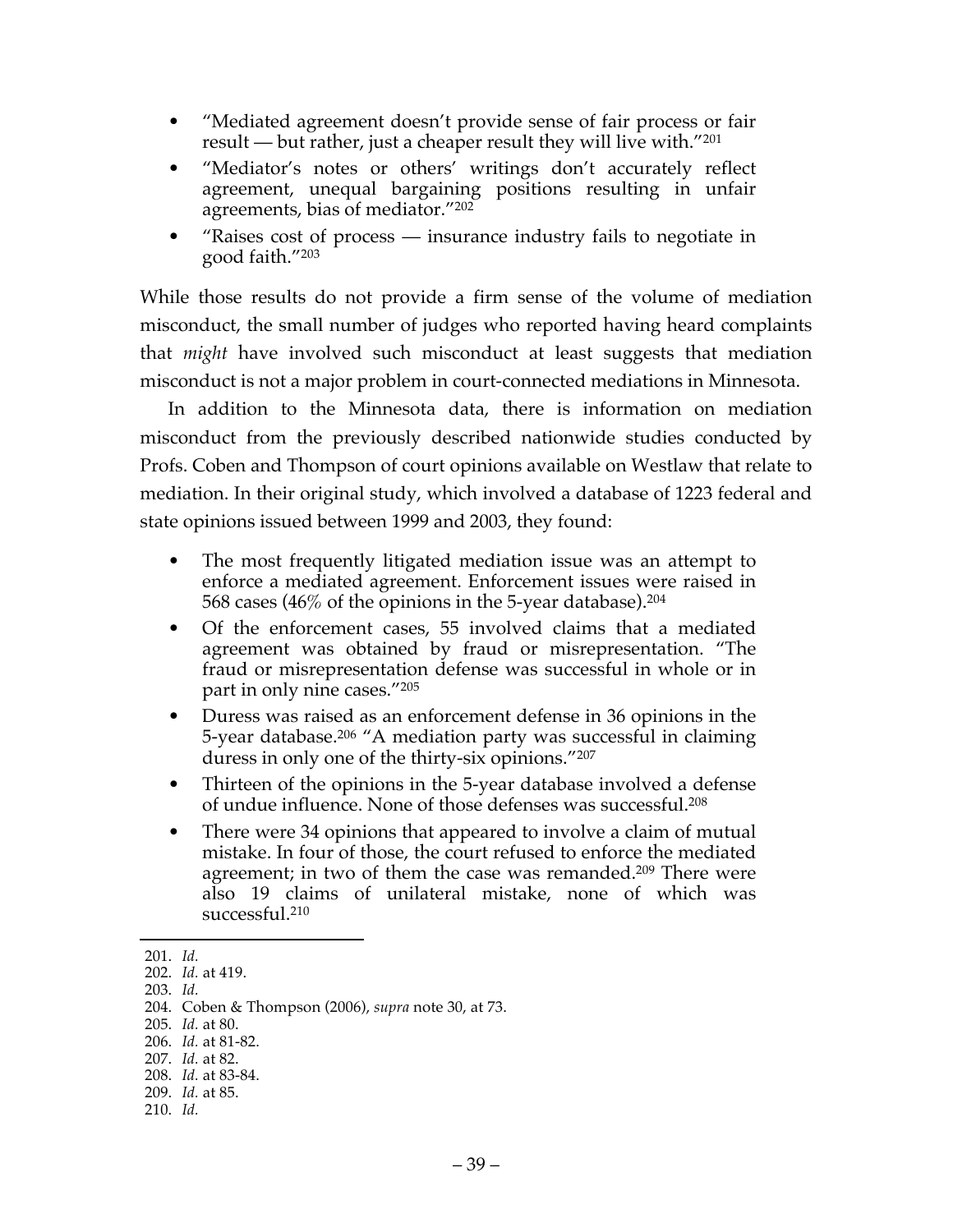- "Mediated agreement doesn't provide sense of fair process or fair result — but rather, just a cheaper result they will live with."201
- "Mediator's notes or others' writings don't accurately reflect agreement, unequal bargaining positions resulting in unfair agreements, bias of mediator."202
- "Raises cost of process insurance industry fails to negotiate in good faith."203

While those results do not provide a firm sense of the volume of mediation misconduct, the small number of judges who reported having heard complaints that *might* have involved such misconduct at least suggests that mediation misconduct is not a major problem in court-connected mediations in Minnesota.

In addition to the Minnesota data, there is information on mediation misconduct from the previously described nationwide studies conducted by Profs. Coben and Thompson of court opinions available on Westlaw that relate to mediation. In their original study, which involved a database of 1223 federal and state opinions issued between 1999 and 2003, they found:

- The most frequently litigated mediation issue was an attempt to enforce a mediated agreement. Enforcement issues were raised in 568 cases (46% of the opinions in the 5-year database).204
- Of the enforcement cases, 55 involved claims that a mediated agreement was obtained by fraud or misrepresentation. "The fraud or misrepresentation defense was successful in whole or in part in only nine cases."205
- Duress was raised as an enforcement defense in 36 opinions in the 5-year database.206 "A mediation party was successful in claiming duress in only one of the thirty-six opinions."207
- Thirteen of the opinions in the 5-year database involved a defense of undue influence. None of those defenses was successful.208
- There were 34 opinions that appeared to involve a claim of mutual mistake. In four of those, the court refused to enforce the mediated agreement; in two of them the case was remanded.<sup>209</sup> There were also 19 claims of unilateral mistake, none of which was successful.210

 <sup>201.</sup> *Id.*

<sup>202.</sup> *Id.* at 419.

<sup>203.</sup> *Id.*

<sup>204.</sup> Coben & Thompson (2006), *supra* note 30, at 73.

<sup>205.</sup> *Id.* at 80.

<sup>206.</sup> *Id.* at 81-82.

<sup>207.</sup> *Id.* at 82.

<sup>208.</sup> *Id.* at 83-84.

<sup>209.</sup> *Id.* at 85.

<sup>210.</sup> *Id.*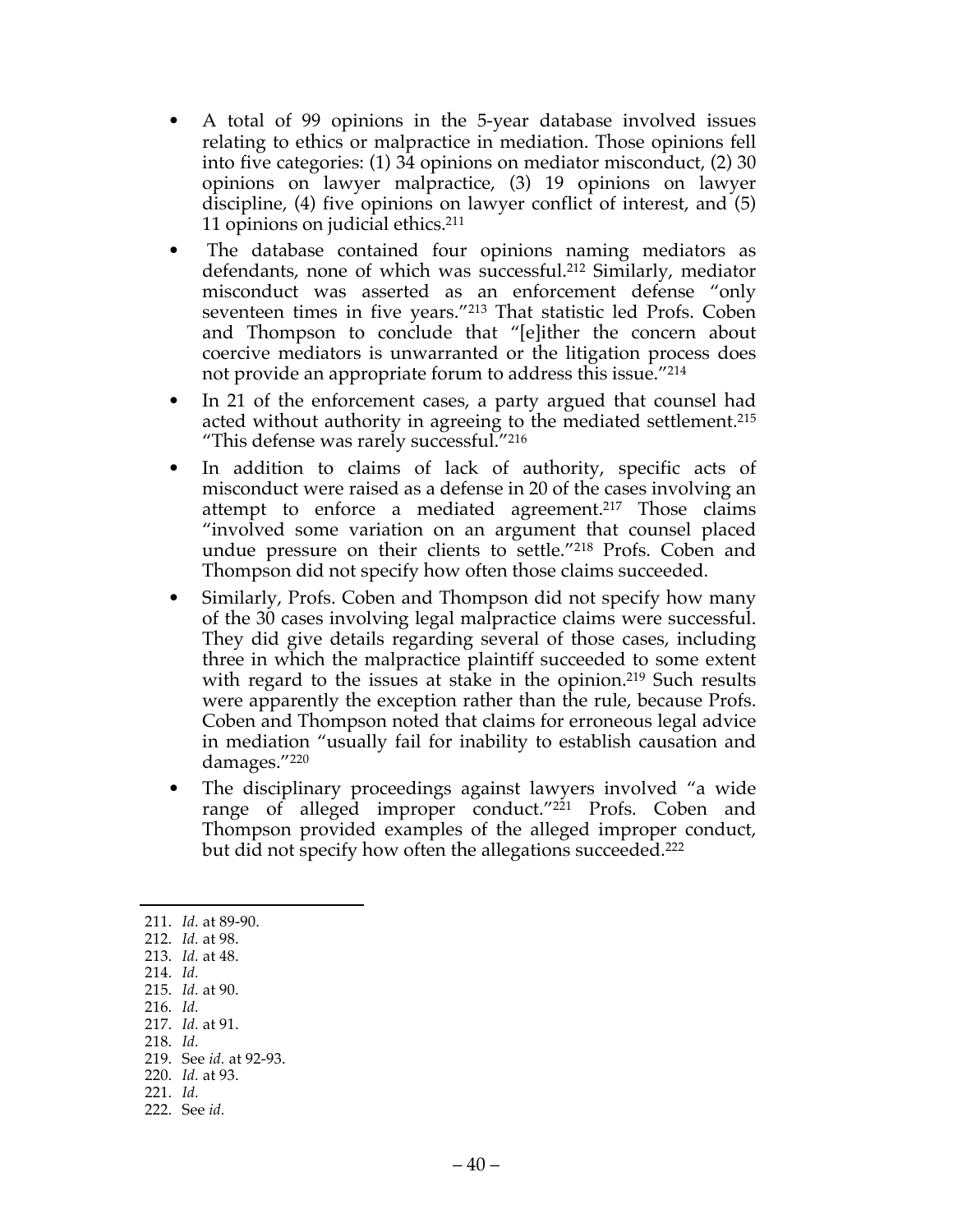- A total of 99 opinions in the 5-year database involved issues relating to ethics or malpractice in mediation. Those opinions fell into five categories: (1) 34 opinions on mediator misconduct, (2) 30 opinions on lawyer malpractice, (3) 19 opinions on lawyer discipline, (4) five opinions on lawyer conflict of interest, and (5) 11 opinions on judicial ethics.211
- The database contained four opinions naming mediators as defendants, none of which was successful.212 Similarly, mediator misconduct was asserted as an enforcement defense "only seventeen times in five years."213 That statistic led Profs. Coben and Thompson to conclude that "[e]ither the concern about coercive mediators is unwarranted or the litigation process does not provide an appropriate forum to address this issue.<sup>"214</sup>
- In 21 of the enforcement cases, a party argued that counsel had acted without authority in agreeing to the mediated settlement.215 "This defense was rarely successful."216
- In addition to claims of lack of authority, specific acts of misconduct were raised as a defense in 20 of the cases involving an attempt to enforce a mediated agreement.<sup>217</sup> Those claims "involved some variation on an argument that counsel placed undue pressure on their clients to settle."218 Profs. Coben and Thompson did not specify how often those claims succeeded.
- Similarly, Profs. Coben and Thompson did not specify how many of the 30 cases involving legal malpractice claims were successful. They did give details regarding several of those cases, including three in which the malpractice plaintiff succeeded to some extent with regard to the issues at stake in the opinion.<sup>219</sup> Such results were apparently the exception rather than the rule, because Profs. Coben and Thompson noted that claims for erroneous legal advice in mediation "usually fail for inability to establish causation and damages."220
- The disciplinary proceedings against lawyers involved "a wide range of alleged improper conduct."<sup>221</sup> Profs. Coben and Thompson provided examples of the alleged improper conduct, but did not specify how often the allegations succeeded.222

 211. *Id.* at 89-90. 212. *Id.* at 98. 213. *Id.* at 48. 214. *Id.* 215. *Id.* at 90.

- 216. *Id.*
- 217. *Id.* at 91.
- 218. *Id.*
- 219. See *id.* at 92-93.
- 220. *Id.* at 93.
- 221. *Id.*
- 222. See *id.*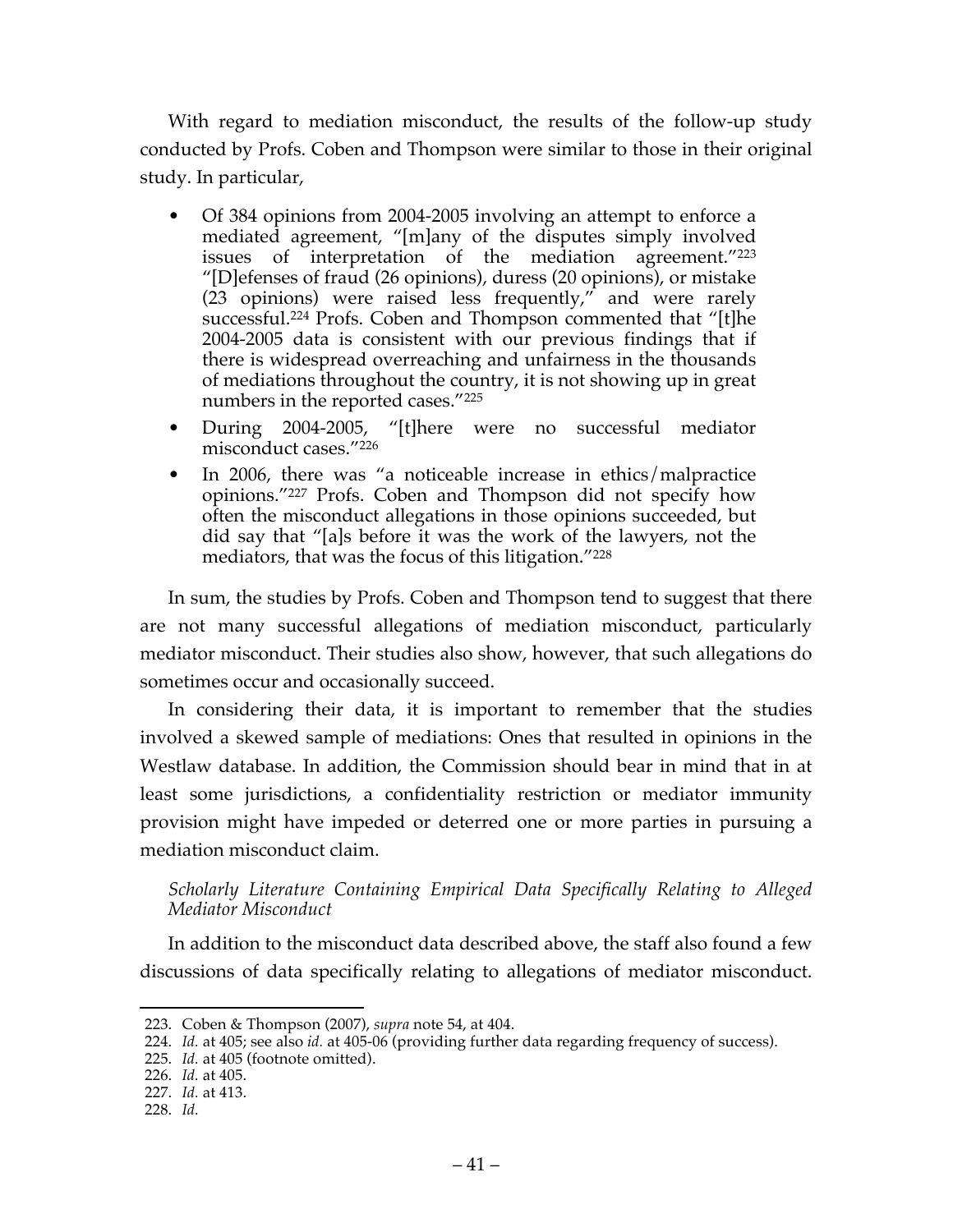With regard to mediation misconduct, the results of the follow-up study conducted by Profs. Coben and Thompson were similar to those in their original study. In particular,

- Of 384 opinions from 2004-2005 involving an attempt to enforce a mediated agreement, "[m]any of the disputes simply involved issues of interpretation of the mediation agreement."223 "[D]efenses of fraud (26 opinions), duress (20 opinions), or mistake (23 opinions) were raised less frequently," and were rarely successful.<sup>224</sup> Profs. Coben and Thompson commented that "[t]he 2004-2005 data is consistent with our previous findings that if there is widespread overreaching and unfairness in the thousands of mediations throughout the country, it is not showing up in great numbers in the reported cases."225
- During 2004-2005, "[t]here were no successful mediator misconduct cases."226
- In 2006, there was "a noticeable increase in ethics/malpractice opinions."227 Profs. Coben and Thompson did not specify how often the misconduct allegations in those opinions succeeded, but did say that "[a]s before it was the work of the lawyers, not the mediators, that was the focus of this litigation."228

In sum, the studies by Profs. Coben and Thompson tend to suggest that there are not many successful allegations of mediation misconduct, particularly mediator misconduct. Their studies also show, however, that such allegations do sometimes occur and occasionally succeed.

In considering their data, it is important to remember that the studies involved a skewed sample of mediations: Ones that resulted in opinions in the Westlaw database. In addition, the Commission should bear in mind that in at least some jurisdictions, a confidentiality restriction or mediator immunity provision might have impeded or deterred one or more parties in pursuing a mediation misconduct claim.

*Scholarly Literature Containing Empirical Data Specifically Relating to Alleged Mediator Misconduct*

In addition to the misconduct data described above, the staff also found a few discussions of data specifically relating to allegations of mediator misconduct.

 <sup>223.</sup> Coben & Thompson (2007), *supra* note 54, at 404.

<sup>224.</sup> *Id.* at 405; see also *id.* at 405-06 (providing further data regarding frequency of success).

<sup>225.</sup> *Id.* at 405 (footnote omitted).

<sup>226.</sup> *Id.* at 405.

<sup>227.</sup> *Id.* at 413.

<sup>228.</sup> *Id.*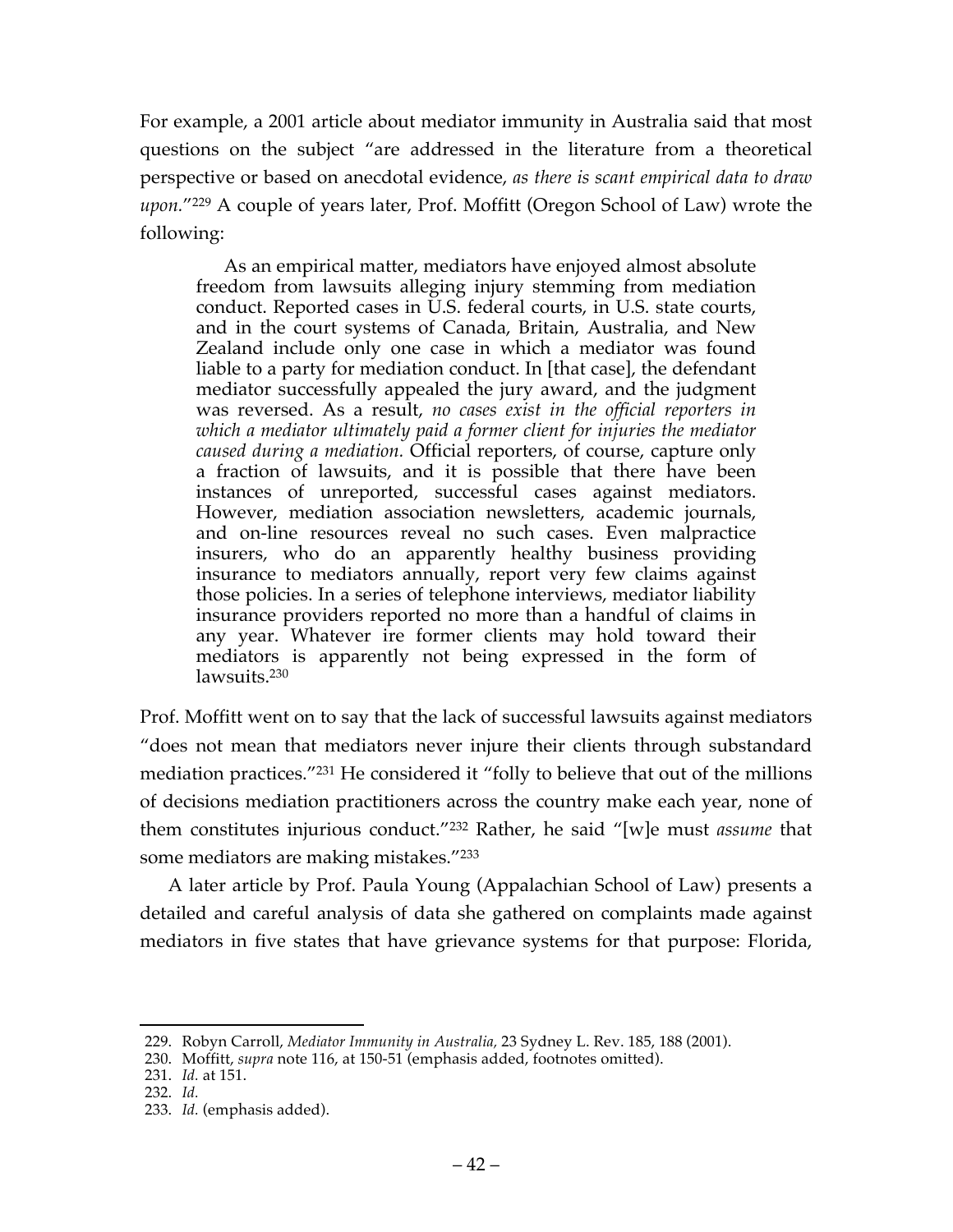For example, a 2001 article about mediator immunity in Australia said that most questions on the subject "are addressed in the literature from a theoretical perspective or based on anecdotal evidence, *as there is scant empirical data to draw upon.*"229 A couple of years later, Prof. Moffitt (Oregon School of Law) wrote the following:

As an empirical matter, mediators have enjoyed almost absolute freedom from lawsuits alleging injury stemming from mediation conduct. Reported cases in U.S. federal courts, in U.S. state courts, and in the court systems of Canada, Britain, Australia, and New Zealand include only one case in which a mediator was found liable to a party for mediation conduct. In [that case], the defendant mediator successfully appealed the jury award, and the judgment was reversed. As a result, *no cases exist in the official reporters in which a mediator ultimately paid a former client for injuries the mediator caused during a mediation.* Official reporters, of course, capture only a fraction of lawsuits, and it is possible that there have been instances of unreported, successful cases against mediators. However, mediation association newsletters, academic journals, and on-line resources reveal no such cases. Even malpractice insurers, who do an apparently healthy business providing insurance to mediators annually, report very few claims against those policies. In a series of telephone interviews, mediator liability insurance providers reported no more than a handful of claims in any year. Whatever ire former clients may hold toward their mediators is apparently not being expressed in the form of lawsuits.<sup>230</sup>

Prof. Moffitt went on to say that the lack of successful lawsuits against mediators "does not mean that mediators never injure their clients through substandard mediation practices."231 He considered it "folly to believe that out of the millions of decisions mediation practitioners across the country make each year, none of them constitutes injurious conduct."232 Rather, he said "[w]e must *assume* that some mediators are making mistakes."233

A later article by Prof. Paula Young (Appalachian School of Law) presents a detailed and careful analysis of data she gathered on complaints made against mediators in five states that have grievance systems for that purpose: Florida,

 <sup>229.</sup> Robyn Carroll, *Mediator Immunity in Australia,* 23 Sydney L. Rev. 185, 188 (2001).

<sup>230.</sup> Moffitt, *supra* note 116, at 150-51 (emphasis added, footnotes omitted).

<sup>231.</sup> *Id.* at 151.

<sup>232.</sup> *Id.*

<sup>233.</sup> *Id.* (emphasis added).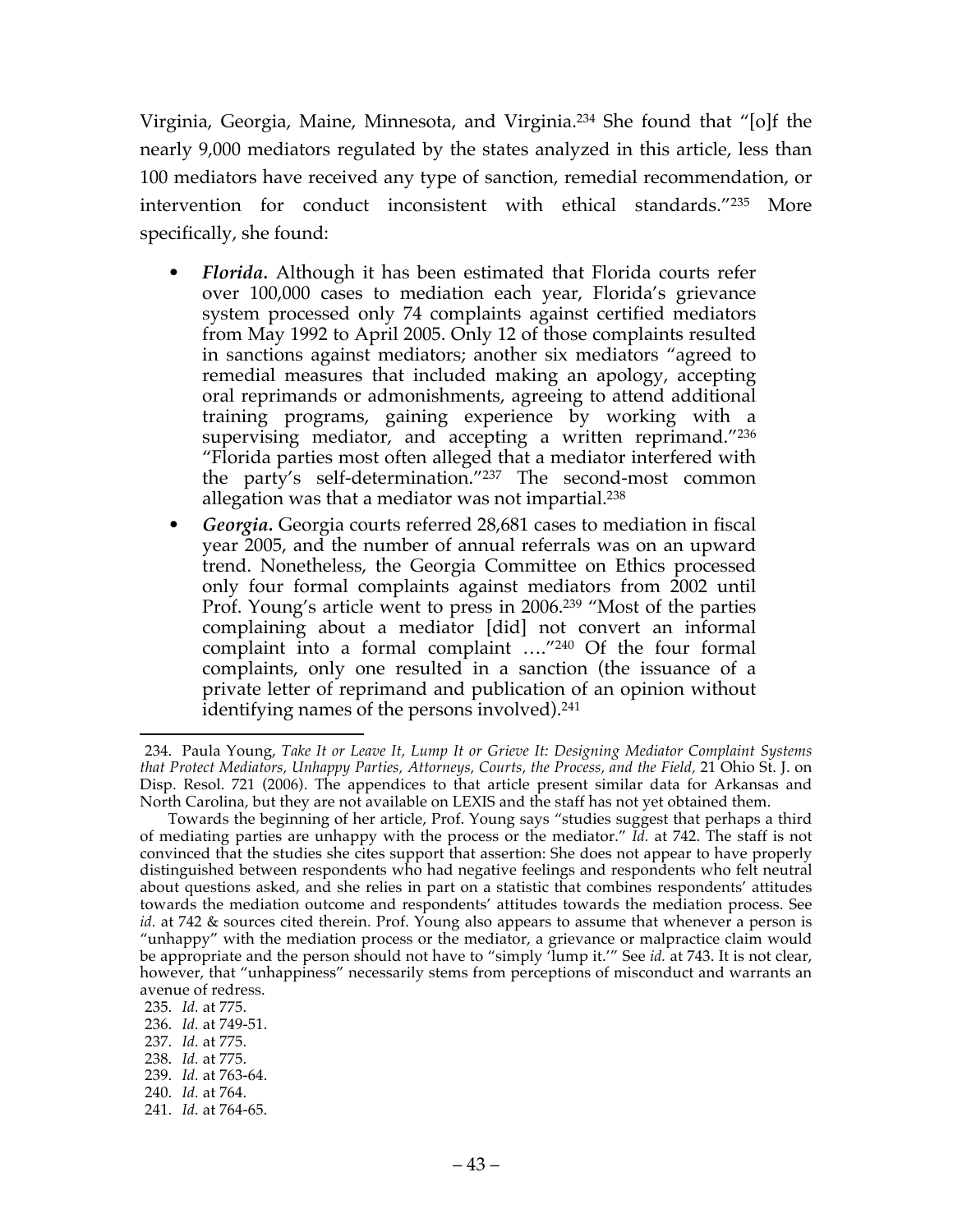Virginia, Georgia, Maine, Minnesota, and Virginia.234 She found that "[o]f the nearly 9,000 mediators regulated by the states analyzed in this article, less than 100 mediators have received any type of sanction, remedial recommendation, or intervention for conduct inconsistent with ethical standards."235 More specifically, she found:

- *Florida.* Although it has been estimated that Florida courts refer over 100,000 cases to mediation each year, Florida's grievance system processed only 74 complaints against certified mediators from May 1992 to April 2005. Only 12 of those complaints resulted in sanctions against mediators; another six mediators "agreed to remedial measures that included making an apology, accepting oral reprimands or admonishments, agreeing to attend additional training programs, gaining experience by working with a supervising mediator, and accepting a written reprimand."<sup>236</sup> "Florida parties most often alleged that a mediator interfered with the party's self-determination."237 The second-most common allegation was that a mediator was not impartial.238
- *Georgia.* Georgia courts referred 28,681 cases to mediation in fiscal year 2005, and the number of annual referrals was on an upward trend. Nonetheless, the Georgia Committee on Ethics processed only four formal complaints against mediators from 2002 until Prof. Young's article went to press in 2006.<sup>239</sup> "Most of the parties complaining about a mediator [did] not convert an informal complaint into a formal complaint …."240 Of the four formal complaints, only one resulted in a sanction (the issuance of a private letter of reprimand and publication of an opinion without identifying names of the persons involved).<sup>241</sup>

240. *Id.* at 764.

 <sup>234.</sup> Paula Young, *Take It or Leave It, Lump It or Grieve It: Designing Mediator Complaint Systems that Protect Mediators, Unhappy Parties, Attorneys, Courts, the Process, and the Field,* 21 Ohio St. J. on Disp. Resol. 721 (2006). The appendices to that article present similar data for Arkansas and North Carolina, but they are not available on LEXIS and the staff has not yet obtained them.

Towards the beginning of her article, Prof. Young says "studies suggest that perhaps a third of mediating parties are unhappy with the process or the mediator." *Id.* at 742. The staff is not convinced that the studies she cites support that assertion: She does not appear to have properly distinguished between respondents who had negative feelings and respondents who felt neutral about questions asked, and she relies in part on a statistic that combines respondents' attitudes towards the mediation outcome and respondents' attitudes towards the mediation process. See *id.* at 742 & sources cited therein. Prof. Young also appears to assume that whenever a person is "unhappy" with the mediation process or the mediator, a grievance or malpractice claim would be appropriate and the person should not have to "simply 'lump it.'" See *id.* at 743. It is not clear, however, that "unhappiness" necessarily stems from perceptions of misconduct and warrants an avenue of redress.

<sup>235.</sup> *Id.* at 775.

<sup>236.</sup> *Id.* at 749-51.

<sup>237.</sup> *Id.* at 775.

<sup>238.</sup> *Id.* at 775.

<sup>239.</sup> *Id.* at 763-64.

<sup>241.</sup> *Id.* at 764-65.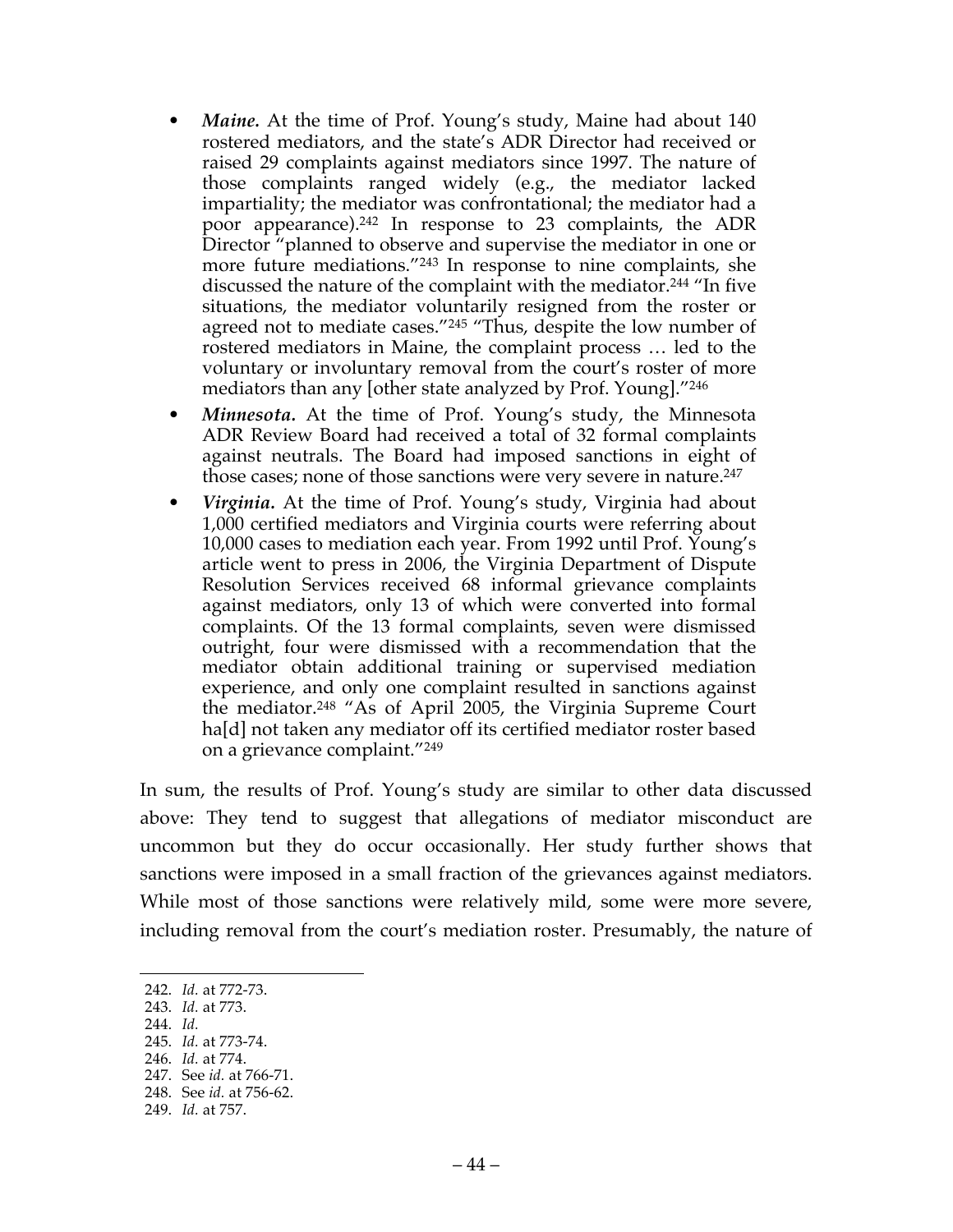- *Maine.* At the time of Prof. Young's study, Maine had about 140 rostered mediators, and the state's ADR Director had received or raised 29 complaints against mediators since 1997. The nature of those complaints ranged widely (e.g., the mediator lacked impartiality; the mediator was confrontational; the mediator had a poor appearance). <sup>242</sup> In response to 23 complaints, the ADR Director "planned to observe and supervise the mediator in one or more future mediations."243 In response to nine complaints, she discussed the nature of the complaint with the mediator.244 "In five situations, the mediator voluntarily resigned from the roster or agreed not to mediate cases."<sup>245</sup> "Thus, despite the low number of rostered mediators in Maine, the complaint process … led to the voluntary or involuntary removal from the court's roster of more mediators than any [other state analyzed by Prof. Young]."246
- *Minnesota.* At the time of Prof. Young's study, the Minnesota ADR Review Board had received a total of 32 formal complaints against neutrals. The Board had imposed sanctions in eight of those cases; none of those sanctions were very severe in nature. 247
- *Virginia.* At the time of Prof. Young's study, Virginia had about 1,000 certified mediators and Virginia courts were referring about 10,000 cases to mediation each year. From 1992 until Prof. Young's article went to press in 2006, the Virginia Department of Dispute Resolution Services received 68 informal grievance complaints against mediators, only 13 of which were converted into formal complaints. Of the 13 formal complaints, seven were dismissed outright, four were dismissed with a recommendation that the mediator obtain additional training or supervised mediation experience, and only one complaint resulted in sanctions against the mediator.248 "As of April 2005, the Virginia Supreme Court ha<sup>[d]</sup> not taken any mediator off its certified mediator roster based on a grievance complaint."249

In sum, the results of Prof. Young's study are similar to other data discussed above: They tend to suggest that allegations of mediator misconduct are uncommon but they do occur occasionally. Her study further shows that sanctions were imposed in a small fraction of the grievances against mediators. While most of those sanctions were relatively mild, some were more severe, including removal from the court's mediation roster. Presumably, the nature of

244. *Id.*

 <sup>242.</sup> *Id.* at 772-73.

<sup>243.</sup> *Id.* at 773.

<sup>245.</sup> *Id.* at 773-74.

<sup>246.</sup> *Id.* at 774. 247. See *id.* at 766-71.

<sup>248.</sup> See *id.* at 756-62.

<sup>249.</sup> *Id.* at 757.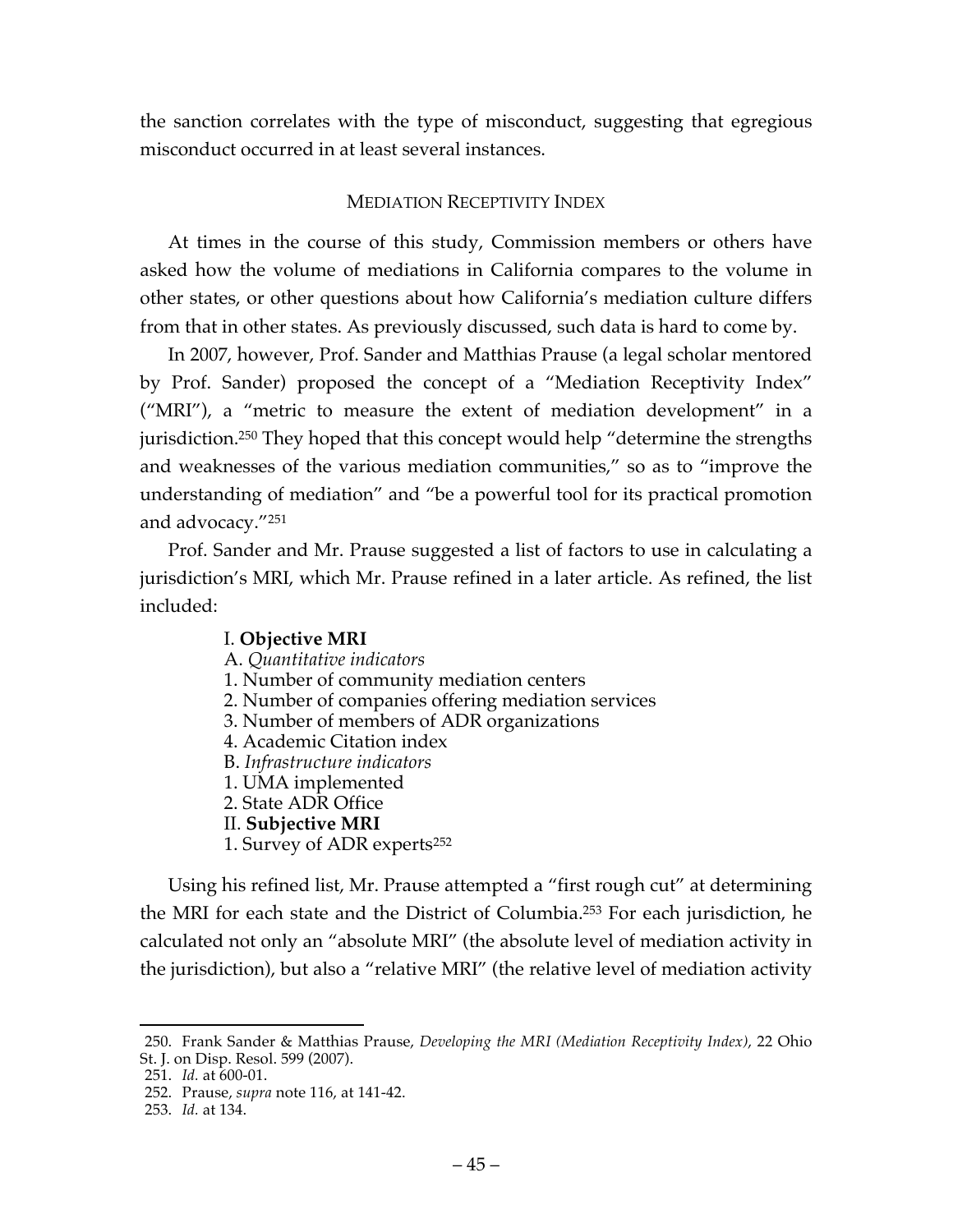the sanction correlates with the type of misconduct, suggesting that egregious misconduct occurred in at least several instances.

## MEDIATION RECEPTIVITY INDEX

At times in the course of this study, Commission members or others have asked how the volume of mediations in California compares to the volume in other states, or other questions about how California's mediation culture differs from that in other states. As previously discussed, such data is hard to come by.

In 2007, however, Prof. Sander and Matthias Prause (a legal scholar mentored by Prof. Sander) proposed the concept of a "Mediation Receptivity Index" ("MRI"), a "metric to measure the extent of mediation development" in a jurisdiction.250 They hoped that this concept would help "determine the strengths and weaknesses of the various mediation communities," so as to "improve the understanding of mediation" and "be a powerful tool for its practical promotion and advocacy."251

Prof. Sander and Mr. Prause suggested a list of factors to use in calculating a jurisdiction's MRI, which Mr. Prause refined in a later article. As refined, the list included:

#### I. **Objective MRI** A. *Quantitative indicators* 1. Number of community mediation centers 2. Number of companies offering mediation services 3. Number of members of ADR organizations 4. Academic Citation index B. *Infrastructure indicators* 1. UMA implemented 2. State ADR Office II. **Subjective MRI** 1. Survey of ADR experts252

Using his refined list, Mr. Prause attempted a "first rough cut" at determining the MRI for each state and the District of Columbia.253 For each jurisdiction, he calculated not only an "absolute MRI" (the absolute level of mediation activity in the jurisdiction), but also a "relative MRI" (the relative level of mediation activity

 <sup>250.</sup> Frank Sander & Matthias Prause, *Developing the MRI (Mediation Receptivity Index)*, 22 Ohio St. J. on Disp. Resol. 599 (2007).

<sup>251.</sup> *Id.* at 600-01.

<sup>252.</sup> Prause, *supra* note 116, at 141-42.

<sup>253.</sup> *Id.* at 134.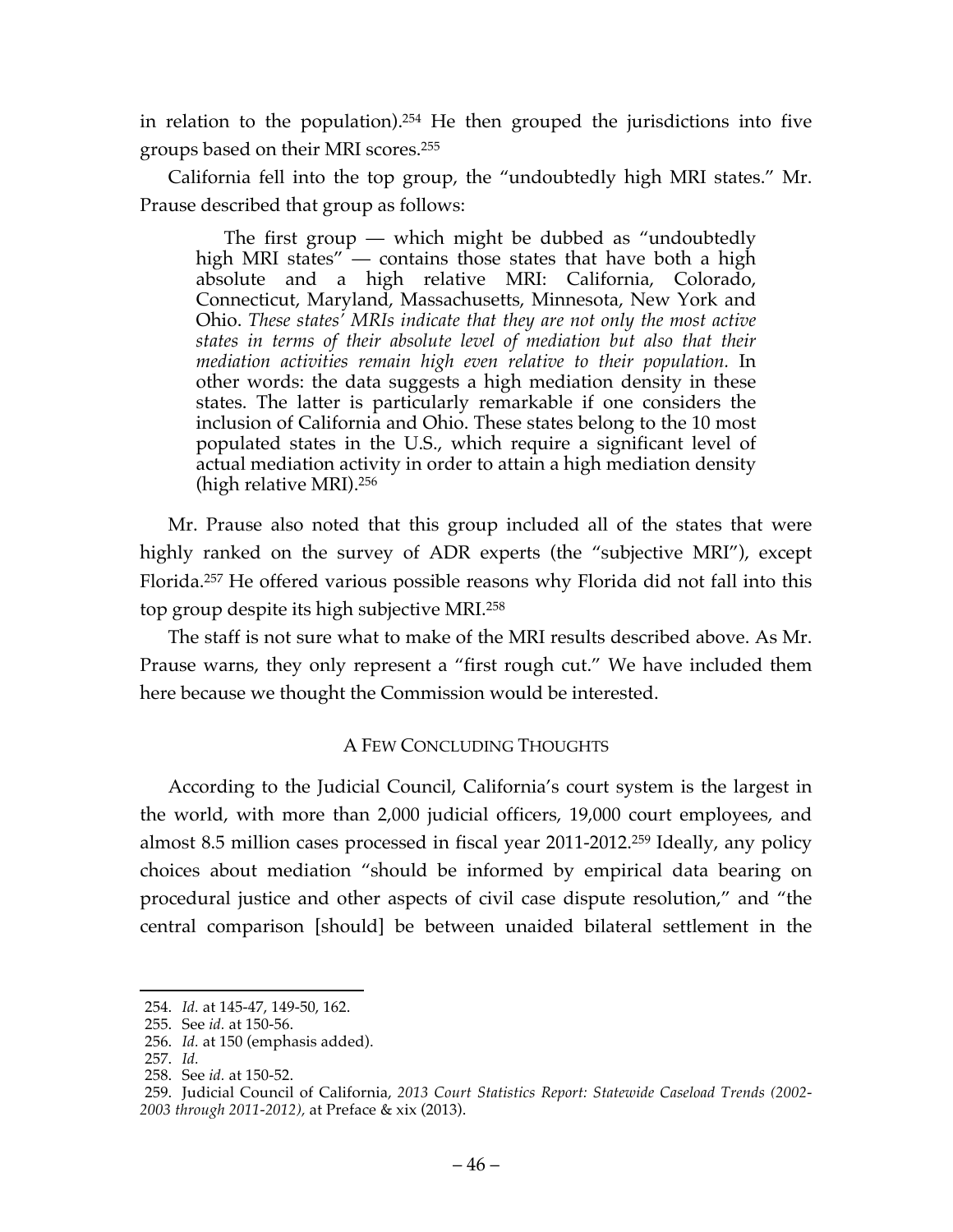in relation to the population).254 He then grouped the jurisdictions into five groups based on their MRI scores.255

California fell into the top group, the "undoubtedly high MRI states." Mr. Prause described that group as follows:

The first group — which might be dubbed as "undoubtedly high MRI states" — contains those states that have both a high absolute and a high relative MRI: California, Colorado, Connecticut, Maryland, Massachusetts, Minnesota, New York and Ohio. *These states' MRIs indicate that they are not only the most active states in terms of their absolute level of mediation but also that their mediation activities remain high even relative to their population.* In other words: the data suggests a high mediation density in these states. The latter is particularly remarkable if one considers the inclusion of California and Ohio. These states belong to the 10 most populated states in the U.S., which require a significant level of actual mediation activity in order to attain a high mediation density (high relative MRI).256

Mr. Prause also noted that this group included all of the states that were highly ranked on the survey of ADR experts (the "subjective MRI"), except Florida.257 He offered various possible reasons why Florida did not fall into this top group despite its high subjective MRI.258

The staff is not sure what to make of the MRI results described above. As Mr. Prause warns, they only represent a "first rough cut." We have included them here because we thought the Commission would be interested.

## A FEW CONCLUDING THOUGHTS

According to the Judicial Council, California's court system is the largest in the world, with more than 2,000 judicial officers, 19,000 court employees, and almost 8.5 million cases processed in fiscal year 2011-2012.259 Ideally, any policy choices about mediation "should be informed by empirical data bearing on procedural justice and other aspects of civil case dispute resolution," and "the central comparison [should] be between unaided bilateral settlement in the

 <sup>254.</sup> *Id.* at 145-47, 149-50, 162.

<sup>255.</sup> See *id.* at 150-56.

<sup>256.</sup> *Id.* at 150 (emphasis added).

<sup>257.</sup> *Id.*

<sup>258.</sup> See *id.* at 150-52.

<sup>259.</sup> Judicial Council of California, *2013 Court Statistics Report: Statewide Caseload Trends (2002- 2003 through 2011-2012),* at Preface & xix (2013).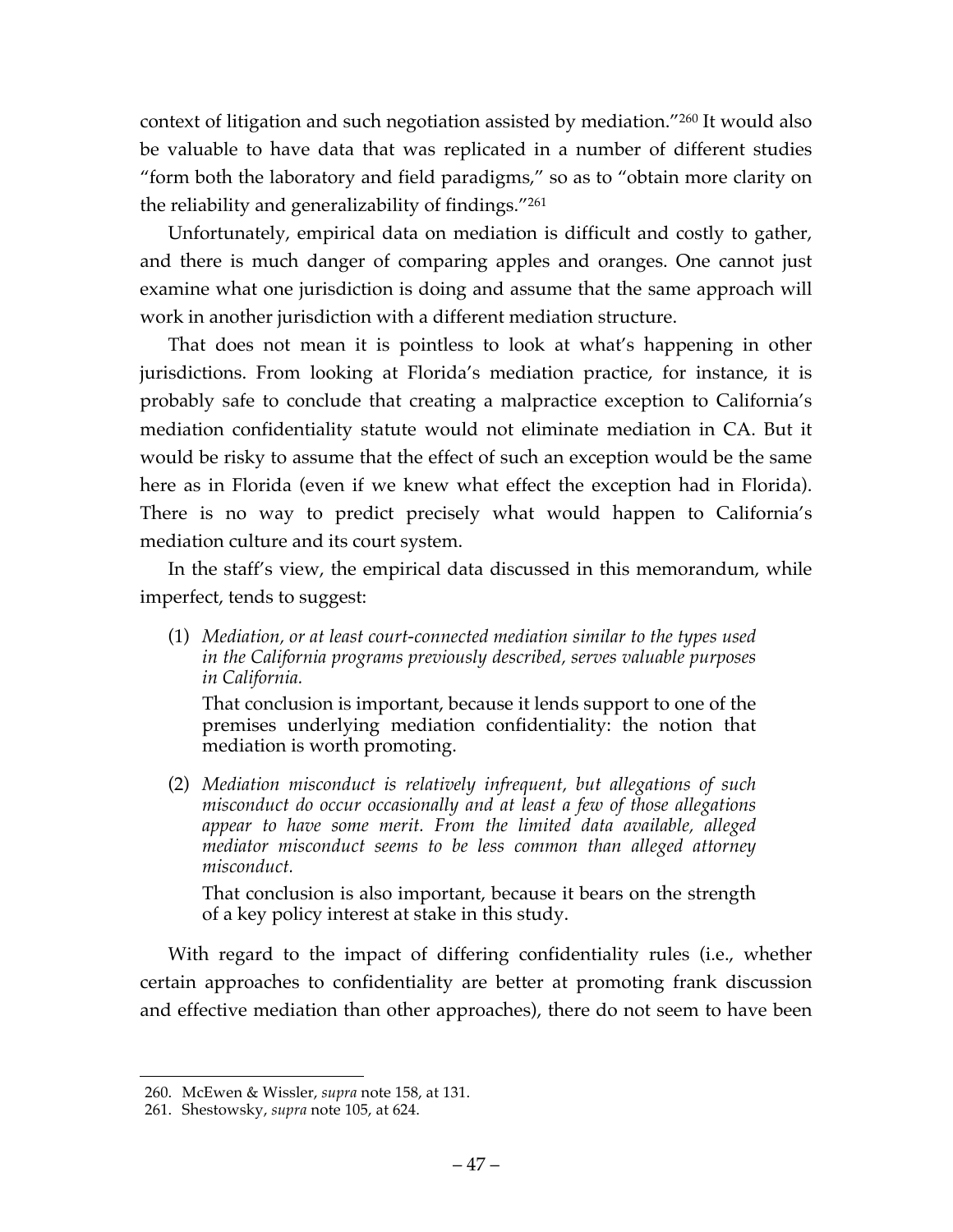context of litigation and such negotiation assisted by mediation."260 It would also be valuable to have data that was replicated in a number of different studies "form both the laboratory and field paradigms," so as to "obtain more clarity on the reliability and generalizability of findings."261

Unfortunately, empirical data on mediation is difficult and costly to gather, and there is much danger of comparing apples and oranges. One cannot just examine what one jurisdiction is doing and assume that the same approach will work in another jurisdiction with a different mediation structure.

That does not mean it is pointless to look at what's happening in other jurisdictions. From looking at Florida's mediation practice, for instance, it is probably safe to conclude that creating a malpractice exception to California's mediation confidentiality statute would not eliminate mediation in CA. But it would be risky to assume that the effect of such an exception would be the same here as in Florida (even if we knew what effect the exception had in Florida). There is no way to predict precisely what would happen to California's mediation culture and its court system.

In the staff's view, the empirical data discussed in this memorandum, while imperfect, tends to suggest:

(1) *Mediation, or at least court-connected mediation similar to the types used in the California programs previously described, serves valuable purposes in California.*

That conclusion is important, because it lends support to one of the premises underlying mediation confidentiality: the notion that mediation is worth promoting.

(2) *Mediation misconduct is relatively infrequent, but allegations of such misconduct do occur occasionally and at least a few of those allegations appear to have some merit. From the limited data available, alleged mediator misconduct seems to be less common than alleged attorney misconduct.*

That conclusion is also important, because it bears on the strength of a key policy interest at stake in this study.

With regard to the impact of differing confidentiality rules (i.e., whether certain approaches to confidentiality are better at promoting frank discussion and effective mediation than other approaches), there do not seem to have been

 <sup>260.</sup> McEwen & Wissler, *supra* note 158, at 131.

<sup>261.</sup> Shestowsky, *supra* note 105, at 624.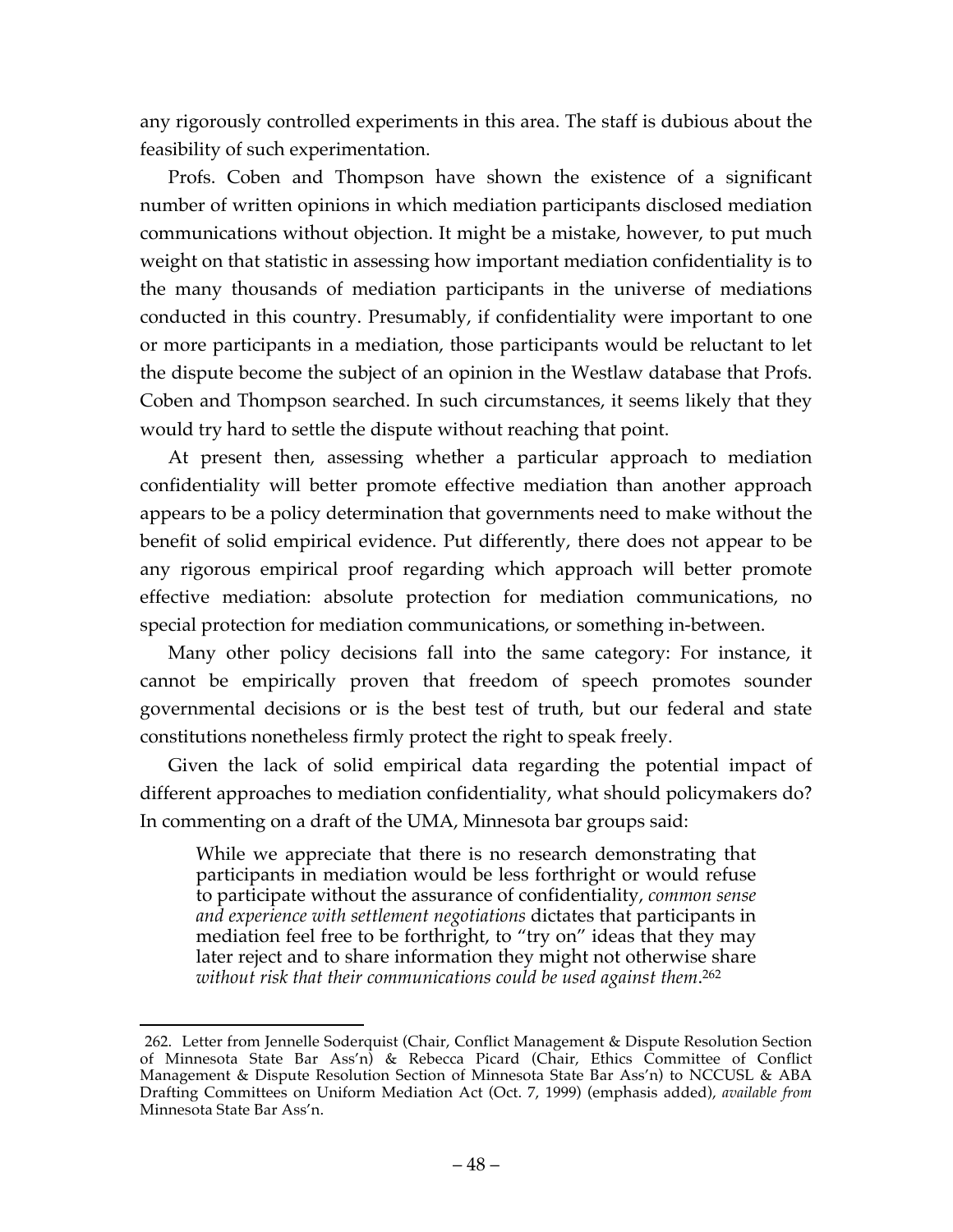any rigorously controlled experiments in this area. The staff is dubious about the feasibility of such experimentation.

Profs. Coben and Thompson have shown the existence of a significant number of written opinions in which mediation participants disclosed mediation communications without objection. It might be a mistake, however, to put much weight on that statistic in assessing how important mediation confidentiality is to the many thousands of mediation participants in the universe of mediations conducted in this country. Presumably, if confidentiality were important to one or more participants in a mediation, those participants would be reluctant to let the dispute become the subject of an opinion in the Westlaw database that Profs. Coben and Thompson searched. In such circumstances, it seems likely that they would try hard to settle the dispute without reaching that point.

At present then, assessing whether a particular approach to mediation confidentiality will better promote effective mediation than another approach appears to be a policy determination that governments need to make without the benefit of solid empirical evidence. Put differently, there does not appear to be any rigorous empirical proof regarding which approach will better promote effective mediation: absolute protection for mediation communications, no special protection for mediation communications, or something in-between.

Many other policy decisions fall into the same category: For instance, it cannot be empirically proven that freedom of speech promotes sounder governmental decisions or is the best test of truth, but our federal and state constitutions nonetheless firmly protect the right to speak freely.

Given the lack of solid empirical data regarding the potential impact of different approaches to mediation confidentiality, what should policymakers do? In commenting on a draft of the UMA, Minnesota bar groups said:

While we appreciate that there is no research demonstrating that participants in mediation would be less forthright or would refuse to participate without the assurance of confidentiality, *common sense and experience with settlement negotiations* dictates that participants in mediation feel free to be forthright, to "try on" ideas that they may later reject and to share information they might not otherwise share *without risk that their communications could be used against them*. 262

 <sup>262.</sup> Letter from Jennelle Soderquist (Chair, Conflict Management & Dispute Resolution Section of Minnesota State Bar Ass'n) & Rebecca Picard (Chair, Ethics Committee of Conflict Management & Dispute Resolution Section of Minnesota State Bar Ass'n) to NCCUSL & ABA Drafting Committees on Uniform Mediation Act (Oct. 7, 1999) (emphasis added), *available from* Minnesota State Bar Ass'n.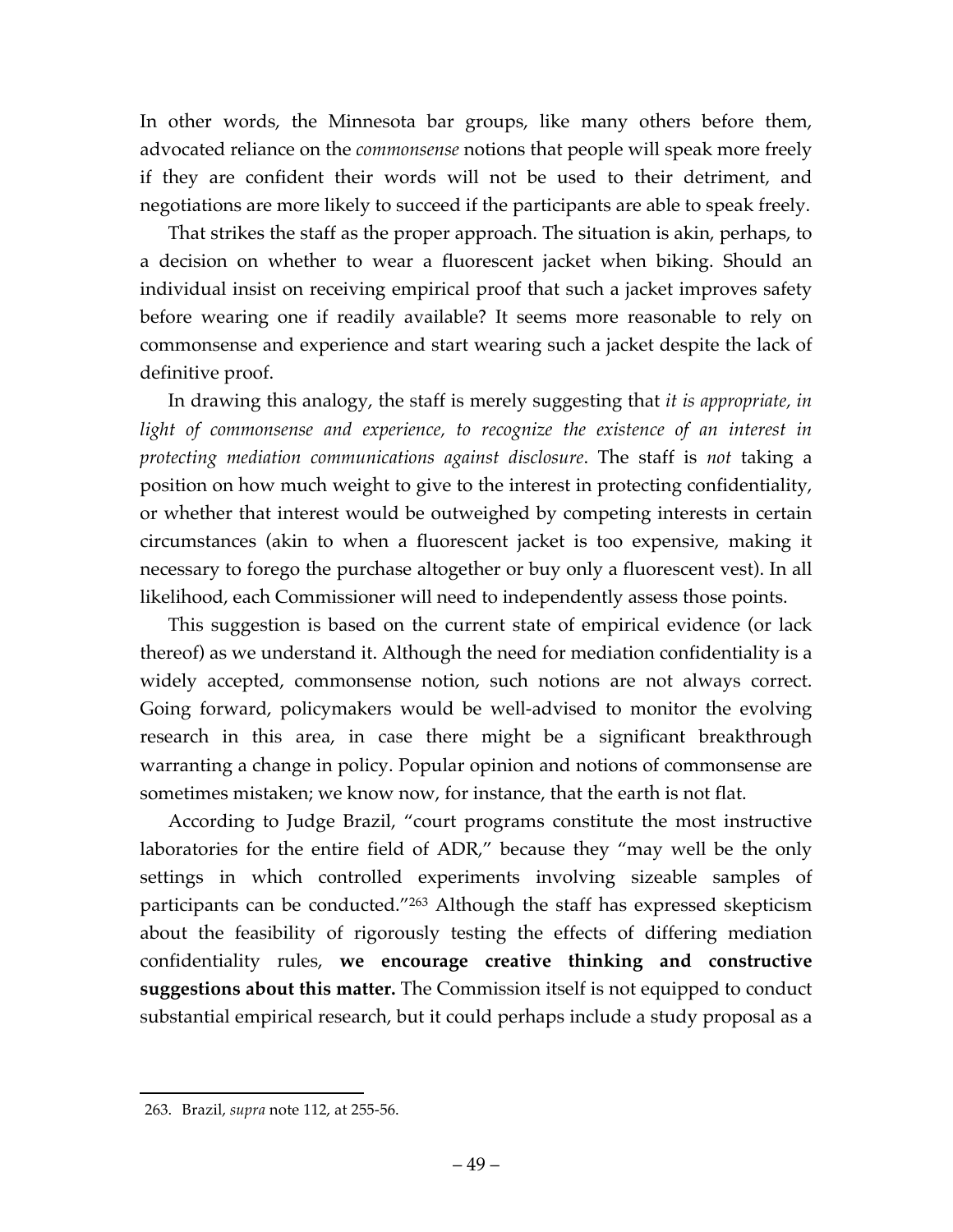In other words, the Minnesota bar groups, like many others before them, advocated reliance on the *commonsense* notions that people will speak more freely if they are confident their words will not be used to their detriment, and negotiations are more likely to succeed if the participants are able to speak freely.

That strikes the staff as the proper approach. The situation is akin, perhaps, to a decision on whether to wear a fluorescent jacket when biking. Should an individual insist on receiving empirical proof that such a jacket improves safety before wearing one if readily available? It seems more reasonable to rely on commonsense and experience and start wearing such a jacket despite the lack of definitive proof.

In drawing this analogy, the staff is merely suggesting that *it is appropriate, in*  light of commonsense and experience, to recognize the existence of an interest in *protecting mediation communications against disclosure*. The staff is *not* taking a position on how much weight to give to the interest in protecting confidentiality, or whether that interest would be outweighed by competing interests in certain circumstances (akin to when a fluorescent jacket is too expensive, making it necessary to forego the purchase altogether or buy only a fluorescent vest). In all likelihood, each Commissioner will need to independently assess those points.

This suggestion is based on the current state of empirical evidence (or lack thereof) as we understand it. Although the need for mediation confidentiality is a widely accepted, commonsense notion, such notions are not always correct. Going forward, policymakers would be well-advised to monitor the evolving research in this area, in case there might be a significant breakthrough warranting a change in policy. Popular opinion and notions of commonsense are sometimes mistaken; we know now, for instance, that the earth is not flat.

According to Judge Brazil, "court programs constitute the most instructive laboratories for the entire field of ADR," because they "may well be the only settings in which controlled experiments involving sizeable samples of participants can be conducted."263 Although the staff has expressed skepticism about the feasibility of rigorously testing the effects of differing mediation confidentiality rules, **we encourage creative thinking and constructive suggestions about this matter.** The Commission itself is not equipped to conduct substantial empirical research, but it could perhaps include a study proposal as a

 <sup>263.</sup> Brazil, *supra* note 112, at 255-56.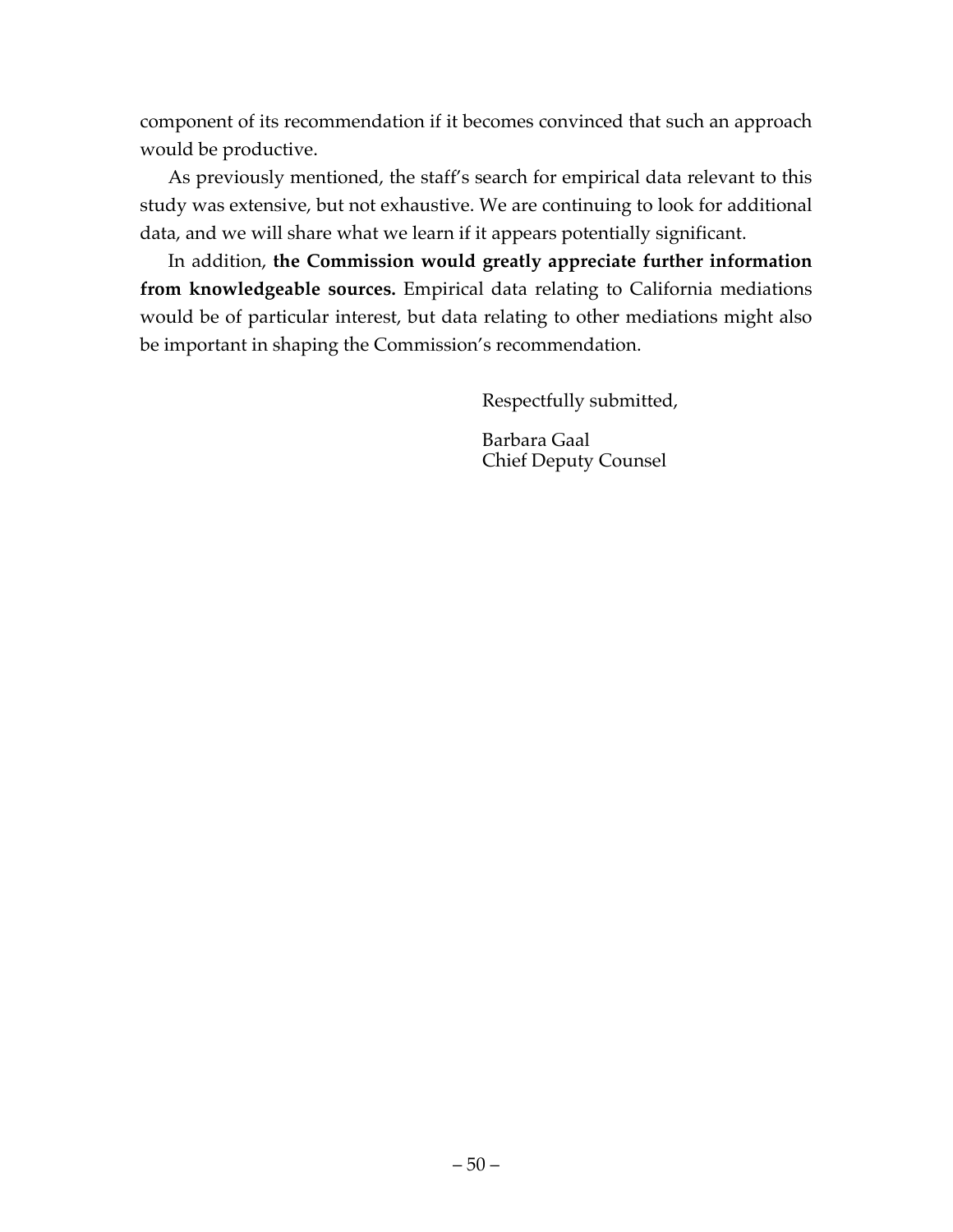component of its recommendation if it becomes convinced that such an approach would be productive.

As previously mentioned, the staff's search for empirical data relevant to this study was extensive, but not exhaustive. We are continuing to look for additional data, and we will share what we learn if it appears potentially significant.

In addition, **the Commission would greatly appreciate further information from knowledgeable sources.** Empirical data relating to California mediations would be of particular interest, but data relating to other mediations might also be important in shaping the Commission's recommendation.

Respectfully submitted,

Barbara Gaal Chief Deputy Counsel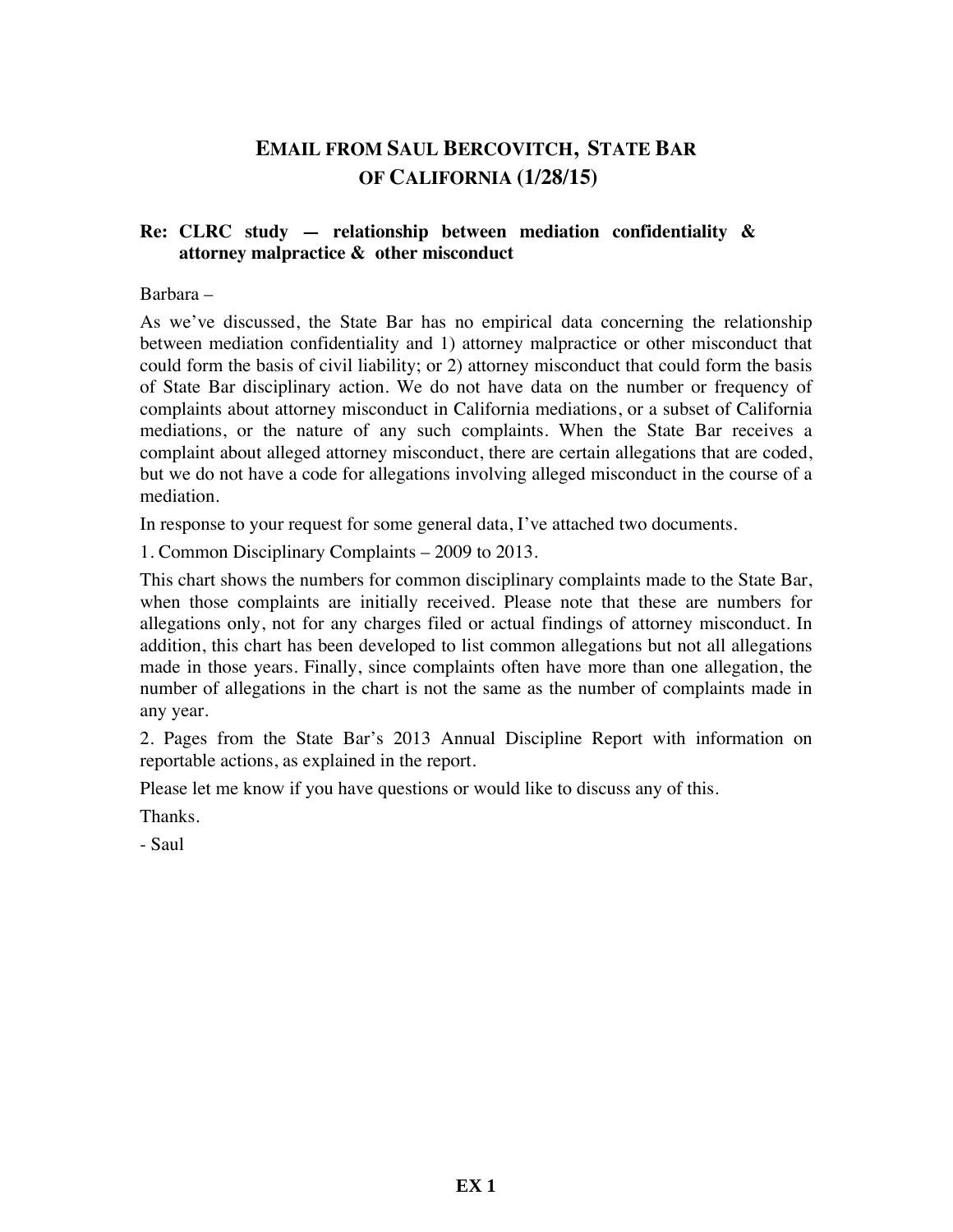# **EMAIL FROM SAUL BERCOVITCH, STATE BAR OF CALIFORNIA (1/28/15)**

#### **Re: CLRC study — relationship between mediation confidentiality & attorney malpractice & other misconduct**

#### Barbara –

As we've discussed, the State Bar has no empirical data concerning the relationship between mediation confidentiality and 1) attorney malpractice or other misconduct that could form the basis of civil liability; or 2) attorney misconduct that could form the basis of State Bar disciplinary action. We do not have data on the number or frequency of complaints about attorney misconduct in California mediations, or a subset of California mediations, or the nature of any such complaints. When the State Bar receives a complaint about alleged attorney misconduct, there are certain allegations that are coded, but we do not have a code for allegations involving alleged misconduct in the course of a mediation.

In response to your request for some general data, I've attached two documents.

1. Common Disciplinary Complaints – 2009 to 2013.

This chart shows the numbers for common disciplinary complaints made to the State Bar, when those complaints are initially received. Please note that these are numbers for allegations only, not for any charges filed or actual findings of attorney misconduct. In addition, this chart has been developed to list common allegations but not all allegations made in those years. Finally, since complaints often have more than one allegation, the number of allegations in the chart is not the same as the number of complaints made in any year.

2. Pages from the State Bar's 2013 Annual Discipline Report with information on reportable actions, as explained in the report.

Please let me know if you have questions or would like to discuss any of this.

Thanks.

- Saul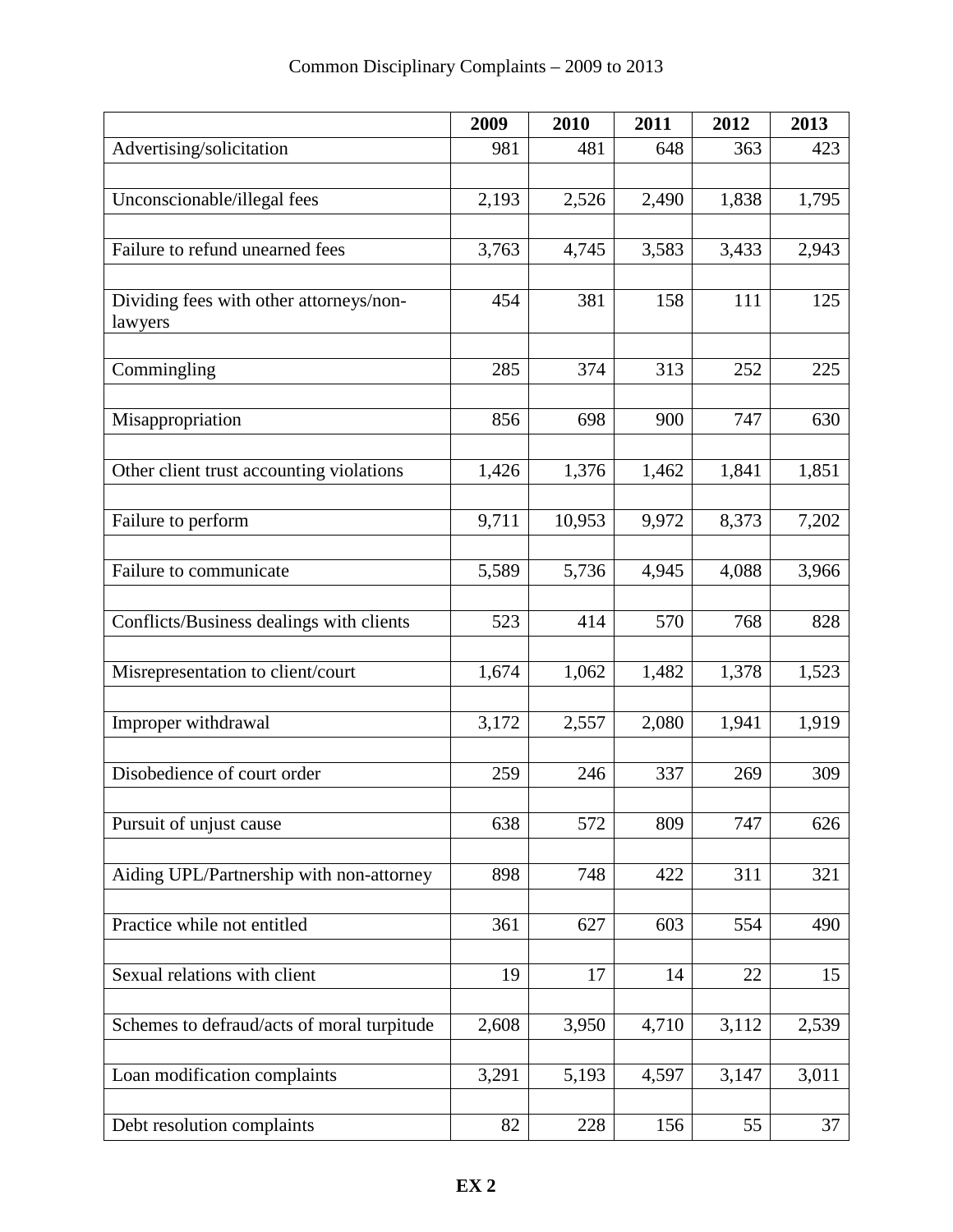|                                                    | 2009  | 2010   | 2011  | 2012  | 2013  |
|----------------------------------------------------|-------|--------|-------|-------|-------|
| Advertising/solicitation                           | 981   | 481    | 648   | 363   | 423   |
|                                                    |       |        |       |       |       |
| Unconscionable/illegal fees                        | 2,193 | 2,526  | 2,490 | 1,838 | 1,795 |
| Failure to refund unearned fees                    | 3,763 | 4,745  | 3,583 | 3,433 | 2,943 |
|                                                    |       |        |       |       |       |
| Dividing fees with other attorneys/non-<br>lawyers | 454   | 381    | 158   | 111   | 125   |
| Commingling                                        | 285   | 374    | 313   | 252   | 225   |
| Misappropriation                                   | 856   | 698    | 900   | 747   | 630   |
| Other client trust accounting violations           | 1,426 | 1,376  | 1,462 | 1,841 | 1,851 |
| Failure to perform                                 | 9,711 | 10,953 | 9,972 | 8,373 | 7,202 |
| Failure to communicate                             | 5,589 | 5,736  | 4,945 | 4,088 | 3,966 |
| Conflicts/Business dealings with clients           | 523   | 414    | 570   | 768   | 828   |
| Misrepresentation to client/court                  | 1,674 | 1,062  | 1,482 | 1,378 | 1,523 |
| Improper withdrawal                                | 3,172 | 2,557  | 2,080 | 1,941 | 1,919 |
| Disobedience of court order                        | 259   | 246    | 337   | 269   | 309   |
| Pursuit of unjust cause                            | 638   | 572    | 809   | 747   | 626   |
| Aiding UPL/Partnership with non-attorney           | 898   | 748    | 422   | 311   | 321   |
| Practice while not entitled                        | 361   | 627    | 603   | 554   | 490   |
| Sexual relations with client                       | 19    | 17     | 14    | 22    | 15    |
| Schemes to defraud/acts of moral turpitude         | 2,608 | 3,950  | 4,710 | 3,112 | 2,539 |
| Loan modification complaints                       | 3,291 | 5,193  | 4,597 | 3,147 | 3,011 |
| Debt resolution complaints                         | 82    | 228    | 156   | 55    | 37    |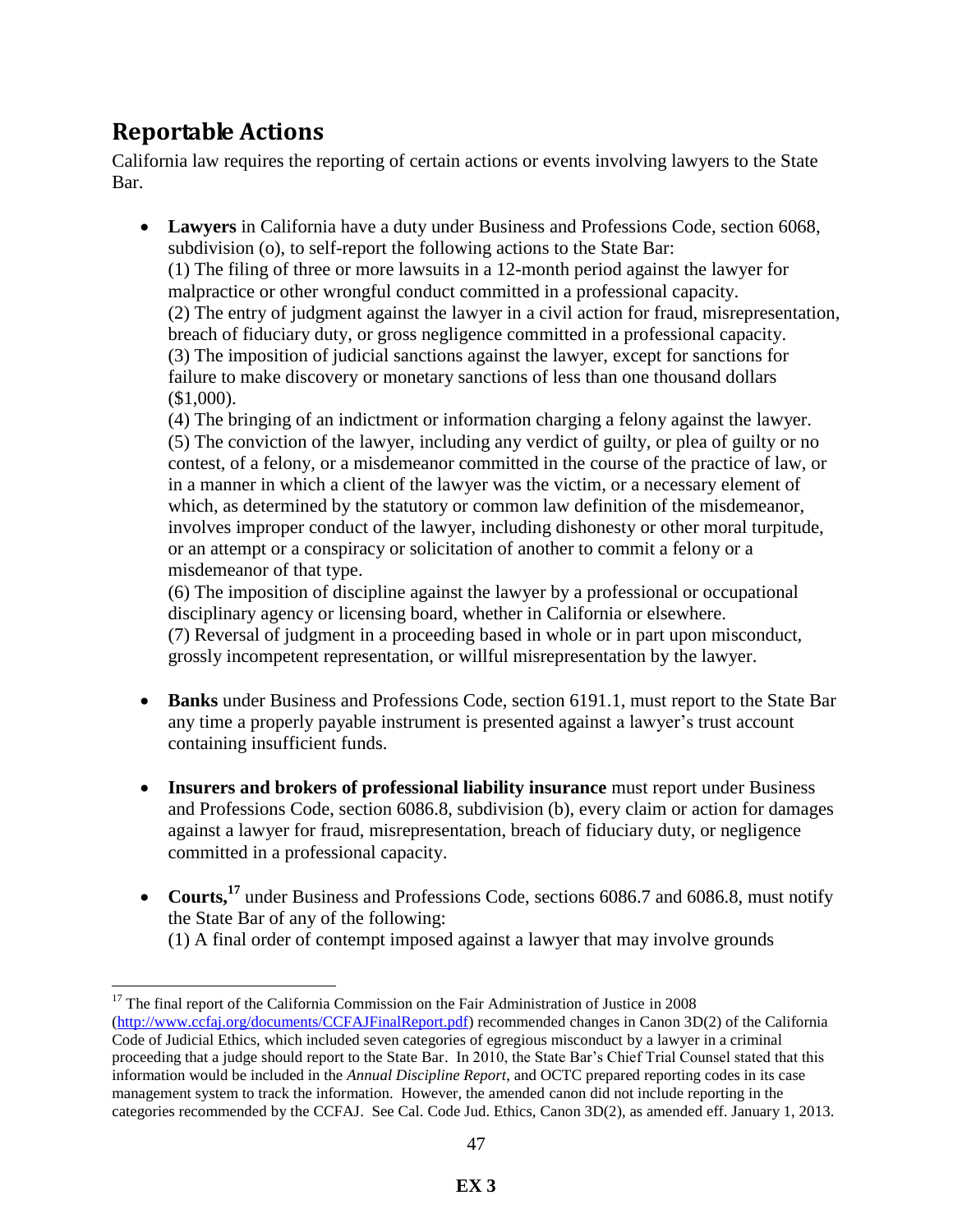# **Reportable Actions**

 $\overline{a}$ 

California law requires the reporting of certain actions or events involving lawyers to the State Bar.

 **Lawyers** in California have a duty under Business and Professions Code, section 6068, subdivision (o), to self-report the following actions to the State Bar: (1) The filing of three or more lawsuits in a 12-month period against the lawyer for malpractice or other wrongful conduct committed in a professional capacity. (2) The entry of judgment against the lawyer in a civil action for fraud, misrepresentation, breach of fiduciary duty, or gross negligence committed in a professional capacity. (3) The imposition of judicial sanctions against the lawyer, except for sanctions for failure to make discovery or monetary sanctions of less than one thousand dollars (\$1,000).

(4) The bringing of an indictment or information charging a felony against the lawyer. (5) The conviction of the lawyer, including any verdict of guilty, or plea of guilty or no contest, of a felony, or a misdemeanor committed in the course of the practice of law, or in a manner in which a client of the lawyer was the victim, or a necessary element of which, as determined by the statutory or common law definition of the misdemeanor, involves improper conduct of the lawyer, including dishonesty or other moral turpitude, or an attempt or a conspiracy or solicitation of another to commit a felony or a misdemeanor of that type.

(6) The imposition of discipline against the lawyer by a professional or occupational disciplinary agency or licensing board, whether in California or elsewhere. (7) Reversal of judgment in a proceeding based in whole or in part upon misconduct, grossly incompetent representation, or willful misrepresentation by the lawyer.

- **Banks** under Business and Professions Code, section 6191.1, must report to the State Bar any time a properly payable instrument is presented against a lawyer's trust account containing insufficient funds.
- **Insurers and brokers of professional liability insurance** must report under Business and Professions Code, section 6086.8, subdivision (b), every claim or action for damages against a lawyer for fraud, misrepresentation, breach of fiduciary duty, or negligence committed in a professional capacity.
- **Courts,<sup>17</sup>** under Business and Professions Code, sections 6086.7 and 6086.8, must notify the State Bar of any of the following:
	- (1) A final order of contempt imposed against a lawyer that may involve grounds

 $17$  The final report of the California Commission on the Fair Administration of Justice in 2008 [\(http://www.ccfaj.org/documents/CCFAJFinalReport.pdf\)](http://www.ccfaj.org/documents/CCFAJFinalReport.pdf) recommended changes in Canon 3D(2) of the California Code of Judicial Ethics, which included seven categories of egregious misconduct by a lawyer in a criminal proceeding that a judge should report to the State Bar. In 2010, the State Bar's Chief Trial Counsel stated that this information would be included in the *Annual Discipline Report*, and OCTC prepared reporting codes in its case management system to track the information. However, the amended canon did not include reporting in the categories recommended by the CCFAJ. See Cal. Code Jud. Ethics, Canon 3D(2), as amended eff. January 1, 2013.